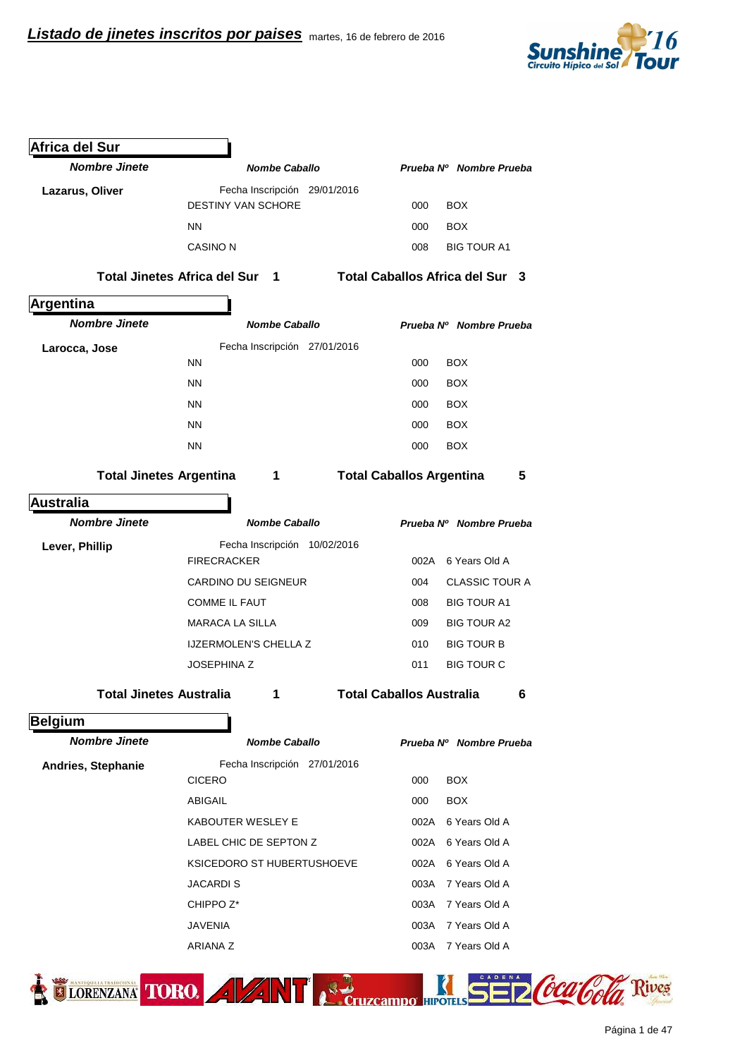

| <b>Africa del Sur</b>          |                                                       |                                      |
|--------------------------------|-------------------------------------------------------|--------------------------------------|
| <b>Nombre Jinete</b>           | <b>Nombe Caballo</b>                                  | Prueba Nº Nombre Prueba              |
| Lazarus, Oliver                | Fecha Inscripción 29/01/2016                          |                                      |
|                                | <b>DESTINY VAN SCHORE</b>                             | 000<br><b>BOX</b>                    |
|                                | NN.                                                   | <b>BOX</b><br>000                    |
|                                | <b>CASINO N</b>                                       | 008<br><b>BIG TOUR A1</b>            |
|                                | <b>Total Jinetes Africa del Sur</b><br>$\blacksquare$ | Total Caballos Africa del Sur 3      |
| Argentina                      |                                                       |                                      |
| <b>Nombre Jinete</b>           | <b>Nombe Caballo</b>                                  | Prueba Nº Nombre Prueba              |
| Larocca, Jose                  | Fecha Inscripción 27/01/2016                          |                                      |
|                                | <b>NN</b>                                             | <b>BOX</b><br>000                    |
|                                | <b>NN</b>                                             | <b>BOX</b><br>000                    |
|                                | <b>NN</b>                                             | <b>BOX</b><br>000                    |
|                                | <b>NN</b>                                             | <b>BOX</b><br>000                    |
|                                | <b>NN</b>                                             | <b>BOX</b><br>000                    |
| <b>Total Jinetes Argentina</b> | 1                                                     | <b>Total Caballos Argentina</b><br>5 |
| <b>Australia</b>               |                                                       |                                      |
| <b>Nombre Jinete</b>           | <b>Nombe Caballo</b>                                  | Prueba Nº Nombre Prueba              |
| Lever, Phillip                 | Fecha Inscripción 10/02/2016<br><b>FIRECRACKER</b>    | 6 Years Old A<br>002A                |
|                                | <b>CARDINO DU SEIGNEUR</b>                            | <b>CLASSIC TOUR A</b><br>004         |
|                                | <b>COMME IL FAUT</b>                                  | <b>BIG TOUR A1</b><br>008            |
|                                | <b>MARACA LA SILLA</b>                                | 009<br><b>BIG TOUR A2</b>            |
|                                | <b>IJZERMOLEN'S CHELLA Z</b>                          | 010<br><b>BIG TOUR B</b>             |
|                                | <b>JOSEPHINA Z</b>                                    | <b>BIG TOUR C</b><br>011             |
| <b>Total Jinetes Australia</b> | 1                                                     | <b>Total Caballos Australia</b><br>6 |
| Belgium                        |                                                       |                                      |
| <b>Nombre Jinete</b>           | <b>Nombe Caballo</b>                                  | Prueba Nº Nombre Prueba              |
| Andries, Stephanie             | Fecha Inscripción 27/01/2016                          |                                      |
|                                | <b>CICERO</b>                                         | <b>BOX</b><br>000                    |
|                                | ABIGAIL                                               | <b>BOX</b><br>000                    |
|                                | KABOUTER WESLEY E                                     | 6 Years Old A<br>002A                |
|                                | LABEL CHIC DE SEPTON Z                                | 6 Years Old A<br>002A                |
|                                | KSICEDORO ST HUBERTUSHOEVE                            | 6 Years Old A<br>002A                |
|                                |                                                       |                                      |
|                                | <b>JACARDIS</b>                                       | 7 Years Old A<br>003A                |
|                                | CHIPPO <sub>Z</sub> *                                 | 7 Years Old A<br>003A                |
|                                | <b>JAVENIA</b>                                        | 7 Years Old A<br>003A                |

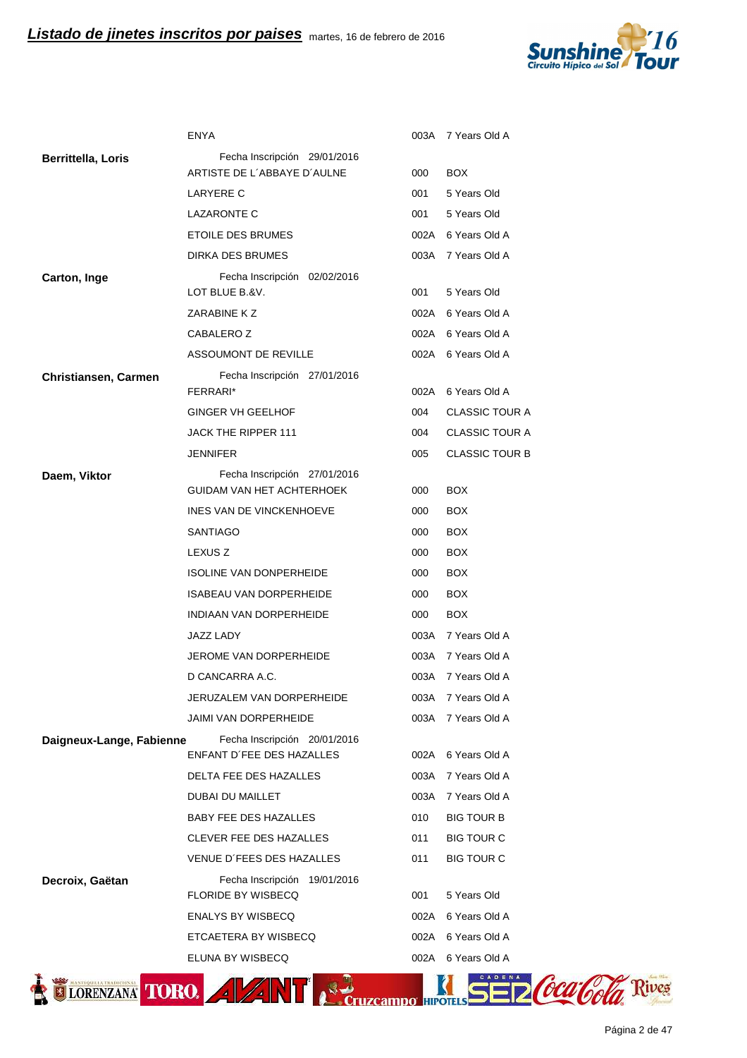

|                           | <b>ENYA</b>                                               |      | 003A 7 Years Old A    |
|---------------------------|-----------------------------------------------------------|------|-----------------------|
| <b>Berrittella, Loris</b> | Fecha Inscripción 29/01/2016                              |      |                       |
|                           | ARTISTE DE L'ABBAYE D'AULNE                               | 000  | <b>BOX</b>            |
|                           | <b>LARYERE C</b>                                          | 001  | 5 Years Old           |
|                           | <b>LAZARONTE C</b>                                        | 001  | 5 Years Old           |
|                           | ETOILE DES BRUMES                                         |      | 002A 6 Years Old A    |
|                           | DIRKA DES BRUMES                                          |      | 003A 7 Years Old A    |
| Carton, Inge              | Fecha Inscripción 02/02/2016<br>LOT BLUE B.&V.            | 001  | 5 Years Old           |
|                           | ZARABINE K Z                                              | 002A | 6 Years Old A         |
|                           | CABALERO Z                                                |      | 002A 6 Years Old A    |
|                           | ASSOUMONT DE REVILLE                                      |      | 002A 6 Years Old A    |
| Christiansen, Carmen      | Fecha Inscripción 27/01/2016<br>FERRARI*                  | 002A | 6 Years Old A         |
|                           | <b>GINGER VH GEELHOF</b>                                  | 004  | <b>CLASSIC TOUR A</b> |
|                           | JACK THE RIPPER 111                                       | 004  | <b>CLASSIC TOUR A</b> |
|                           | <b>JENNIFER</b>                                           | 005  | <b>CLASSIC TOUR B</b> |
| Daem, Viktor              | Fecha Inscripción 27/01/2016                              |      |                       |
|                           | GUIDAM VAN HET ACHTERHOEK                                 | 000  | <b>BOX</b>            |
|                           | INES VAN DE VINCKENHOEVE                                  | 000  | <b>BOX</b>            |
|                           | <b>SANTIAGO</b>                                           | 000  | <b>BOX</b>            |
|                           | LEXUS <sub>Z</sub>                                        | 000  | <b>BOX</b>            |
|                           | <b>ISOLINE VAN DONPERHEIDE</b>                            | 000  | <b>BOX</b>            |
|                           | <b>ISABEAU VAN DORPERHEIDE</b>                            | 000  | <b>BOX</b>            |
|                           | INDIAAN VAN DORPERHEIDE                                   | 000  | <b>BOX</b>            |
|                           | <b>JAZZ LADY</b>                                          |      | 003A 7 Years Old A    |
|                           | JEROME VAN DORPERHEIDE                                    | 003A | 7 Years Old A         |
|                           | D CANCARRA A.C.                                           | 003A | 7 Years Old A         |
|                           | JERUZALEM VAN DORPERHEIDE                                 | 003A | 7 Years Old A         |
|                           | JAIMI VAN DORPERHEIDE                                     | 003A | 7 Years Old A         |
| Daigneux-Lange, Fabienne  | Fecha Inscripción 20/01/2016                              |      |                       |
|                           | ENFANT D'FEE DES HAZALLES                                 | 002A | 6 Years Old A         |
|                           | DELTA FEE DES HAZALLES                                    | 003A | 7 Years Old A         |
|                           | DUBAI DU MAILLET                                          | 003A | 7 Years Old A         |
|                           | BABY FEE DES HAZALLES                                     | 010  | <b>BIG TOUR B</b>     |
|                           | <b>CLEVER FEE DES HAZALLES</b>                            | 011  | <b>BIG TOUR C</b>     |
|                           | VENUE D'FEES DES HAZALLES                                 | 011  | <b>BIG TOUR C</b>     |
| Decroix, Gaëtan           | Fecha Inscripción 19/01/2016<br><b>FLORIDE BY WISBECQ</b> | 001  | 5 Years Old           |
|                           | <b>ENALYS BY WISBECQ</b>                                  | 002A | 6 Years Old A         |
|                           | ETCAETERA BY WISBECQ                                      | 002A | 6 Years Old A         |
|                           | ELUNA BY WISBECQ                                          | 002A | 6 Years Old A         |
|                           |                                                           |      |                       |

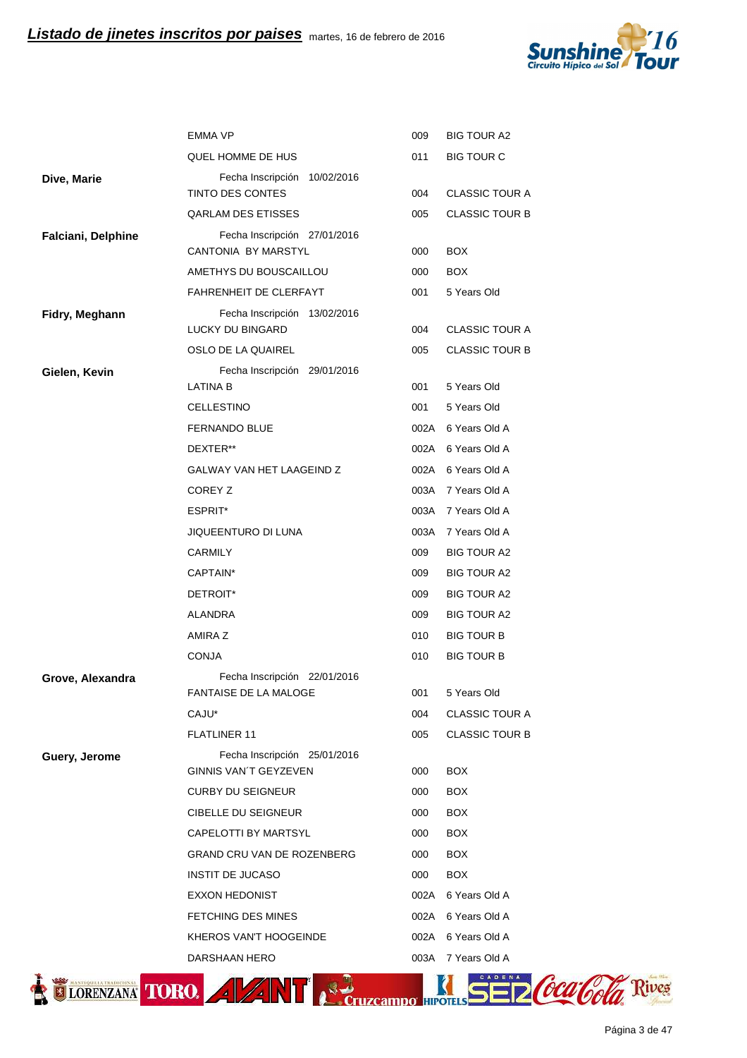

|                    | <b>EMMA VP</b>                                    | 009<br><b>BIG TOUR A2</b>              |
|--------------------|---------------------------------------------------|----------------------------------------|
|                    | QUEL HOMME DE HUS                                 | <b>BIG TOUR C</b><br>011               |
| Dive, Marie        | Fecha Inscripción 10/02/2016                      |                                        |
|                    | TINTO DES CONTES                                  | 004<br><b>CLASSIC TOUR A</b>           |
|                    | <b>QARLAM DES ETISSES</b>                         | 005<br><b>CLASSIC TOUR B</b>           |
| Falciani, Delphine | Fecha Inscripción 27/01/2016                      |                                        |
|                    | CANTONIA BY MARSTYL                               | 000<br><b>BOX</b>                      |
|                    | AMETHYS DU BOUSCAILLOU                            | 000<br><b>BOX</b>                      |
|                    | FAHRENHEIT DE CLERFAYT                            | 001<br>5 Years Old                     |
| Fidry, Meghann     | Fecha Inscripción 13/02/2016<br>LUCKY DU BINGARD  | <b>CLASSIC TOUR A</b><br>004           |
|                    | OSLO DE LA QUAIREL                                | 005<br><b>CLASSIC TOUR B</b>           |
| Gielen, Kevin      | Fecha Inscripción 29/01/2016<br><b>LATINA B</b>   | 001<br>5 Years Old                     |
|                    | CELLESTINO                                        | 001<br>5 Years Old                     |
|                    | <b>FERNANDO BLUE</b>                              | 002A 6 Years Old A                     |
|                    | DEXTER**                                          | 002A 6 Years Old A                     |
|                    | GALWAY VAN HET LAAGEIND Z                         | 002A 6 Years Old A                     |
|                    | COREY Z                                           | 003A 7 Years Old A                     |
|                    | ESPRIT*                                           | 003A 7 Years Old A                     |
|                    | JIQUEENTURO DI LUNA                               | 003A 7 Years Old A                     |
|                    | CARMILY                                           | 009<br><b>BIG TOUR A2</b>              |
|                    | CAPTAIN*                                          | 009<br><b>BIG TOUR A2</b>              |
|                    | DETROIT*                                          | 009<br><b>BIG TOUR A2</b>              |
|                    | <b>ALANDRA</b>                                    | 009<br><b>BIG TOUR A2</b>              |
|                    | AMIRA Z                                           | 010<br><b>BIG TOUR B</b>               |
|                    | <b>CONJA</b>                                      | 010<br><b>BIG TOUR B</b>               |
| Grove, Alexandra   | Fecha Inscripción 22/01/2016                      |                                        |
|                    | FANTAISE DE LA MALOGE                             | 5 Years Old<br>001                     |
|                    | CAJU*                                             | <b>CLASSIC TOUR A</b><br>004           |
|                    | <b>FLATLINER 11</b>                               | 005<br><b>CLASSIC TOUR B</b>           |
| Guery, Jerome      | Fecha Inscripción 25/01/2016                      |                                        |
|                    | GINNIS VAN'T GEYZEVEN<br><b>CURBY DU SEIGNEUR</b> | 000<br><b>BOX</b><br>000<br><b>BOX</b> |
|                    | <b>CIBELLE DU SEIGNEUR</b>                        | 000<br><b>BOX</b>                      |
|                    | CAPELOTTI BY MARTSYL                              | 000<br><b>BOX</b>                      |
|                    | GRAND CRU VAN DE ROZENBERG                        | <b>BOX</b><br>000                      |
|                    | <b>INSTIT DE JUCASO</b>                           | <b>BOX</b><br>000                      |
|                    | <b>EXXON HEDONIST</b>                             | 6 Years Old A<br>002A                  |
|                    | FETCHING DES MINES                                | 002A 6 Years Old A                     |
|                    | KHEROS VAN'T HOOGEINDE                            | 002A 6 Years Old A                     |
|                    | DARSHAAN HERO                                     | 003A 7 Years Old A                     |
|                    |                                                   |                                        |
| LORENZANA TORO.    | $4$ $\frac{1}{4}$ $\frac{1}{4}$                   |                                        |

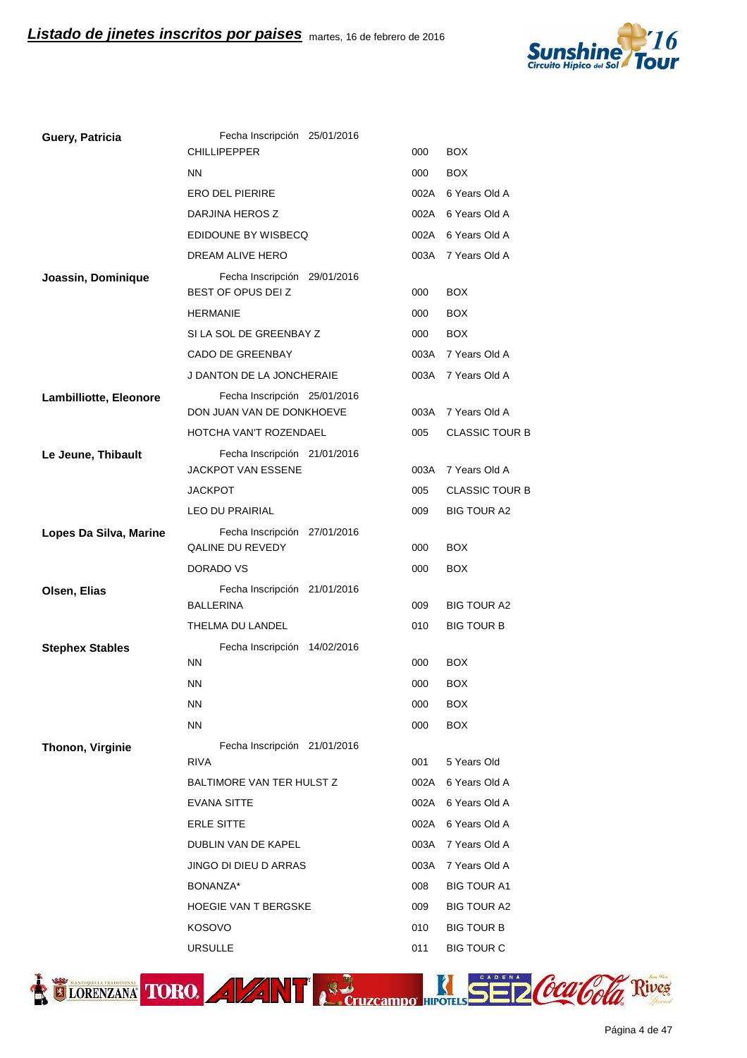

| Guery, Patricia        | Fecha Inscripción 25/01/2016                              |      |                       |
|------------------------|-----------------------------------------------------------|------|-----------------------|
|                        | <b>CHILLIPEPPER</b>                                       | 000  | <b>BOX</b>            |
|                        | <b>NN</b>                                                 | 000  | <b>BOX</b>            |
|                        | <b>ERO DEL PIERIRE</b>                                    | 002A | 6 Years Old A         |
|                        | DARJINA HEROS Z                                           |      | 002A 6 Years Old A    |
|                        | EDIDOUNE BY WISBECQ                                       |      | 002A 6 Years Old A    |
|                        | DREAM ALIVE HERO                                          | 003A | 7 Years Old A         |
| Joassin, Dominique     | Fecha Inscripción 29/01/2016<br>BEST OF OPUS DEI Z        | 000  | <b>BOX</b>            |
|                        | <b>HERMANIE</b>                                           | 000  | <b>BOX</b>            |
|                        | SI LA SOL DE GREENBAY Z                                   | 000  | <b>BOX</b>            |
|                        | CADO DE GREENBAY                                          | 003A | 7 Years Old A         |
|                        | J DANTON DE LA JONCHERAIE                                 | 003A | 7 Years Old A         |
| Lambilliotte, Eleonore | Fecha Inscripción 25/01/2016<br>DON JUAN VAN DE DONKHOEVE |      | 003A 7 Years Old A    |
|                        | HOTCHA VAN'T ROZENDAEL                                    | 005  | <b>CLASSIC TOUR B</b> |
| Le Jeune, Thibault     | Fecha Inscripción 21/01/2016<br><b>JACKPOT VAN ESSENE</b> | 003A | 7 Years Old A         |
|                        | <b>JACKPOT</b>                                            | 005  | <b>CLASSIC TOUR B</b> |
|                        | <b>LEO DU PRAIRIAL</b>                                    | 009  | <b>BIG TOUR A2</b>    |
| Lopes Da Silva, Marine | Fecha Inscripción 27/01/2016<br>QALINE DU REVEDY          | 000  | <b>BOX</b>            |
|                        | DORADO VS                                                 | 000  | <b>BOX</b>            |
| Olsen, Elias           | Fecha Inscripción 21/01/2016<br><b>BALLERINA</b>          | 009  | <b>BIG TOUR A2</b>    |
|                        | THELMA DU LANDEL                                          | 010  | <b>BIG TOUR B</b>     |
| <b>Stephex Stables</b> | Fecha Inscripción 14/02/2016                              |      |                       |
|                        | <b>NN</b>                                                 | 000  | <b>BOX</b>            |
|                        | <b>NN</b>                                                 | 000  | <b>BOX</b>            |
|                        | <b>NN</b>                                                 | 000  | BOX                   |
|                        | <b>NN</b>                                                 | 000  | <b>BOX</b>            |
| Thonon, Virginie       | Fecha Inscripción 21/01/2016                              |      |                       |
|                        | <b>RIVA</b>                                               | 001  | 5 Years Old           |
|                        | BALTIMORE VAN TER HULST Z                                 | 002A | 6 Years Old A         |
|                        | <b>EVANA SITTE</b>                                        | 002A | 6 Years Old A         |
|                        | <b>ERLE SITTE</b>                                         | 002A | 6 Years Old A         |
|                        | DUBLIN VAN DE KAPEL                                       | 003A | 7 Years Old A         |
|                        | JINGO DI DIEU D ARRAS                                     | 003A | 7 Years Old A         |
|                        | BONANZA*                                                  | 008  | <b>BIG TOUR A1</b>    |
|                        | <b>HOEGIE VAN T BERGSKE</b>                               | 009  | <b>BIG TOUR A2</b>    |
|                        | <b>KOSOVO</b>                                             | 010  | <b>BIG TOUR B</b>     |
|                        | <b>URSULLE</b>                                            | 011  | <b>BIG TOUR C</b>     |



ELORENZANA TORO. A VANT A Cruzcampo HIPOTILS SE DCCCCOCO Rives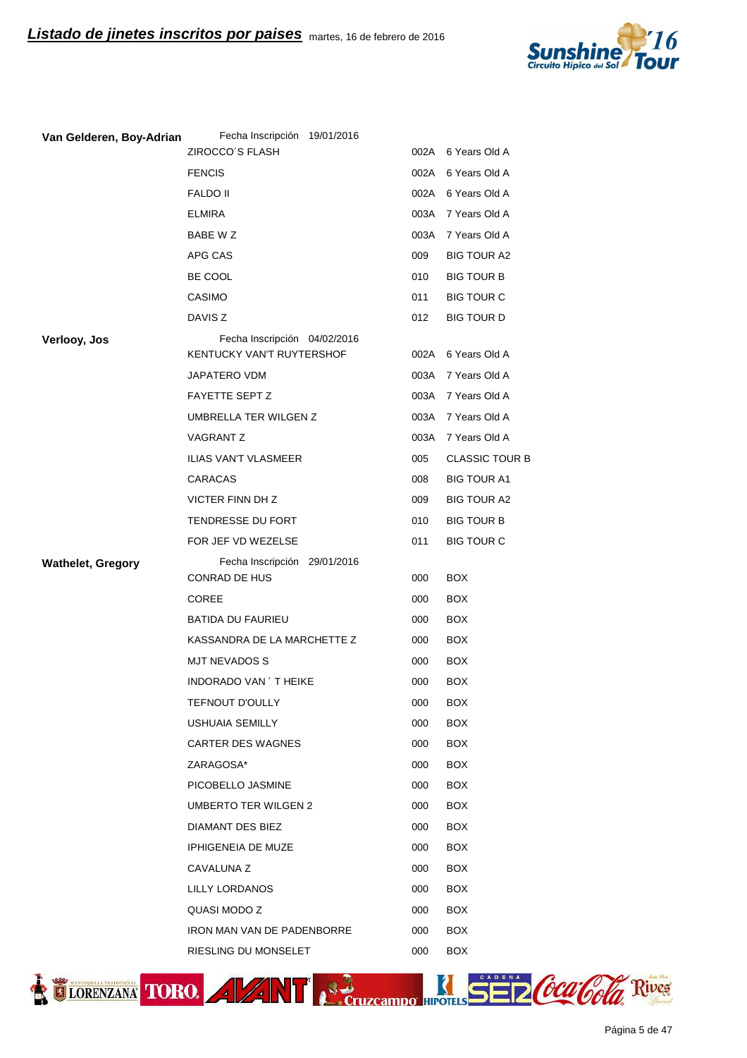

| Van Gelderen, Boy-Adrian | Fecha Inscripción 19/01/2016<br>ZIROCCO'S FLASH |                       | 002A 6 Years Old A       |
|--------------------------|-------------------------------------------------|-----------------------|--------------------------|
|                          | <b>FENCIS</b>                                   |                       | 002A 6 Years Old A       |
|                          | <b>FALDO II</b>                                 |                       | 002A 6 Years Old A       |
|                          | <b>ELMIRA</b>                                   |                       | 003A 7 Years Old A       |
|                          | BABE W Z                                        | 003A                  | 7 Years Old A            |
|                          | APG CAS                                         | 009                   | <b>BIG TOUR A2</b>       |
|                          | BE COOL                                         | 010                   | <b>BIG TOUR B</b>        |
|                          | CASIMO                                          | 011                   | <b>BIG TOUR C</b>        |
|                          | DAVIS <sub>Z</sub>                              | 012                   | <b>BIG TOUR D</b>        |
| Verlooy, Jos             | Fecha Inscripción 04/02/2016                    |                       |                          |
|                          | KENTUCKY VAN'T RUYTERSHOF                       |                       | 002A 6 Years Old A       |
|                          | JAPATERO VDM                                    |                       | 003A 7 Years Old A       |
|                          | <b>FAYETTE SEPT Z</b>                           |                       | 003A 7 Years Old A       |
|                          | UMBRELLA TER WILGEN Z                           |                       | 003A 7 Years Old A       |
|                          | <b>VAGRANT Z</b>                                | 003A                  | 7 Years Old A            |
|                          | <b>ILIAS VAN'T VLASMEER</b>                     | 005                   | <b>CLASSIC TOUR B</b>    |
|                          | CARACAS                                         | 008                   | <b>BIG TOUR A1</b>       |
|                          | VICTER FINN DH Z                                | 009                   | <b>BIG TOUR A2</b>       |
|                          | TENDRESSE DU FORT                               | 010                   | <b>BIG TOUR B</b>        |
|                          | FOR JEF VD WEZELSE                              | 011                   | <b>BIG TOUR C</b>        |
| <b>Wathelet, Gregory</b> | Fecha Inscripción 29/01/2016                    |                       |                          |
|                          | CONRAD DE HUS                                   | 000                   | <b>BOX</b>               |
|                          | <b>COREE</b>                                    | 000                   | <b>BOX</b>               |
|                          | <b>BATIDA DU FAURIEU</b>                        | 000                   | <b>BOX</b>               |
|                          | KASSANDRA DE LA MARCHETTE Z                     | 000                   | <b>BOX</b>               |
|                          | <b>MJT NEVADOS S</b>                            | 000                   | <b>BOX</b>               |
|                          | INDORADO VAN 'T HEIKE                           | 000                   | <b>BOX</b>               |
|                          | <b>TEFNOUT D'OULLY</b>                          | 000                   | <b>BOX</b>               |
|                          | <b>USHUAIA SEMILLY</b>                          | 000                   | <b>BOX</b>               |
|                          | CARTER DES WAGNES<br>ZARAGOSA*                  | 000<br>000            | <b>BOX</b><br><b>BOX</b> |
|                          | PICOBELLO JASMINE                               | 000                   | <b>BOX</b>               |
|                          | <b>UMBERTO TER WILGEN 2</b>                     | 000                   | <b>BOX</b>               |
|                          | <b>DIAMANT DES BIEZ</b>                         | 000                   | <b>BOX</b>               |
|                          | <b>IPHIGENEIA DE MUZE</b>                       | 000                   | <b>BOX</b>               |
|                          | CAVALUNA Z                                      | 000                   | <b>BOX</b>               |
|                          | LILLY LORDANOS                                  | 000                   | <b>BOX</b>               |
|                          | QUASI MODO Z                                    | 000                   | <b>BOX</b>               |
|                          | <b>IRON MAN VAN DE PADENBORRE</b>               | 000                   | <b>BOX</b>               |
|                          | RIESLING DU MONSELET                            | 000                   | <b>BOX</b>               |
|                          |                                                 |                       |                          |
| LORENZANA TORO.          |                                                 | <b>UZCAMDO HIPOTE</b> | <b>D</b> Calor           |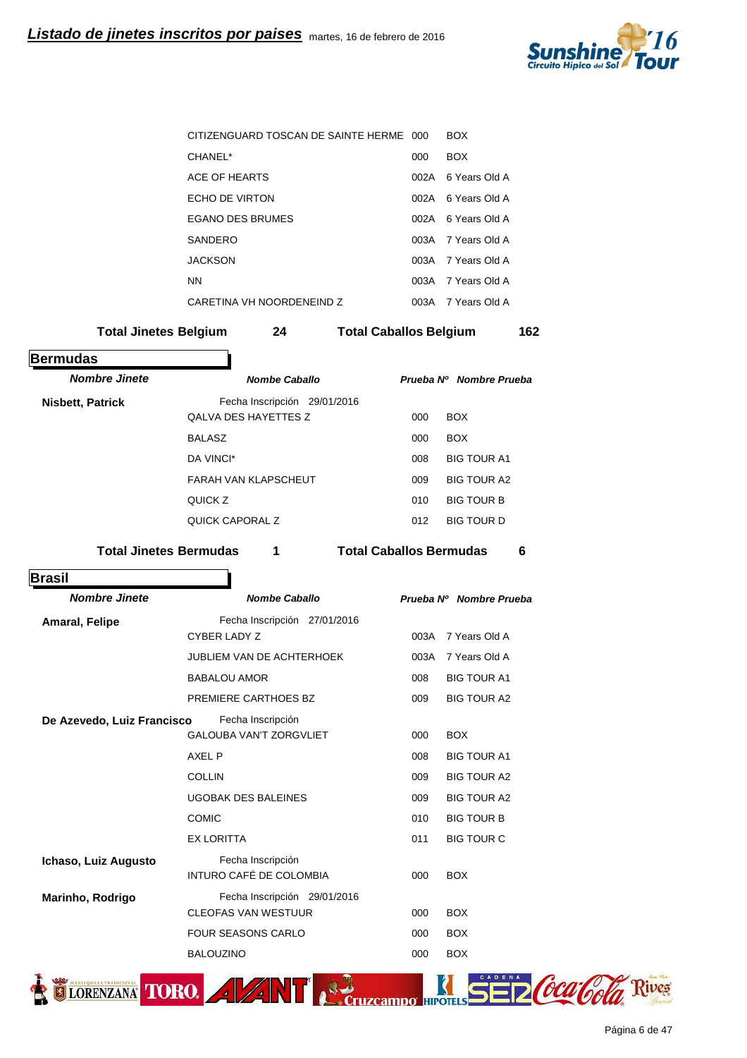

|                               | CITIZENGUARD TOSCAN DE SAINTE HERME 000 |                                |      | <b>BOX</b>              |     |
|-------------------------------|-----------------------------------------|--------------------------------|------|-------------------------|-----|
|                               | CHANEL*                                 |                                | 000  | <b>BOX</b>              |     |
|                               | ACE OF HEARTS                           |                                | 002A | 6 Years Old A           |     |
|                               | ECHO DE VIRTON                          |                                |      | 002A 6 Years Old A      |     |
|                               | <b>EGANO DES BRUMES</b>                 |                                |      | 002A 6 Years Old A      |     |
|                               | SANDERO                                 |                                | 003A | 7 Years Old A           |     |
|                               | <b>JACKSON</b>                          |                                | 003A | 7 Years Old A           |     |
|                               | ΝN                                      |                                | 003A | 7 Years Old A           |     |
|                               | CARETINA VH NOORDENEIND Z               |                                |      | 003A 7 Years Old A      |     |
| <b>Total Jinetes Belgium</b>  | 24                                      | <b>Total Caballos Belgium</b>  |      |                         | 162 |
| <b>Bermudas</b>               |                                         |                                |      |                         |     |
| <b>Nombre Jinete</b>          | <b>Nombe Caballo</b>                    |                                |      | Prueba Nº Nombre Prueba |     |
| <b>Nisbett, Patrick</b>       | Fecha Inscripción 29/01/2016            |                                |      |                         |     |
|                               | <b>QALVA DES HAYETTES Z</b>             |                                | 000  | <b>BOX</b>              |     |
|                               | <b>BALASZ</b>                           |                                | 000  | <b>BOX</b>              |     |
|                               | DA VINCI*                               |                                | 008  | <b>BIG TOUR A1</b>      |     |
|                               | <b>FARAH VAN KLAPSCHEUT</b>             |                                | 009  | <b>BIG TOUR A2</b>      |     |
|                               | QUICK Z                                 |                                | 010  | <b>BIG TOUR B</b>       |     |
|                               | <b>QUICK CAPORAL Z</b>                  |                                | 012  | <b>BIG TOUR D</b>       |     |
| <b>Total Jinetes Bermudas</b> | 1                                       | <b>Total Caballos Bermudas</b> |      |                         | 6   |
| <b>Brasil</b>                 |                                         |                                |      |                         |     |
| <b>Nombre Jinete</b>          | <b>Nombe Caballo</b>                    |                                |      | Prueba Nº Nombre Prueba |     |
| <b>Amaral, Felipe</b>         | Fecha Inscripción 27/01/2016            |                                |      |                         |     |
|                               | CYBER LADY Z                            |                                | 003A | 7 Years Old A           |     |
|                               | <b>JUBLIEM VAN DE ACHTERHOEK</b>        |                                | 003A | 7 Years Old A           |     |
|                               | <b>BABALOU AMOR</b>                     |                                | 008  | <b>BIG TOUR A1</b>      |     |
|                               | PREMIERE CARTHOES BZ                    |                                | 009  | <b>BIG TOUR A2</b>      |     |
| De Azevedo, Luiz Francisco    | Fecha Inscripción                       |                                |      |                         |     |
|                               | <b>GALOUBA VAN'T ZORGVLIET</b>          |                                | 000  | <b>BOX</b>              |     |
|                               | AXEL P                                  |                                | 008  | <b>BIG TOUR A1</b>      |     |
|                               | <b>COLLIN</b>                           |                                | 009  | <b>BIG TOUR A2</b>      |     |
|                               | <b>UGOBAK DES BALEINES</b>              |                                | 009  | <b>BIG TOUR A2</b>      |     |
|                               | <b>COMIC</b>                            |                                | 010  | <b>BIG TOUR B</b>       |     |
|                               | <b>EX LORITTA</b>                       |                                | 011  | <b>BIG TOUR C</b>       |     |
| Ichaso, Luiz Augusto          | Fecha Inscripción                       |                                |      |                         |     |
|                               | INTURO CAFÉ DE COLOMBIA                 |                                | 000  | <b>BOX</b>              |     |
| Marinho, Rodrigo              | Fecha Inscripción 29/01/2016            |                                |      |                         |     |
|                               | <b>CLEOFAS VAN WESTUUR</b>              |                                | 000  | <b>BOX</b>              |     |
|                               | <b>FOUR SEASONS CARLO</b>               |                                | 000  | <b>BOX</b>              |     |
|                               | <b>BALOUZINO</b>                        |                                | 000  | <b>BOX</b>              |     |
|                               |                                         |                                |      |                         |     |
| LORENZANA TORO.               | 4 Z N                                   | amno                           |      |                         |     |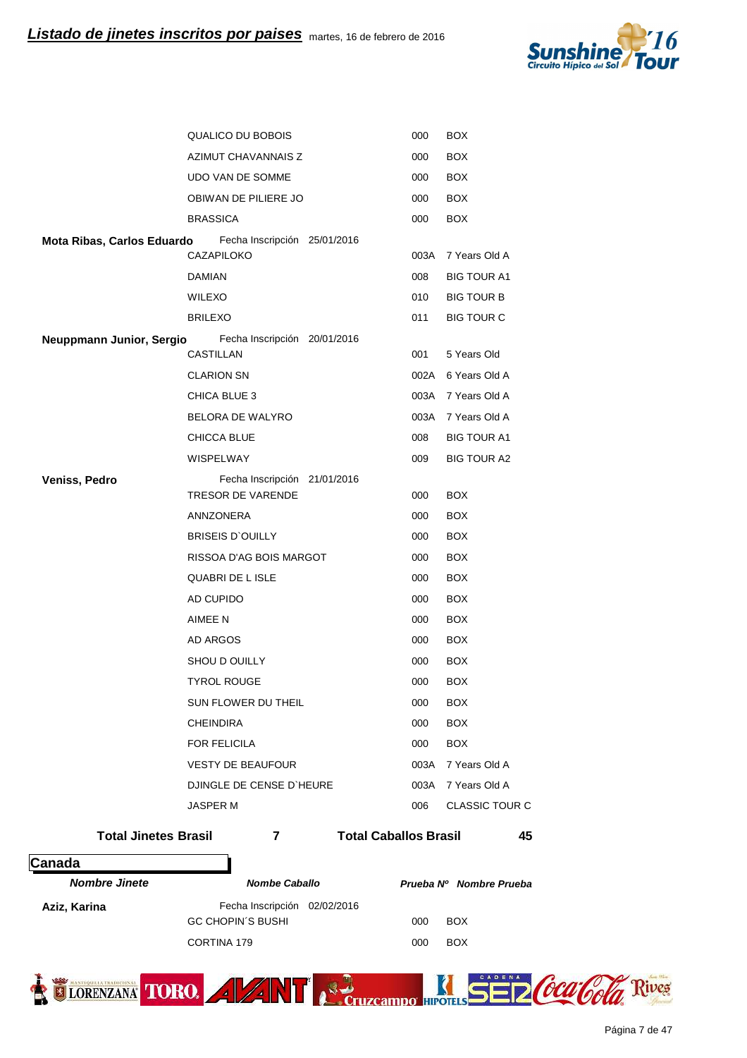

|                             |                         | QUALICO DU BOBOIS                                        | 000                          | <b>BOX</b>              |
|-----------------------------|-------------------------|----------------------------------------------------------|------------------------------|-------------------------|
|                             |                         | AZIMUT CHAVANNAIS Z                                      | 000                          | <b>BOX</b>              |
|                             |                         | <b>UDO VAN DE SOMME</b>                                  | 000                          | <b>BOX</b>              |
|                             |                         | OBIWAN DE PILIERE JO                                     | 000                          | <b>BOX</b>              |
|                             | <b>BRASSICA</b>         |                                                          | 000                          | <b>BOX</b>              |
| Mota Ribas, Carlos Eduardo  | CAZAPILOKO              | Fecha Inscripción 25/01/2016                             | 003A                         | 7 Years Old A           |
|                             | <b>DAMIAN</b>           |                                                          | 008                          | <b>BIG TOUR A1</b>      |
|                             | <b>WILEXO</b>           |                                                          | 010                          | <b>BIG TOUR B</b>       |
|                             | <b>BRILEXO</b>          |                                                          | 011                          | <b>BIG TOUR C</b>       |
| Neuppmann Junior, Sergio    |                         | Fecha Inscripción 20/01/2016                             |                              |                         |
|                             | CASTILLAN               |                                                          | 001                          | 5 Years Old             |
|                             | <b>CLARION SN</b>       |                                                          |                              | 002A 6 Years Old A      |
|                             | CHICA BLUE 3            |                                                          |                              | 003A 7 Years Old A      |
|                             |                         | BELORA DE WALYRO                                         | 003A                         | 7 Years Old A           |
|                             | CHICCA BLUE             |                                                          | 008                          | <b>BIG TOUR A1</b>      |
|                             | WISPELWAY               |                                                          | 009                          | <b>BIG TOUR A2</b>      |
| Veniss, Pedro               |                         | Fecha Inscripción 21/01/2016<br><b>TRESOR DE VARENDE</b> | 000                          | <b>BOX</b>              |
|                             | ANNZONERA               |                                                          | 000                          | <b>BOX</b>              |
|                             | <b>BRISEIS D'OUILLY</b> |                                                          | 000                          | <b>BOX</b>              |
|                             |                         | RISSOA D'AG BOIS MARGOT                                  | 000                          | <b>BOX</b>              |
|                             | QUABRI DE L ISLE        |                                                          | 000                          | <b>BOX</b>              |
|                             | AD CUPIDO               |                                                          | 000                          | <b>BOX</b>              |
|                             | AIMEE N                 |                                                          | 000                          | <b>BOX</b>              |
|                             | AD ARGOS                |                                                          | 000                          | <b>BOX</b>              |
|                             | SHOU D OUILLY           |                                                          | 000                          | <b>BOX</b>              |
|                             | <b>TYROL ROUGE</b>      |                                                          | 000                          | <b>BOX</b>              |
|                             |                         | SUN FLOWER DU THEIL                                      | 000                          | <b>BOX</b>              |
|                             | <b>CHEINDIRA</b>        |                                                          | 000                          | <b>BOX</b>              |
|                             | <b>FOR FELICILA</b>     |                                                          | 000                          | <b>BOX</b>              |
|                             |                         | <b>VESTY DE BEAUFOUR</b>                                 |                              | 003A 7 Years Old A      |
|                             |                         | DJINGLE DE CENSE D'HEURE                                 |                              | 003A 7 Years Old A      |
|                             | <b>JASPER M</b>         |                                                          | 006                          | <b>CLASSIC TOUR C</b>   |
| <b>Total Jinetes Brasil</b> |                         | 7                                                        | <b>Total Caballos Brasil</b> | 45                      |
| Canada                      |                         |                                                          |                              |                         |
| <b>Nombre Jinete</b>        |                         | <b>Nombe Caballo</b>                                     |                              | Prueba Nº Nombre Prueba |
| Aziz, Karina                |                         | Fecha Inscripción 02/02/2016                             |                              |                         |
|                             |                         | <b>GC CHOPIN'S BUSHI</b>                                 | 000                          | BOX                     |
|                             | CORTINA 179             |                                                          | 000                          | BOX                     |

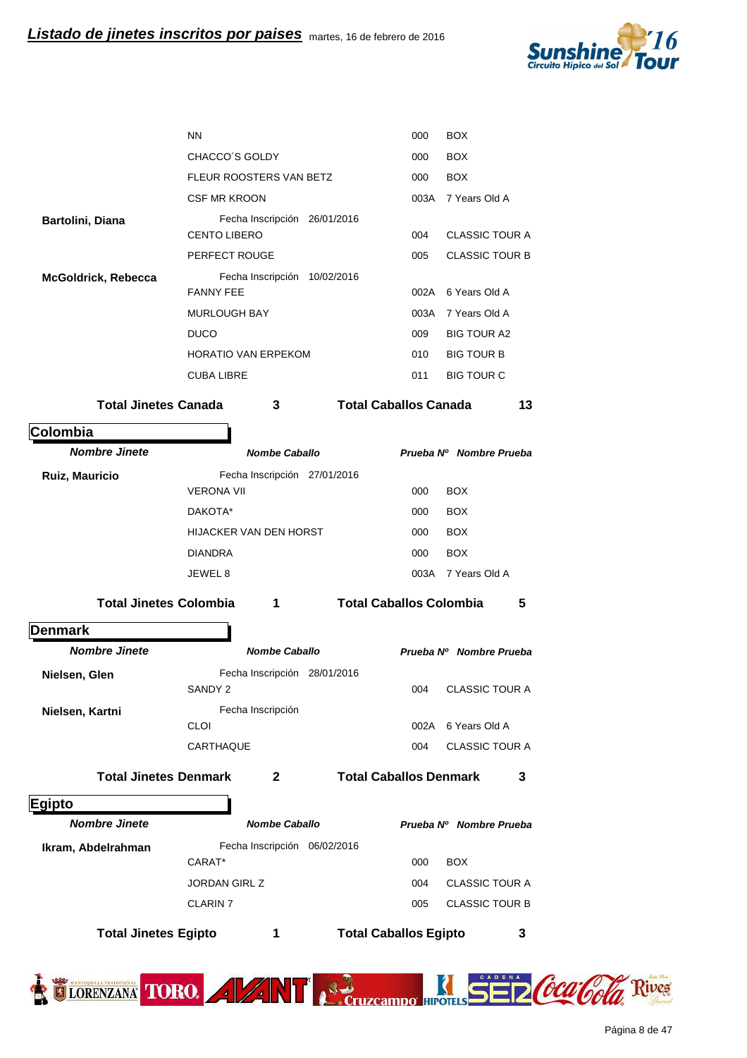

| <b>Total Jinetes Egipto</b>   | 1                                       |                              | <b>Total Caballos Egipto</b>   |                                     | 3  |
|-------------------------------|-----------------------------------------|------------------------------|--------------------------------|-------------------------------------|----|
|                               | <b>JORDAN GIRL Z</b><br><b>CLARIN 7</b> |                              | 004<br>005                     | <b>CLASSIC TOUR B</b>               |    |
|                               | CARAT*                                  |                              | 000                            | <b>BOX</b><br><b>CLASSIC TOUR A</b> |    |
| Ikram, Abdelrahman            |                                         | Fecha Inscripción 06/02/2016 |                                |                                     |    |
| <b>Nombre Jinete</b>          | <b>Nombe Caballo</b>                    |                              |                                | Prueba Nº Nombre Prueba             |    |
| <b>Egipto</b>                 |                                         |                              |                                |                                     |    |
| <b>Total Jinetes Denmark</b>  | $\mathbf{2}$                            |                              | <b>Total Caballos Denmark</b>  |                                     | 3  |
|                               | CARTHAQUE                               |                              | 004                            | <b>CLASSIC TOUR A</b>               |    |
|                               | <b>CLOI</b>                             |                              |                                | 002A 6 Years Old A                  |    |
| Nielsen, Kartni               | Fecha Inscripción                       |                              |                                |                                     |    |
| Nielsen, Glen                 | SANDY <sub>2</sub>                      | Fecha Inscripción 28/01/2016 | 004                            | <b>CLASSIC TOUR A</b>               |    |
| <b>Nombre Jinete</b>          | <b>Nombe Caballo</b>                    |                              |                                | Prueba Nº Nombre Prueba             |    |
| <b>Denmark</b>                |                                         |                              |                                |                                     |    |
| <b>Total Jinetes Colombia</b> | 1                                       |                              | <b>Total Caballos Colombia</b> |                                     | 5  |
|                               | JEWEL 8                                 |                              |                                | 003A 7 Years Old A                  |    |
|                               | DIANDRA                                 |                              | 000                            | <b>BOX</b>                          |    |
|                               | HIJACKER VAN DEN HORST                  |                              | 000                            | <b>BOX</b>                          |    |
|                               | DAKOTA*                                 |                              | 000                            | <b>BOX</b>                          |    |
|                               | <b>VERONA VII</b>                       |                              | 000                            | <b>BOX</b>                          |    |
| Ruiz, Mauricio                |                                         | Fecha Inscripción 27/01/2016 |                                |                                     |    |
| <b>Nombre Jinete</b>          | <b>Nombe Caballo</b>                    |                              |                                | Prueba Nº Nombre Prueba             |    |
| Colombia                      |                                         |                              |                                |                                     |    |
| <b>Total Jinetes Canada</b>   | 3                                       |                              | <b>Total Caballos Canada</b>   |                                     | 13 |
|                               | <b>CUBA LIBRE</b>                       |                              | 011                            | <b>BIG TOUR C</b>                   |    |
|                               | <b>HORATIO VAN ERPEKOM</b>              |                              | 010                            | <b>BIG TOUR B</b>                   |    |
|                               | <b>MURLOUGH BAY</b><br><b>DUCO</b>      |                              | 003A<br>009                    | 7 Years Old A<br><b>BIG TOUR A2</b> |    |
|                               | <b>FANNY FEE</b>                        |                              |                                | 002A 6 Years Old A                  |    |
| McGoldrick, Rebecca           |                                         | Fecha Inscripción 10/02/2016 |                                |                                     |    |
|                               | PERFECT ROUGE                           |                              | 005                            | <b>CLASSIC TOUR B</b>               |    |
| Bartolini, Diana              | <b>CENTO LIBERO</b>                     | Fecha Inscripción 26/01/2016 | 004                            | <b>CLASSIC TOUR A</b>               |    |
|                               | <b>CSF MR KROON</b>                     |                              |                                | 003A 7 Years Old A                  |    |
|                               | FLEUR ROOSTERS VAN BETZ                 |                              | 000                            | <b>BOX</b>                          |    |
|                               | CHACCO'S GOLDY                          |                              | 000                            | <b>BOX</b>                          |    |
|                               | <b>NN</b>                               |                              | 000                            | <b>BOX</b>                          |    |
|                               |                                         |                              |                                |                                     |    |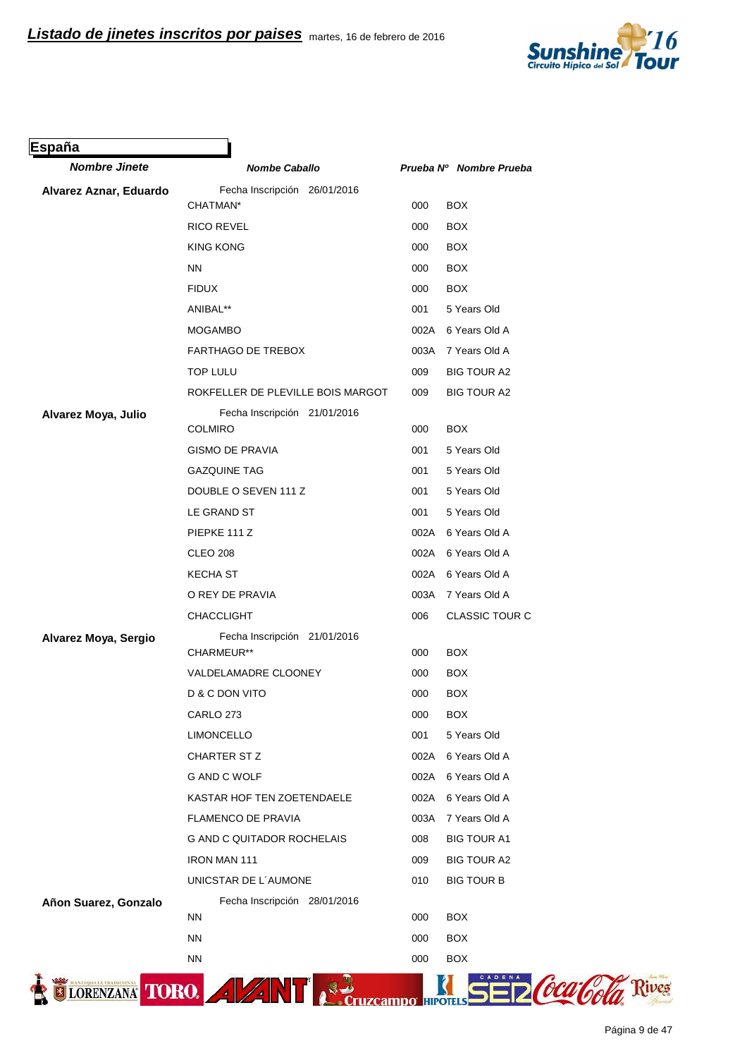

| <b>Nombre Jinete</b>   | <b>Nombe Caballo</b>                           |      | Prueba Nº Nombre Prueba |
|------------------------|------------------------------------------------|------|-------------------------|
| Alvarez Aznar, Eduardo | Fecha Inscripción 26/01/2016                   |      |                         |
|                        | CHATMAN*                                       | 000  | <b>BOX</b>              |
|                        | <b>RICO REVEL</b>                              | 000  | <b>BOX</b>              |
|                        | <b>KING KONG</b>                               | 000  | <b>BOX</b>              |
|                        | <b>NN</b>                                      | 000  | <b>BOX</b>              |
|                        | <b>FIDUX</b>                                   | 000  | <b>BOX</b>              |
|                        | ANIBAL**                                       | 001  | 5 Years Old             |
|                        | <b>MOGAMBO</b>                                 |      | 002A 6 Years Old A      |
|                        | <b>FARTHAGO DE TREBOX</b>                      | 003A | 7 Years Old A           |
|                        | <b>TOP LULU</b>                                | 009  | <b>BIG TOUR A2</b>      |
|                        | ROKFELLER DE PLEVILLE BOIS MARGOT              | 009  | <b>BIG TOUR A2</b>      |
| Alvarez Moya, Julio    | Fecha Inscripción 21/01/2016<br><b>COLMIRO</b> | 000  | <b>BOX</b>              |
|                        | <b>GISMO DE PRAVIA</b>                         | 001  | 5 Years Old             |
|                        | <b>GAZQUINE TAG</b>                            | 001  | 5 Years Old             |
|                        | DOUBLE O SEVEN 111 Z                           | 001  | 5 Years Old             |
|                        | LE GRAND ST                                    | 001  | 5 Years Old             |
|                        | PIEPKE 111 Z                                   |      | 002A 6 Years Old A      |
|                        | <b>CLEO 208</b>                                |      | 002A 6 Years Old A      |
|                        | <b>KECHA ST</b>                                |      | 002A 6 Years Old A      |
|                        | O REY DE PRAVIA                                | 003A | 7 Years Old A           |
|                        | <b>CHACCLIGHT</b>                              | 006  | <b>CLASSIC TOUR C</b>   |
| Alvarez Moya, Sergio   | Fecha Inscripción 21/01/2016<br>CHARMEUR**     | 000  | <b>BOX</b>              |
|                        | VALDELAMADRE CLOONEY                           | 000  | <b>BOX</b>              |
|                        | D & C DON VITO                                 | 000  | <b>BOX</b>              |
|                        | CARLO 273                                      | 000  | <b>BOX</b>              |
|                        | <b>LIMONCELLO</b>                              | 001  | 5 Years Old             |
|                        | CHARTER ST Z                                   | 002A | 6 Years Old A           |
|                        | G AND C WOLF                                   | 002A | 6 Years Old A           |
|                        | KASTAR HOF TEN ZOETENDAELE                     | 002A | 6 Years Old A           |
|                        | <b>FLAMENCO DE PRAVIA</b>                      | 003A | 7 Years Old A           |
|                        | <b>G AND C QUITADOR ROCHELAIS</b>              | 008  | <b>BIG TOUR A1</b>      |
|                        | <b>IRON MAN 111</b>                            | 009  | <b>BIG TOUR A2</b>      |
|                        | UNICSTAR DE L'AUMONE                           | 010  | <b>BIG TOUR B</b>       |
| Añon Suarez, Gonzalo   | Fecha Inscripción 28/01/2016                   |      |                         |
|                        | <b>NN</b>                                      | 000  | <b>BOX</b>              |
|                        | <b>NN</b>                                      | 000  | <b>BOX</b>              |
|                        | <b>NN</b>                                      | 000  | <b>BOX</b>              |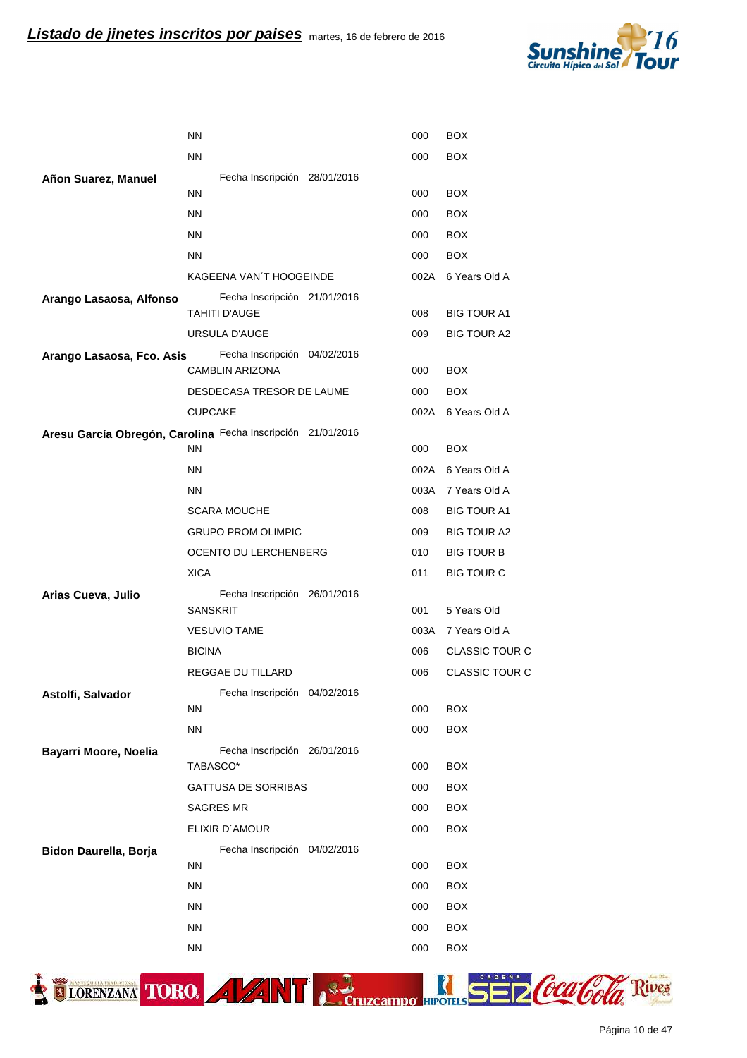

|                           | <b>NN</b>                                                   | 000  | <b>BOX</b>            |
|---------------------------|-------------------------------------------------------------|------|-----------------------|
|                           | <b>NN</b>                                                   | 000  | <b>BOX</b>            |
| Añon Suarez, Manuel       | Fecha Inscripción 28/01/2016                                |      |                       |
|                           | <b>NN</b>                                                   | 000  | <b>BOX</b>            |
|                           | <b>NN</b>                                                   | 000  | <b>BOX</b>            |
|                           | <b>NN</b>                                                   | 000  | <b>BOX</b>            |
|                           | <b>NN</b>                                                   | 000  | <b>BOX</b>            |
|                           | KAGEENA VAN'T HOOGEINDE                                     | 002A | 6 Years Old A         |
| Arango Lasaosa, Alfonso   | Fecha Inscripción 21/01/2016                                |      |                       |
|                           | <b>TAHITI D'AUGE</b>                                        | 008  | <b>BIG TOUR A1</b>    |
|                           | URSULA D'AUGE                                               | 009  | <b>BIG TOUR A2</b>    |
| Arango Lasaosa, Fco. Asis | Fecha Inscripción 04/02/2016<br><b>CAMBLIN ARIZONA</b>      | 000  | <b>BOX</b>            |
|                           | DESDECASA TRESOR DE LAUME                                   | 000  | <b>BOX</b>            |
|                           | <b>CUPCAKE</b>                                              | 002A | 6 Years Old A         |
|                           | Aresu García Obregón, Carolina Fecha Inscripción 21/01/2016 |      |                       |
|                           | <b>NN</b>                                                   | 000  | <b>BOX</b>            |
|                           | <b>NN</b>                                                   | 002A | 6 Years Old A         |
|                           | <b>NN</b>                                                   | 003A | 7 Years Old A         |
|                           | <b>SCARA MOUCHE</b>                                         | 008  | <b>BIG TOUR A1</b>    |
|                           | <b>GRUPO PROM OLIMPIC</b>                                   | 009  | <b>BIG TOUR A2</b>    |
|                           | OCENTO DU LERCHENBERG                                       | 010  | <b>BIG TOUR B</b>     |
|                           | <b>XICA</b>                                                 | 011  | <b>BIG TOUR C</b>     |
| Arias Cueva, Julio        | Fecha Inscripción 26/01/2016<br><b>SANSKRIT</b>             | 001  | 5 Years Old           |
|                           | <b>VESUVIO TAME</b>                                         | 003A | 7 Years Old A         |
|                           | <b>BICINA</b>                                               | 006  | <b>CLASSIC TOUR C</b> |
|                           | <b>REGGAE DU TILLARD</b>                                    | 006  | <b>CLASSIC TOUR C</b> |
| Astolfi, Salvador         | Fecha Inscripción 04/02/2016                                |      |                       |
|                           | <b>NN</b>                                                   | 000  | <b>BOX</b>            |
|                           | <b>NN</b>                                                   | 000  | <b>BOX</b>            |
| Bayarri Moore, Noelia     | Fecha Inscripción 26/01/2016                                |      |                       |
|                           | TABASCO*                                                    | 000  | <b>BOX</b>            |
|                           | <b>GATTUSA DE SORRIBAS</b>                                  | 000  | <b>BOX</b>            |
|                           | <b>SAGRES MR</b>                                            | 000  | <b>BOX</b>            |
|                           | ELIXIR D'AMOUR                                              | 000  | <b>BOX</b>            |
| Bidon Daurella, Borja     | Fecha Inscripción 04/02/2016                                |      |                       |
|                           | <b>NN</b>                                                   | 000  | <b>BOX</b>            |
|                           | <b>NN</b>                                                   | 000  | <b>BOX</b>            |
|                           | <b>NN</b>                                                   | 000  | <b>BOX</b>            |
|                           | <b>NN</b>                                                   | 000  | <b>BOX</b>            |
|                           | <b>NN</b>                                                   | 000  | <b>BOX</b>            |



TIORENZANA TORO. A VANT PEDICITION SED COLORI

Página 10 de 47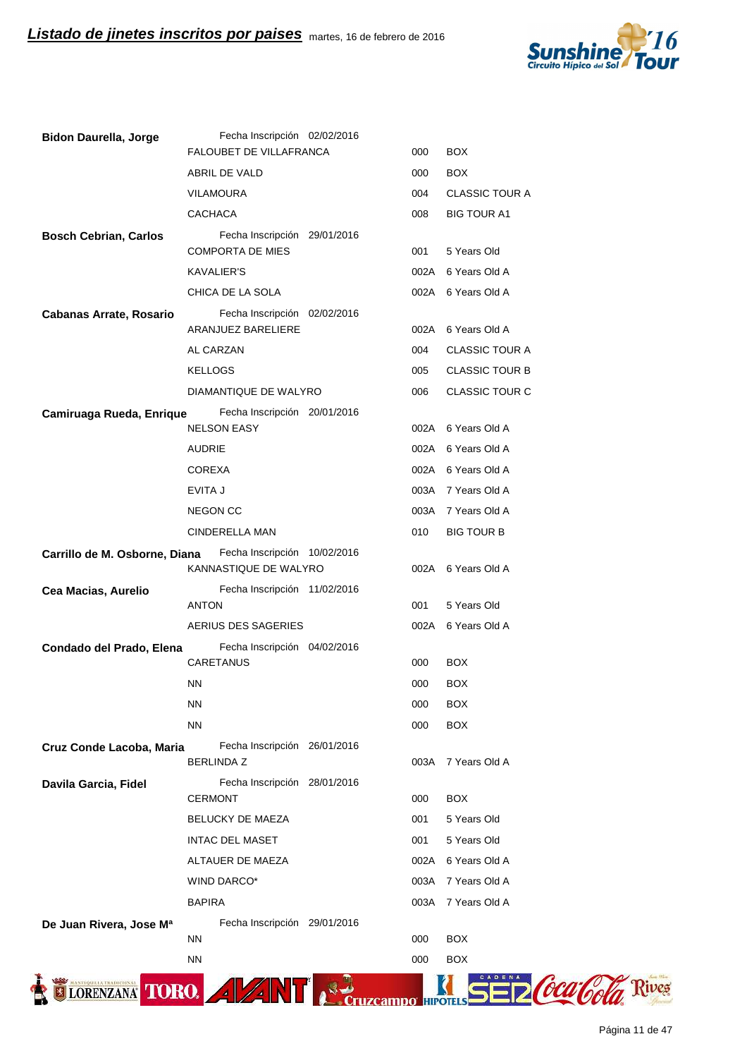

| <b>Bidon Daurella, Jorge</b>                                    | Fecha Inscripción 02/02/2016<br>FALOUBET DE VILLAFRANCA | 000  | <b>BOX</b>            |
|-----------------------------------------------------------------|---------------------------------------------------------|------|-----------------------|
|                                                                 | ABRIL DE VALD                                           | 000  | <b>BOX</b>            |
|                                                                 | <b>VILAMOURA</b>                                        | 004  | <b>CLASSIC TOUR A</b> |
|                                                                 |                                                         |      |                       |
|                                                                 | <b>CACHACA</b>                                          | 008  | <b>BIG TOUR A1</b>    |
| <b>Bosch Cebrian, Carlos</b>                                    | Fecha Inscripción 29/01/2016<br><b>COMPORTA DE MIES</b> | 001  | 5 Years Old           |
|                                                                 | <b>KAVALIER'S</b>                                       |      | 002A 6 Years Old A    |
|                                                                 | CHICA DE LA SOLA                                        |      | 002A 6 Years Old A    |
| Cabanas Arrate, Rosario                                         | Fecha Inscripción 02/02/2016                            |      |                       |
|                                                                 | ARANJUEZ BARELIERE                                      | 002A | 6 Years Old A         |
|                                                                 | AL CARZAN                                               | 004  | <b>CLASSIC TOUR A</b> |
|                                                                 | <b>KELLOGS</b>                                          | 005  | <b>CLASSIC TOUR B</b> |
|                                                                 | DIAMANTIQUE DE WALYRO                                   | 006  | CLASSIC TOUR C        |
| Camiruaga Rueda, Enrique                                        | Fecha Inscripción 20/01/2016                            |      |                       |
|                                                                 | <b>NELSON EASY</b>                                      |      | 002A 6 Years Old A    |
|                                                                 | <b>AUDRIE</b>                                           |      | 002A 6 Years Old A    |
|                                                                 | <b>COREXA</b>                                           |      | 002A 6 Years Old A    |
|                                                                 | EVITA J                                                 |      | 003A 7 Years Old A    |
|                                                                 | <b>NEGON CC</b>                                         |      | 003A 7 Years Old A    |
|                                                                 | <b>CINDERELLA MAN</b>                                   | 010  | <b>BIG TOUR B</b>     |
| Carrillo de M. Osborne, Diana                                   | Fecha Inscripción 10/02/2016<br>KANNASTIQUE DE WALYRO   | 002A | 6 Years Old A         |
| Cea Macias, Aurelio                                             | Fecha Inscripción 11/02/2016                            |      |                       |
|                                                                 | <b>ANTON</b>                                            | 001  | 5 Years Old           |
|                                                                 | AERIUS DES SAGERIES                                     | 002A | 6 Years Old A         |
| Condado del Prado, Elena                                        | Fecha Inscripción 04/02/2016<br>CARETANUS               | 000  | <b>BOX</b>            |
|                                                                 | <b>NN</b>                                               | 000  | <b>BOX</b>            |
|                                                                 | <b>NN</b>                                               | 000  | <b>BOX</b>            |
|                                                                 | <b>NN</b>                                               | 000  | <b>BOX</b>            |
| Cruz Conde Lacoba, Maria                                        | Fecha Inscripción 26/01/2016                            |      |                       |
|                                                                 | <b>BERLINDA Z</b>                                       | 003A | 7 Years Old A         |
| Davila Garcia, Fidel                                            | Fecha Inscripción 28/01/2016                            |      |                       |
|                                                                 | <b>CERMONT</b>                                          | 000  | <b>BOX</b>            |
|                                                                 | BELUCKY DE MAEZA                                        | 001  | 5 Years Old           |
|                                                                 | <b>INTAC DEL MASET</b>                                  | 001  | 5 Years Old           |
|                                                                 | ALTAUER DE MAEZA                                        | 002A | 6 Years Old A         |
|                                                                 | WIND DARCO*                                             | 003A | 7 Years Old A         |
|                                                                 | <b>BAPIRA</b>                                           | 003A | 7 Years Old A         |
| De Juan Rivera, Jose Ma                                         | Fecha Inscripción 29/01/2016<br><b>NN</b>               | 000  | <b>BOX</b>            |
|                                                                 | <b>NN</b>                                               | 000  | BOX                   |
|                                                                 |                                                         |      |                       |
| <b>STEQUILLA TRADICIONAL</b><br><b>TORO.</b><br><b>ORENZANA</b> | $\frac{1}{2}$<br>$\mathbf{Z}$ .                         |      |                       |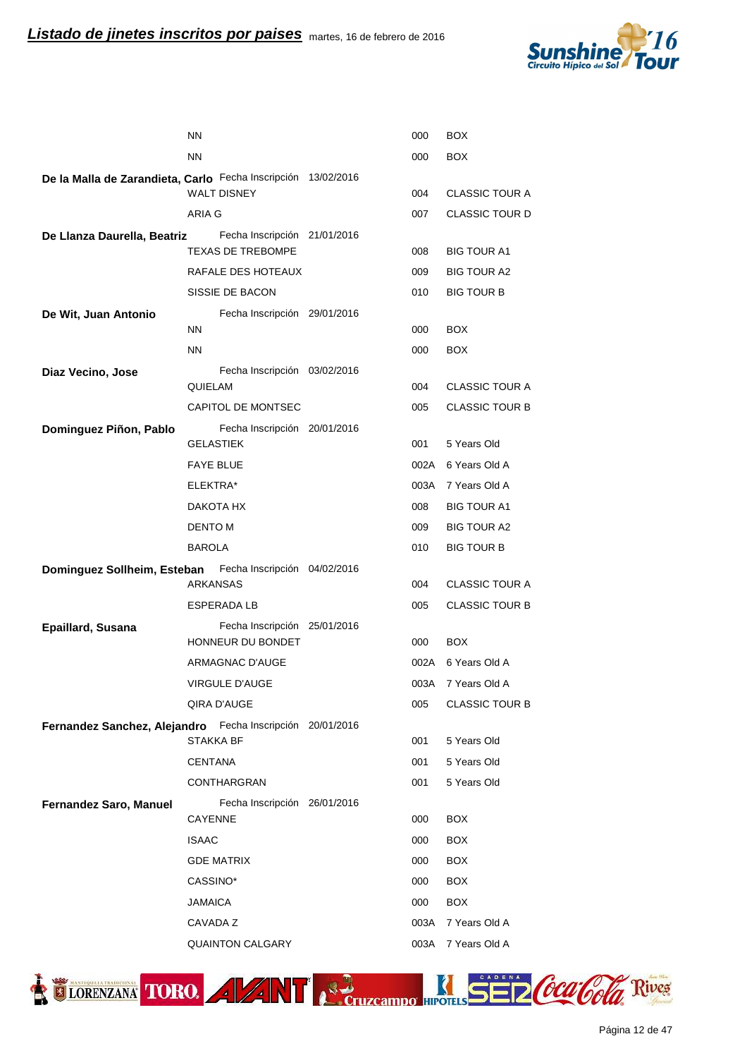

|                                                               | <b>NN</b>                               | 000  | BOX                   |
|---------------------------------------------------------------|-----------------------------------------|------|-----------------------|
|                                                               | <b>NN</b>                               | 000  | <b>BOX</b>            |
| De la Malla de Zarandieta, Carlo Fecha Inscripción 13/02/2016 |                                         |      |                       |
|                                                               | <b>WALT DISNEY</b>                      | 004  | <b>CLASSIC TOUR A</b> |
|                                                               | ARIA G                                  | 007  | <b>CLASSIC TOUR D</b> |
| De Llanza Daurella, Beatriz                                   | Fecha Inscripción 21/01/2016            |      |                       |
|                                                               | <b>TEXAS DE TREBOMPE</b>                | 008  | <b>BIG TOUR A1</b>    |
|                                                               | RAFALE DES HOTEAUX                      | 009  | <b>BIG TOUR A2</b>    |
|                                                               | SISSIE DE BACON                         | 010  | <b>BIG TOUR B</b>     |
| De Wit, Juan Antonio                                          | Fecha Inscripción 29/01/2016            |      |                       |
|                                                               | <b>NN</b>                               | 000  | <b>BOX</b>            |
|                                                               | <b>NN</b>                               | 000  | <b>BOX</b>            |
| Diaz Vecino, Jose                                             | Fecha Inscripción 03/02/2016<br>QUIELAM | 004  | <b>CLASSIC TOUR A</b> |
|                                                               | <b>CAPITOL DE MONTSEC</b>               | 005  | <b>CLASSIC TOUR B</b> |
| Dominguez Piñon, Pablo                                        | Fecha Inscripción 20/01/2016            |      |                       |
|                                                               | <b>GELASTIEK</b>                        | 001  | 5 Years Old           |
|                                                               | <b>FAYE BLUE</b>                        | 002A | 6 Years Old A         |
|                                                               | ELEKTRA*                                |      | 003A 7 Years Old A    |
|                                                               | DAKOTA HX                               | 008  | <b>BIG TOUR A1</b>    |
|                                                               | DENTO M                                 | 009  | <b>BIG TOUR A2</b>    |
|                                                               | <b>BAROLA</b>                           | 010  | <b>BIG TOUR B</b>     |
| Dominguez Sollheim, Esteban                                   | Fecha Inscripción 04/02/2016            |      |                       |
|                                                               | <b>ARKANSAS</b>                         | 004  | <b>CLASSIC TOUR A</b> |
|                                                               | <b>ESPERADA LB</b>                      | 005  | <b>CLASSIC TOUR B</b> |
| Epaillard, Susana                                             | Fecha Inscripción 25/01/2016            |      |                       |
|                                                               | HONNEUR DU BONDET                       | 000  | <b>BOX</b>            |
|                                                               | ARMAGNAC D'AUGE                         | 002A | 6 Years Old A         |
|                                                               | VIRGULE D'AUGE                          | 003A | 7 Years Old A         |
|                                                               | QIRA D'AUGE                             | 005  | <b>CLASSIC TOUR B</b> |
| Fernandez Sanchez, Alejandro Fecha Inscripción 20/01/2016     | STAKKA BF                               | 001  | 5 Years Old           |
|                                                               | <b>CENTANA</b>                          | 001  | 5 Years Old           |
|                                                               | <b>CONTHARGRAN</b>                      | 001  | 5 Years Old           |
|                                                               | Fecha Inscripción 26/01/2016            |      |                       |
| <b>Fernandez Saro, Manuel</b>                                 | <b>CAYENNE</b>                          | 000  | <b>BOX</b>            |
|                                                               | <b>ISAAC</b>                            | 000  | <b>BOX</b>            |
|                                                               | <b>GDE MATRIX</b>                       | 000  | <b>BOX</b>            |
|                                                               | CASSINO*                                | 000  | <b>BOX</b>            |
|                                                               | <b>JAMAICA</b>                          | 000  | <b>BOX</b>            |
|                                                               | CAVADA Z                                | 003A | 7 Years Old A         |
|                                                               | <b>QUAINTON CALGARY</b>                 | 003A | 7 Years Old A         |
|                                                               |                                         |      |                       |



Página 12 de 47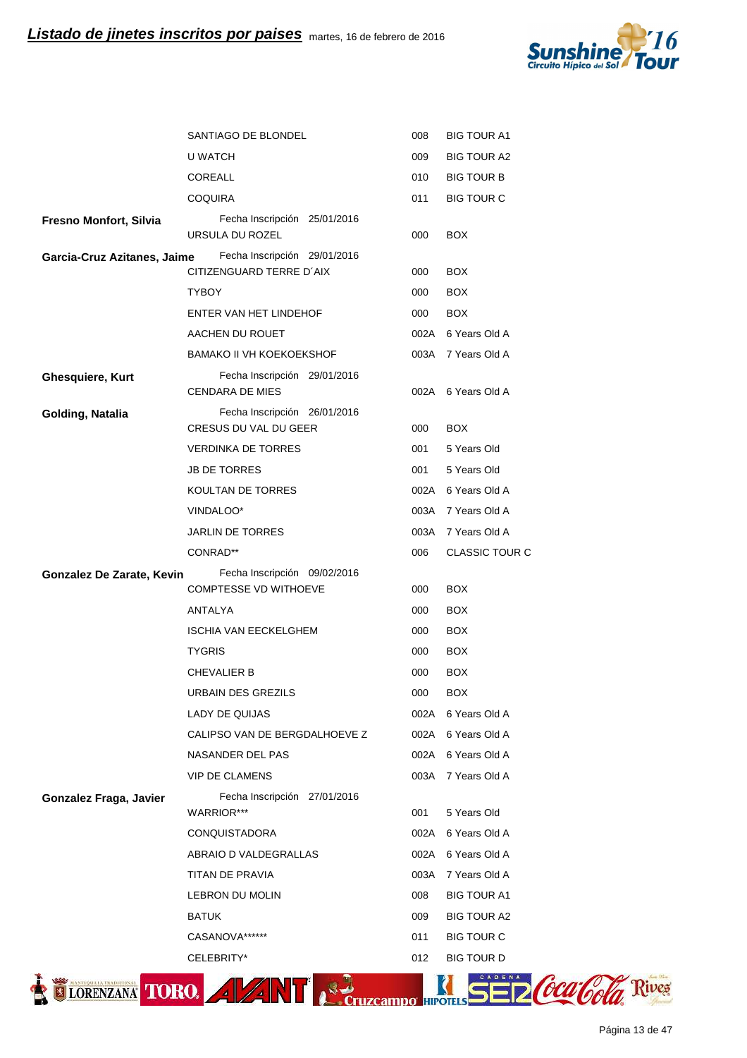

|                             | SANTIAGO DE BLONDEL                                      | 008  | <b>BIG TOUR A1</b>    |
|-----------------------------|----------------------------------------------------------|------|-----------------------|
|                             | U WATCH                                                  | 009  | <b>BIG TOUR A2</b>    |
|                             | COREALL                                                  | 010  | <b>BIG TOUR B</b>     |
|                             | <b>COQUIRA</b>                                           | 011  | <b>BIG TOUR C</b>     |
| Fresno Monfort, Silvia      | Fecha Inscripción 25/01/2016<br>URSULA DU ROZEL          | 000  | <b>BOX</b>            |
| Garcia-Cruz Azitanes, Jaime | Fecha Inscripción 29/01/2016<br>CITIZENGUARD TERRE D'AIX | 000  | <b>BOX</b>            |
|                             | <b>TYBOY</b>                                             | 000  | <b>BOX</b>            |
|                             | ENTER VAN HET LINDEHOF                                   | 000  | <b>BOX</b>            |
|                             | AACHEN DU ROUET                                          |      | 002A 6 Years Old A    |
|                             | <b>BAMAKO II VH KOEKOEKSHOF</b>                          |      | 003A 7 Years Old A    |
| <b>Ghesquiere, Kurt</b>     | Fecha Inscripción 29/01/2016<br><b>CENDARA DE MIES</b>   |      | 002A 6 Years Old A    |
| Golding, Natalia            | Fecha Inscripción 26/01/2016<br>CRESUS DU VAL DU GEER    | 000  | <b>BOX</b>            |
|                             | <b>VERDINKA DE TORRES</b>                                | 001  | 5 Years Old           |
|                             | <b>JB DE TORRES</b>                                      | 001  | 5 Years Old           |
|                             | KOULTAN DE TORRES                                        |      | 002A 6 Years Old A    |
|                             | VINDALOO*                                                |      | 003A 7 Years Old A    |
|                             | JARLIN DE TORRES                                         |      | 003A 7 Years Old A    |
|                             | CONRAD**                                                 | 006  | <b>CLASSIC TOUR C</b> |
| Gonzalez De Zarate, Kevin   | Fecha Inscripción 09/02/2016                             |      |                       |
|                             | <b>COMPTESSE VD WITHOEVE</b>                             | 000  | <b>BOX</b>            |
|                             | ANTALYA                                                  | 000  | <b>BOX</b>            |
|                             | ISCHIA VAN EECKELGHEM                                    | 000  | <b>BOX</b>            |
|                             | TYGRIS                                                   | 000  | <b>BOX</b>            |
|                             | <b>CHEVALIER B</b>                                       | 000  | <b>BOX</b>            |
|                             | <b>URBAIN DES GREZILS</b>                                | 000  | <b>BOX</b>            |
|                             | LADY DE QUIJAS                                           |      | 002A 6 Years Old A    |
|                             | CALIPSO VAN DE BERGDALHOEVE Z                            |      | 002A 6 Years Old A    |
|                             | NASANDER DEL PAS                                         |      | 002A 6 Years Old A    |
|                             | <b>VIP DE CLAMENS</b>                                    |      | 003A 7 Years Old A    |
| Gonzalez Fraga, Javier      | Fecha Inscripción 27/01/2016<br>WARRIOR***               | 001  | 5 Years Old           |
|                             | <b>CONQUISTADORA</b>                                     | 002A | 6 Years Old A         |
|                             | ABRAIO D VALDEGRALLAS                                    |      | 002A 6 Years Old A    |
|                             | TITAN DE PRAVIA                                          |      | 003A 7 Years Old A    |
|                             | LEBRON DU MOLIN                                          | 008  | <b>BIG TOUR A1</b>    |
|                             | <b>BATUK</b>                                             | 009  | <b>BIG TOUR A2</b>    |
|                             | CASANOVA******                                           | 011  | <b>BIG TOUR C</b>     |
|                             | CELEBRITY*                                               | 012  | <b>BIG TOUR D</b>     |

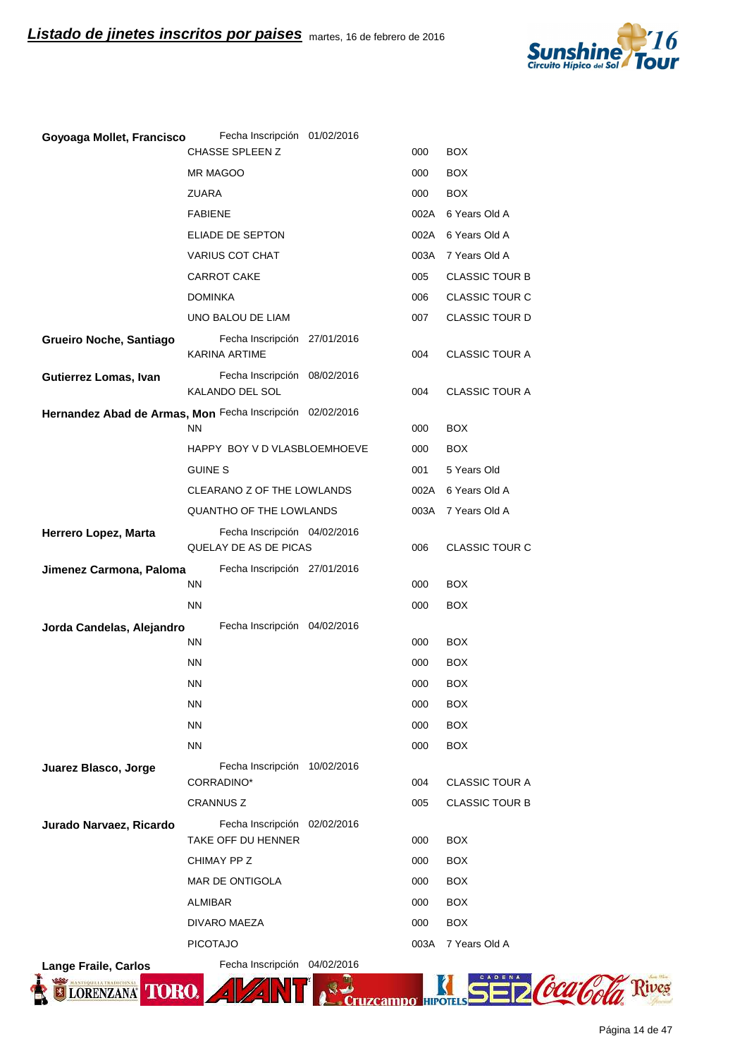

| Goyoaga Mollet, Francisco                                 | Fecha Inscripción 01/02/2016                          |      |                       |
|-----------------------------------------------------------|-------------------------------------------------------|------|-----------------------|
|                                                           | <b>CHASSE SPLEEN Z</b>                                | 000  | <b>BOX</b>            |
|                                                           | MR MAGOO                                              | 000  | <b>BOX</b>            |
|                                                           | ZUARA                                                 | 000  | <b>BOX</b>            |
|                                                           | <b>FABIENE</b>                                        | 002A | 6 Years Old A         |
|                                                           | ELIADE DE SEPTON                                      |      | 002A 6 Years Old A    |
|                                                           | VARIUS COT CHAT                                       | 003A | 7 Years Old A         |
|                                                           | <b>CARROT CAKE</b>                                    | 005  | <b>CLASSIC TOUR B</b> |
|                                                           | <b>DOMINKA</b>                                        | 006  | <b>CLASSIC TOUR C</b> |
|                                                           | UNO BALOU DE LIAM                                     | 007  | <b>CLASSIC TOUR D</b> |
| Grueiro Noche, Santiago                                   | Fecha Inscripción 27/01/2016<br>KARINA ARTIME         | 004  | <b>CLASSIC TOUR A</b> |
| Gutierrez Lomas, Ivan                                     | Fecha Inscripción 08/02/2016<br>KALANDO DEL SOL       | 004  | <b>CLASSIC TOUR A</b> |
| Hernandez Abad de Armas, Mon Fecha Inscripción 02/02/2016 | ΝN                                                    | 000  | <b>BOX</b>            |
|                                                           | HAPPY BOY V D VLASBLOEMHOEVE                          | 000  | <b>BOX</b>            |
|                                                           | <b>GUINE S</b>                                        | 001  | 5 Years Old           |
|                                                           | CLEARANO Z OF THE LOWLANDS                            | 002A | 6 Years Old A         |
|                                                           | <b>QUANTHO OF THE LOWLANDS</b>                        | 003A | 7 Years Old A         |
| Herrero Lopez, Marta                                      | Fecha Inscripción 04/02/2016<br>QUELAY DE AS DE PICAS | 006  | <b>CLASSIC TOUR C</b> |
| Jimenez Carmona, Paloma                                   | Fecha Inscripción 27/01/2016                          |      |                       |
|                                                           | ΝN                                                    | 000  | <b>BOX</b>            |
|                                                           | <b>NN</b>                                             | 000  | <b>BOX</b>            |
| Jorda Candelas, Alejandro                                 | Fecha Inscripción 04/02/2016                          |      |                       |
|                                                           | ΝN                                                    | 000  | <b>BOX</b>            |
|                                                           | <b>NN</b>                                             | 000  | <b>BOX</b>            |
|                                                           | ΝN                                                    | 000  | <b>BOX</b>            |
|                                                           | <b>NN</b>                                             | 000  | <b>BOX</b>            |
|                                                           | <b>NN</b>                                             | 000  | <b>BOX</b>            |
|                                                           | <b>NN</b>                                             | 000  | <b>BOX</b>            |
| Juarez Blasco, Jorge                                      | Fecha Inscripción 10/02/2016<br>CORRADINO*            | 004  | <b>CLASSIC TOUR A</b> |
|                                                           | <b>CRANNUS Z</b>                                      | 005  | <b>CLASSIC TOUR B</b> |
| Jurado Narvaez, Ricardo                                   | Fecha Inscripción 02/02/2016<br>TAKE OFF DU HENNER    | 000  | <b>BOX</b>            |
|                                                           | CHIMAY PP Z                                           | 000  | <b>BOX</b>            |
|                                                           | MAR DE ONTIGOLA                                       | 000  | <b>BOX</b>            |
|                                                           | ALMIBAR                                               | 000  | <b>BOX</b>            |
|                                                           | DIVARO MAEZA                                          | 000  | <b>BOX</b>            |
|                                                           | <b>PICOTAJO</b>                                       | 003A | 7 Years Old A         |
| <b>Lange Fraile, Carlos</b>                               | Fecha Inscripción 04/02/2016                          |      |                       |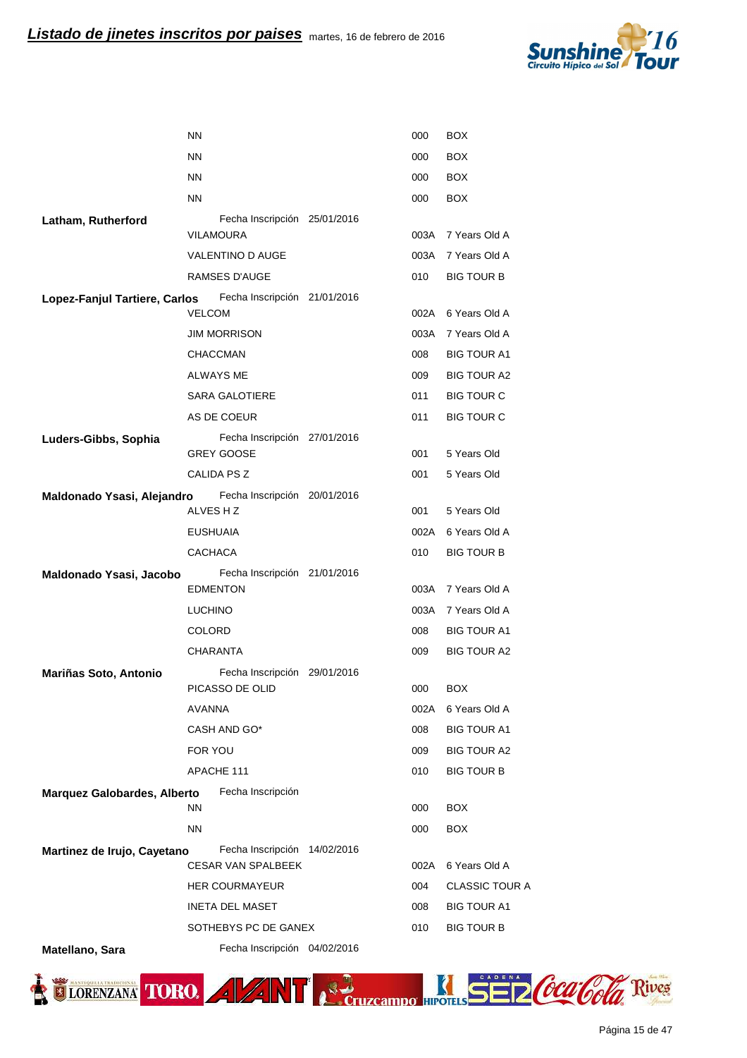

|                                    | <b>NN</b>                                         | 000        | BOX                                     |
|------------------------------------|---------------------------------------------------|------------|-----------------------------------------|
|                                    | <b>NN</b>                                         | 000        | <b>BOX</b>                              |
|                                    | <b>NN</b>                                         | 000        | <b>BOX</b>                              |
|                                    | <b>NN</b>                                         | 000        | <b>BOX</b>                              |
| Latham, Rutherford                 | Fecha Inscripción 25/01/2016                      |            |                                         |
|                                    | VILAMOURA                                         | 003A       | 7 Years Old A                           |
|                                    | VALENTINO D AUGE                                  | 003A       | 7 Years Old A                           |
|                                    | RAMSES D'AUGE                                     | 010        | <b>BIG TOUR B</b>                       |
| Lopez-Fanjul Tartiere, Carlos      | Fecha Inscripción 21/01/2016<br><b>VELCOM</b>     | 002A       | 6 Years Old A                           |
|                                    | <b>JIM MORRISON</b>                               | 003A       | 7 Years Old A                           |
|                                    | <b>CHACCMAN</b>                                   | 008        | <b>BIG TOUR A1</b>                      |
|                                    | <b>ALWAYS ME</b>                                  | 009        | <b>BIG TOUR A2</b>                      |
|                                    | <b>SARA GALOTIERE</b>                             | 011        | <b>BIG TOUR C</b>                       |
|                                    | AS DE COEUR                                       | 011        | <b>BIG TOUR C</b>                       |
| Luders-Gibbs, Sophia               | Fecha Inscripción 27/01/2016<br><b>GREY GOOSE</b> | 001        | 5 Years Old                             |
|                                    | CALIDA PS Z                                       | 001        | 5 Years Old                             |
| Maldonado Ysasi, Alejandro         | Fecha Inscripción 20/01/2016                      |            |                                         |
|                                    | ALVES HZ                                          | 001        | 5 Years Old                             |
|                                    | <b>EUSHUAIA</b>                                   | 002A       | 6 Years Old A                           |
|                                    | <b>CACHACA</b>                                    | 010        | <b>BIG TOUR B</b>                       |
| Maldonado Ysasi, Jacobo            | Fecha Inscripción 21/01/2016                      |            |                                         |
|                                    | <b>EDMENTON</b>                                   | 003A       | 7 Years Old A                           |
|                                    | <b>LUCHINO</b>                                    | 003A       | 7 Years Old A                           |
|                                    | <b>COLORD</b>                                     | 008        | <b>BIG TOUR A1</b>                      |
|                                    | <b>CHARANTA</b>                                   | 009        | <b>BIG TOUR A2</b>                      |
| Mariñas Soto, Antonio              | Fecha Inscripción 29/01/2016                      |            |                                         |
|                                    | PICASSO DE OLID                                   | 000        | <b>BOX</b>                              |
|                                    | <b>AVANNA</b>                                     | 002A       | 6 Years Old A                           |
|                                    | CASH AND GO*                                      | 008        | <b>BIG TOUR A1</b>                      |
|                                    | FOR YOU<br>APACHE 111                             | 009<br>010 | <b>BIG TOUR A2</b><br><b>BIG TOUR B</b> |
|                                    |                                                   |            |                                         |
| <b>Marquez Galobardes, Alberto</b> | Fecha Inscripción<br>ΝN                           | 000        | <b>BOX</b>                              |
|                                    | <b>NN</b>                                         | 000        | <b>BOX</b>                              |
| Martinez de Irujo, Cayetano        | Fecha Inscripción 14/02/2016                      |            |                                         |
|                                    | <b>CESAR VAN SPALBEEK</b>                         | 002A       | 6 Years Old A                           |
|                                    | <b>HER COURMAYEUR</b>                             | 004        | <b>CLASSIC TOUR A</b>                   |
|                                    | <b>INETA DEL MASET</b>                            | 008        | <b>BIG TOUR A1</b>                      |
|                                    | SOTHEBYS PC DE GANEX                              | 010        | <b>BIG TOUR B</b>                       |
| Matellano, Sara                    | Fecha Inscripción 04/02/2016                      |            |                                         |

TIORENZANA TORO. A VANT RECTUZERINDO HIPOTES SE Z COCO COLO Rives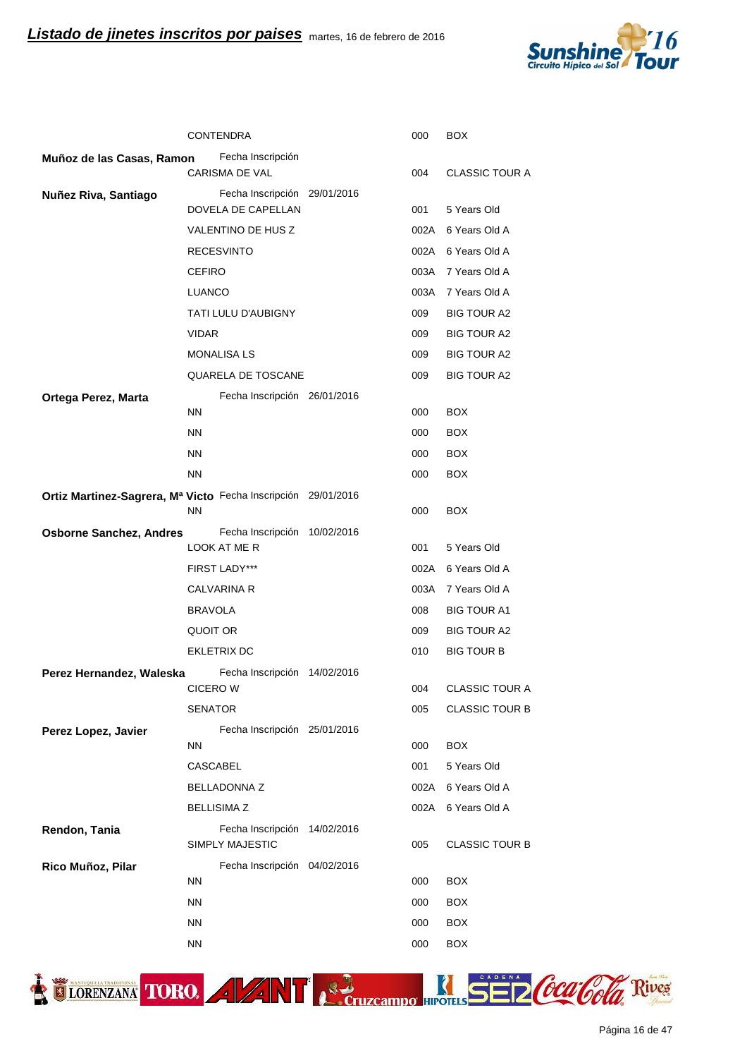

|                                                               |                 | <b>CONTENDRA</b>                                       | 000  | <b>BOX</b>            |
|---------------------------------------------------------------|-----------------|--------------------------------------------------------|------|-----------------------|
| Muñoz de las Casas, Ramon                                     |                 | Fecha Inscripción<br><b>CARISMA DE VAL</b>             | 004  | <b>CLASSIC TOUR A</b> |
| Nuñez Riva, Santiago                                          |                 | Fecha Inscripción 29/01/2016                           |      |                       |
|                                                               |                 | DOVELA DE CAPELLAN                                     | 001  | 5 Years Old           |
|                                                               |                 | VALENTINO DE HUS Z                                     | 002A | 6 Years Old A         |
|                                                               |                 | <b>RECESVINTO</b>                                      |      | 002A 6 Years Old A    |
|                                                               | <b>CEFIRO</b>   |                                                        |      | 003A 7 Years Old A    |
|                                                               | LUANCO          |                                                        |      | 003A 7 Years Old A    |
|                                                               |                 | TATI LULU D'AUBIGNY                                    | 009  | <b>BIG TOUR A2</b>    |
|                                                               | <b>VIDAR</b>    |                                                        | 009  | BIG TOUR A2           |
|                                                               |                 | <b>MONALISA LS</b>                                     | 009  | BIG TOUR A2           |
|                                                               |                 | QUARELA DE TOSCANE                                     | 009  | <b>BIG TOUR A2</b>    |
| Ortega Perez, Marta                                           |                 | Fecha Inscripción 26/01/2016                           |      |                       |
|                                                               | <b>NN</b>       |                                                        | 000  | <b>BOX</b>            |
|                                                               | <b>NN</b>       |                                                        | 000  | <b>BOX</b>            |
|                                                               | <b>NN</b>       |                                                        | 000  | <b>BOX</b>            |
|                                                               | <b>NN</b>       |                                                        | 000  | <b>BOX</b>            |
| Ortiz Martinez-Sagrera, Mª Victo Fecha Inscripción 29/01/2016 | <b>NN</b>       |                                                        | 000  | <b>BOX</b>            |
| <b>Osborne Sanchez, Andres</b>                                |                 | Fecha Inscripción 10/02/2016                           |      |                       |
|                                                               |                 | LOOK AT ME R                                           | 001  | 5 Years Old           |
|                                                               |                 | <b>FIRST LADY***</b>                                   | 002A | 6 Years Old A         |
|                                                               |                 | <b>CALVARINA R</b>                                     | 003A | 7 Years Old A         |
|                                                               | <b>BRAVOLA</b>  |                                                        | 008  | <b>BIG TOUR A1</b>    |
|                                                               | QUOIT OR        |                                                        | 009  | <b>BIG TOUR A2</b>    |
|                                                               |                 | <b>EKLETRIX DC</b>                                     | 010  | <b>BIG TOUR B</b>     |
| Perez Hernandez, Waleska                                      |                 | Fecha Inscripción 14/02/2016                           |      |                       |
|                                                               | <b>CICERO W</b> |                                                        | 004  | <b>CLASSIC TOUR A</b> |
|                                                               | <b>SENATOR</b>  |                                                        | 005  | <b>CLASSIC TOUR B</b> |
| Perez Lopez, Javier                                           | NN.             | Fecha Inscripción 25/01/2016                           | 000  | <b>BOX</b>            |
|                                                               | CASCABEL        |                                                        | 001  | 5 Years Old           |
|                                                               |                 | <b>BELLADONNA Z</b>                                    | 002A | 6 Years Old A         |
|                                                               |                 | <b>BELLISIMA Z</b>                                     | 002A | 6 Years Old A         |
| Rendon, Tania                                                 |                 | Fecha Inscripción 14/02/2016<br><b>SIMPLY MAJESTIC</b> | 005  | <b>CLASSIC TOUR B</b> |
|                                                               |                 | Fecha Inscripción 04/02/2016                           |      |                       |
| Rico Muñoz, Pilar                                             | NN.             |                                                        | 000  | <b>BOX</b>            |
|                                                               | NN.             |                                                        | 000  | <b>BOX</b>            |
|                                                               | <b>NN</b>       |                                                        | 000  | <b>BOX</b>            |
|                                                               | NN.             |                                                        | 000  | <b>BOX</b>            |



ELORENZANA TORO. A VANT A Cruzcampo HIPOTILS SE DCCCCOCO Rives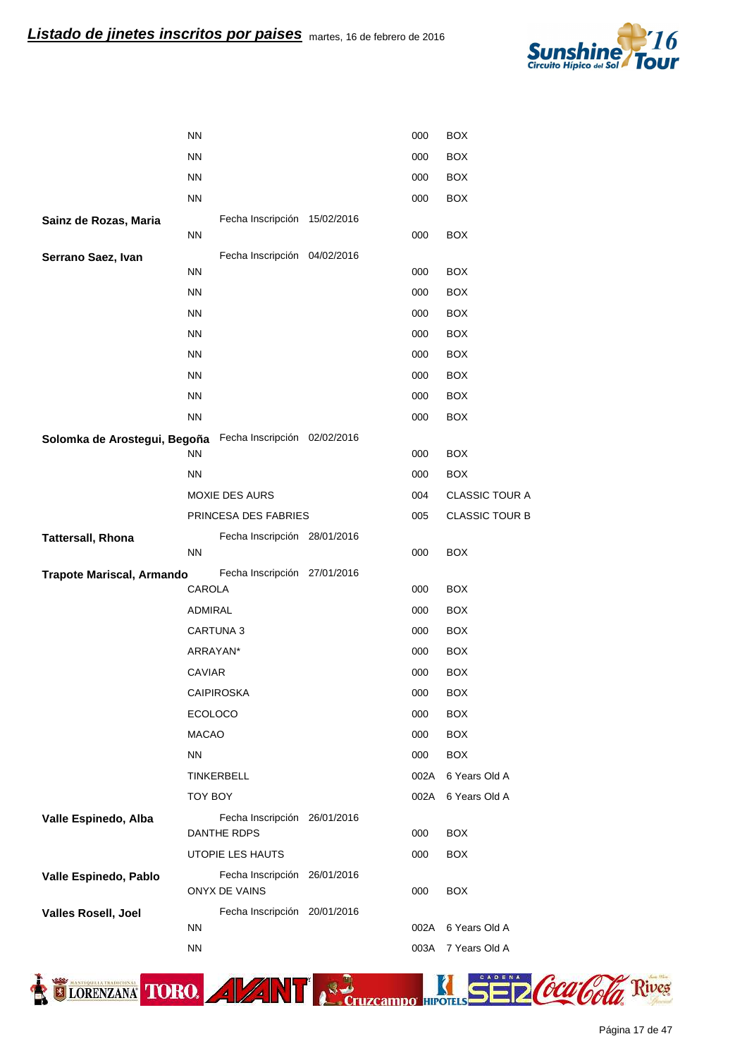

|                                                           | <b>NN</b>      |                                                      | 000  | <b>BOX</b>            |
|-----------------------------------------------------------|----------------|------------------------------------------------------|------|-----------------------|
|                                                           | <b>NN</b>      |                                                      | 000  | <b>BOX</b>            |
|                                                           | <b>NN</b>      |                                                      | 000  | <b>BOX</b>            |
|                                                           | <b>NN</b>      |                                                      | 000  | <b>BOX</b>            |
| Sainz de Rozas, Maria                                     |                | Fecha Inscripción 15/02/2016                         |      |                       |
|                                                           | <b>NN</b>      |                                                      | 000  | <b>BOX</b>            |
| Serrano Saez, Ivan                                        |                | Fecha Inscripción 04/02/2016                         |      |                       |
|                                                           | <b>NN</b>      |                                                      | 000  | <b>BOX</b>            |
|                                                           | <b>NN</b>      |                                                      | 000  | <b>BOX</b>            |
|                                                           | <b>NN</b>      |                                                      | 000  | <b>BOX</b>            |
|                                                           | <b>NN</b>      |                                                      | 000  | <b>BOX</b>            |
|                                                           | <b>NN</b>      |                                                      | 000  | <b>BOX</b>            |
|                                                           | <b>NN</b>      |                                                      | 000  | <b>BOX</b>            |
|                                                           | <b>NN</b>      |                                                      | 000  | <b>BOX</b>            |
|                                                           | <b>NN</b>      |                                                      | 000  | <b>BOX</b>            |
| Solomka de Arostegui, Begoña Fecha Inscripción 02/02/2016 | <b>NN</b>      |                                                      | 000  | <b>BOX</b>            |
|                                                           | <b>NN</b>      |                                                      | 000  | <b>BOX</b>            |
|                                                           |                | <b>MOXIE DES AURS</b>                                | 004  | <b>CLASSIC TOUR A</b> |
|                                                           |                | PRINCESA DES FABRIES                                 | 005  | <b>CLASSIC TOUR B</b> |
| <b>Tattersall, Rhona</b>                                  |                | Fecha Inscripción 28/01/2016                         |      |                       |
|                                                           | NN.            |                                                      | 000  | <b>BOX</b>            |
| <b>Trapote Mariscal, Armando</b>                          |                | Fecha Inscripción 27/01/2016                         |      |                       |
|                                                           | <b>CAROLA</b>  |                                                      | 000  | <b>BOX</b>            |
|                                                           | ADMIRAL        |                                                      | 000  | <b>BOX</b>            |
|                                                           |                | CARTUNA 3                                            | 000  | <b>BOX</b>            |
|                                                           | ARRAYAN*       |                                                      | 000  | <b>BOX</b>            |
|                                                           | CAVIAR         |                                                      | 000  | <b>BOX</b>            |
|                                                           |                | <b>CAIPIROSKA</b>                                    | 000  | <b>BOX</b>            |
|                                                           | <b>ECOLOCO</b> |                                                      | 000  | <b>BOX</b>            |
|                                                           | <b>MACAO</b>   |                                                      | 000  | <b>BOX</b>            |
|                                                           | <b>NN</b>      |                                                      | 000  | <b>BOX</b>            |
|                                                           |                | TINKERBELL                                           | 002A | 6 Years Old A         |
|                                                           | TOY BOY        |                                                      | 002A | 6 Years Old A         |
| Valle Espinedo, Alba                                      |                | Fecha Inscripción 26/01/2016                         |      |                       |
|                                                           |                | DANTHE RDPS                                          | 000  | <b>BOX</b>            |
|                                                           |                | UTOPIE LES HAUTS                                     | 000  | <b>BOX</b>            |
| Valle Espinedo, Pablo                                     |                | Fecha Inscripción 26/01/2016<br><b>ONYX DE VAINS</b> | 000  | <b>BOX</b>            |
| Valles Rosell, Joel                                       |                | Fecha Inscripción 20/01/2016                         |      |                       |
|                                                           | <b>NN</b>      |                                                      | 002A | 6 Years Old A         |
|                                                           | <b>NN</b>      |                                                      | 003A | 7 Years Old A         |
|                                                           |                |                                                      |      |                       |



Página 17 de 47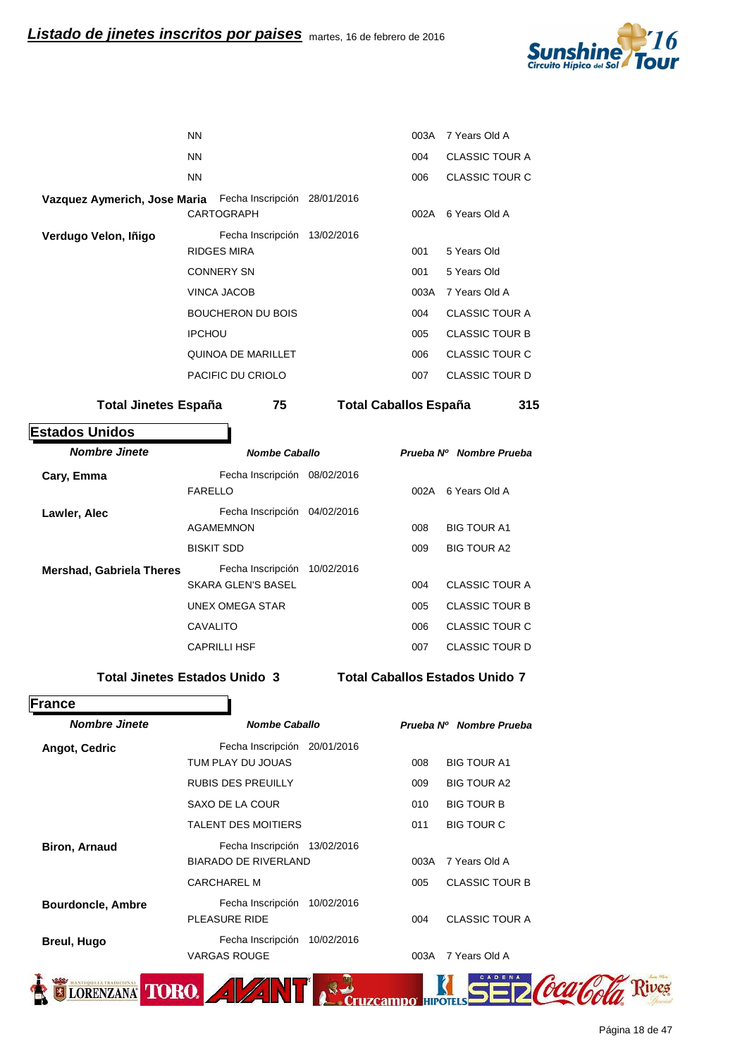

|                                                           | <b>NN</b>                               |            | 003A | 7 Years Old A         |
|-----------------------------------------------------------|-----------------------------------------|------------|------|-----------------------|
|                                                           | <b>NN</b>                               |            | 004  | <b>CLASSIC TOUR A</b> |
|                                                           | <b>NN</b>                               |            | 006  | <b>CLASSIC TOUR C</b> |
| Vazquez Aymerich, Jose Maria Fecha Inscripción 28/01/2016 | <b>CARTOGRAPH</b>                       |            | 002A | 6 Years Old A         |
| Verdugo Velon, Iñigo                                      | Fecha Inscripción<br><b>RIDGES MIRA</b> | 13/02/2016 | 001  | 5 Years Old           |
|                                                           | <b>CONNERY SN</b>                       |            | 001  | 5 Years Old           |
|                                                           | VINCA JACOB                             |            | 003A | 7 Years Old A         |
|                                                           | <b>BOUCHERON DU BOIS</b>                |            | 004  | <b>CLASSIC TOUR A</b> |
|                                                           | <b>IPCHOU</b>                           |            | 005  | <b>CLASSIC TOUR B</b> |
|                                                           | QUINOA DE MARILLET                      |            | 006  | CLASSIC TOUR C        |
|                                                           | PACIFIC DU CRIOLO                       |            | 007  | <b>CLASSIC TOUR D</b> |
|                                                           |                                         |            |      |                       |

**Total Jinetes España 75 España 315 Total Caballos**

**Estados Unidos** h

| <b>Nombre Jinete</b>     | <b>Nombe Caballo</b>         |            |      | Prueba Nº Nombre Prueba |
|--------------------------|------------------------------|------------|------|-------------------------|
| Cary, Emma               | Fecha Inscripción<br>FARELLO | 08/02/2016 | 002A | 6 Years Old A           |
| Lawler, Alec             | Fecha Inscripción            | 04/02/2016 |      |                         |
|                          | <b>AGAMEMNON</b>             |            | 008  | <b>BIG TOUR A1</b>      |
|                          | <b>BISKIT SDD</b>            |            | 009  | <b>BIG TOUR A2</b>      |
| Mershad, Gabriela Theres | Fecha Inscripción            | 10/02/2016 |      |                         |
|                          | <b>SKARA GLEN'S BASEL</b>    |            | 004  | <b>CLASSIC TOUR A</b>   |
|                          | <b>UNEX OMEGA STAR</b>       |            | 005  | <b>CLASSIC TOUR B</b>   |
|                          | <b>CAVALITO</b>              |            | 006  | <b>CLASSIC TOUR C</b>   |
|                          | <b>CAPRILLI HSF</b>          |            | 007  | CLASSIC TOUR D          |

**Total Jinetes Estados Unido 3** Total Caballos Estados Unido 7

| France                   |                              |            |      |                         |
|--------------------------|------------------------------|------------|------|-------------------------|
| <b>Nombre Jinete</b>     | <b>Nombe Caballo</b>         |            |      | Prueba Nº Nombre Prueba |
| Angot, Cedric            | Fecha Inscripción            | 20/01/2016 |      |                         |
|                          | TUM PLAY DU JOUAS            |            | 008  | <b>BIG TOUR A1</b>      |
|                          | <b>RUBIS DES PREUILLY</b>    |            | 009  | <b>BIG TOUR A2</b>      |
|                          | SAXO DE LA COUR              |            | 010  | <b>BIG TOUR B</b>       |
|                          | <b>TALENT DES MOITIERS</b>   |            | 011  | <b>BIG TOUR C</b>       |
| <b>Biron, Arnaud</b>     | Fecha Inscripción 13/02/2016 |            |      |                         |
|                          | <b>BIARADO DE RIVERLAND</b>  |            | 003A | 7 Years Old A           |
|                          | <b>CARCHAREL M</b>           |            | 005  | <b>CLASSIC TOUR B</b>   |
| <b>Bourdoncle, Ambre</b> | Fecha Inscripción            | 10/02/2016 |      |                         |
|                          | <b>PLEASURE RIDE</b>         |            | 004  | <b>CLASSIC TOUR A</b>   |
| <b>Breul, Hugo</b>       | Fecha Inscripción            | 10/02/2016 |      |                         |
|                          | <b>VARGAS ROUGE</b>          |            | 003A | 7 Years Old A           |
| LORENZANA TORO.          |                              |            |      |                         |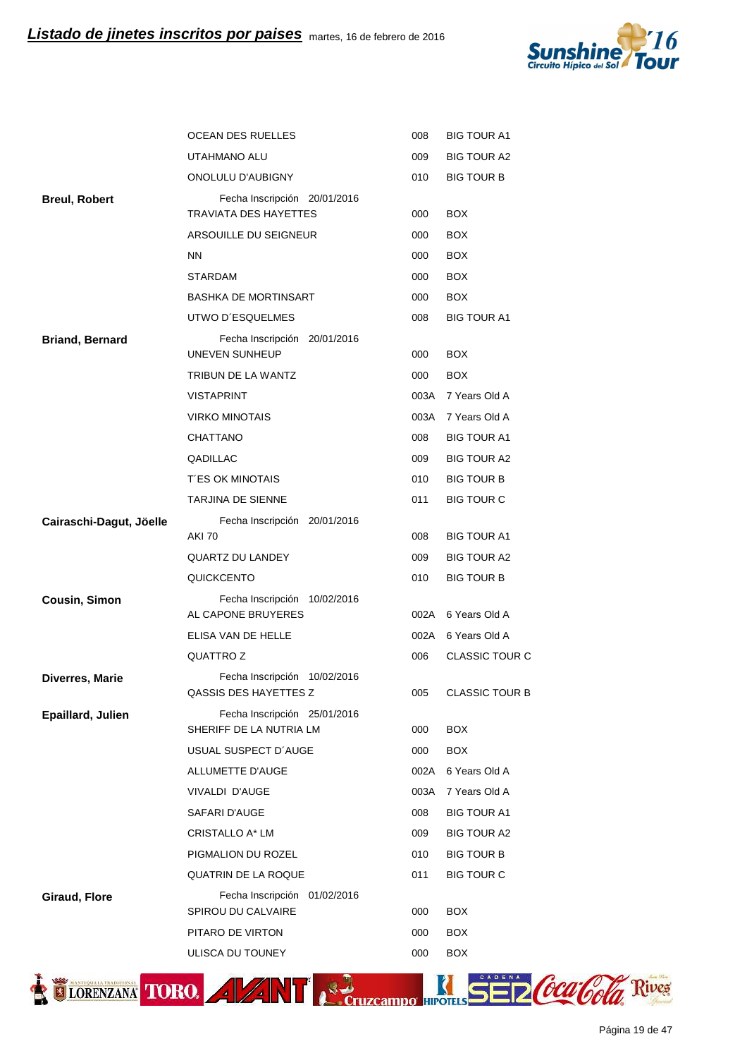

|                         | OCEAN DES RUELLES                                            | 008  | <b>BIG TOUR A1</b>    |
|-------------------------|--------------------------------------------------------------|------|-----------------------|
|                         | UTAHMANO ALU                                                 | 009  | <b>BIG TOUR A2</b>    |
|                         | ONOLULU D'AUBIGNY                                            | 010  | <b>BIG TOUR B</b>     |
| <b>Breul, Robert</b>    | Fecha Inscripción 20/01/2016<br><b>TRAVIATA DES HAYETTES</b> | 000  | <b>BOX</b>            |
|                         | ARSOUILLE DU SEIGNEUR                                        | 000  | <b>BOX</b>            |
|                         | <b>NN</b>                                                    | 000  | <b>BOX</b>            |
|                         | <b>STARDAM</b>                                               | 000  | <b>BOX</b>            |
|                         | <b>BASHKA DE MORTINSART</b>                                  | 000  | <b>BOX</b>            |
|                         | UTWO D'ESQUELMES                                             | 008  | <b>BIG TOUR A1</b>    |
| <b>Briand, Bernard</b>  | Fecha Inscripción 20/01/2016<br>UNEVEN SUNHEUP               | 000  | <b>BOX</b>            |
|                         | TRIBUN DE LA WANTZ                                           | 000  | <b>BOX</b>            |
|                         | <b>VISTAPRINT</b>                                            | 003A | 7 Years Old A         |
|                         | <b>VIRKO MINOTAIS</b>                                        | 003A | 7 Years Old A         |
|                         | CHATTANO                                                     | 008  | <b>BIG TOUR A1</b>    |
|                         | QADILLAC                                                     | 009  | <b>BIG TOUR A2</b>    |
|                         | <b>T'ES OK MINOTAIS</b>                                      | 010  | <b>BIG TOUR B</b>     |
|                         | <b>TARJINA DE SIENNE</b>                                     | 011  | <b>BIG TOUR C</b>     |
| Cairaschi-Dagut, Jöelle | Fecha Inscripción 20/01/2016<br><b>AKI 70</b>                | 008  | <b>BIG TOUR A1</b>    |
|                         | <b>QUARTZ DU LANDEY</b>                                      | 009  | <b>BIG TOUR A2</b>    |
|                         | QUICKCENTO                                                   | 010  | <b>BIG TOUR B</b>     |
| Cousin, Simon           | Fecha Inscripción 10/02/2016<br>AL CAPONE BRUYERES           | 002A | 6 Years Old A         |
|                         | ELISA VAN DE HELLE                                           |      | 002A 6 Years Old A    |
|                         | QUATTRO Z                                                    | 006  | <b>CLASSIC TOUR C</b> |
| <b>Diverres, Marie</b>  | Fecha Inscripción 10/02/2016<br>QASSIS DES HAYETTES Z        | 005  | <b>CLASSIC TOUR B</b> |
| Epaillard, Julien       | Fecha Inscripción 25/01/2016                                 |      |                       |
|                         | SHERIFF DE LA NUTRIA LM                                      | 000  | <b>BOX</b>            |
|                         | USUAL SUSPECT D'AUGE                                         | 000  | <b>BOX</b>            |
|                         | ALLUMETTE D'AUGE                                             | 002A | 6 Years Old A         |
|                         | VIVALDI D'AUGE                                               | 003A | 7 Years Old A         |
|                         | SAFARI D'AUGE                                                | 008  | <b>BIG TOUR A1</b>    |
|                         | <b>CRISTALLO A* LM</b>                                       | 009  | <b>BIG TOUR A2</b>    |
|                         | PIGMALION DU ROZEL                                           | 010  | <b>BIG TOUR B</b>     |
|                         | <b>QUATRIN DE LA ROQUE</b>                                   | 011  | <b>BIG TOUR C</b>     |
| <b>Giraud, Flore</b>    | Fecha Inscripción 01/02/2016<br>SPIROU DU CALVAIRE           | 000  | <b>BOX</b>            |
|                         | PITARO DE VIRTON                                             | 000  | <b>BOX</b>            |
|                         | ULISCA DU TOUNEY                                             | 000  | <b>BOX</b>            |
|                         |                                                              |      |                       |

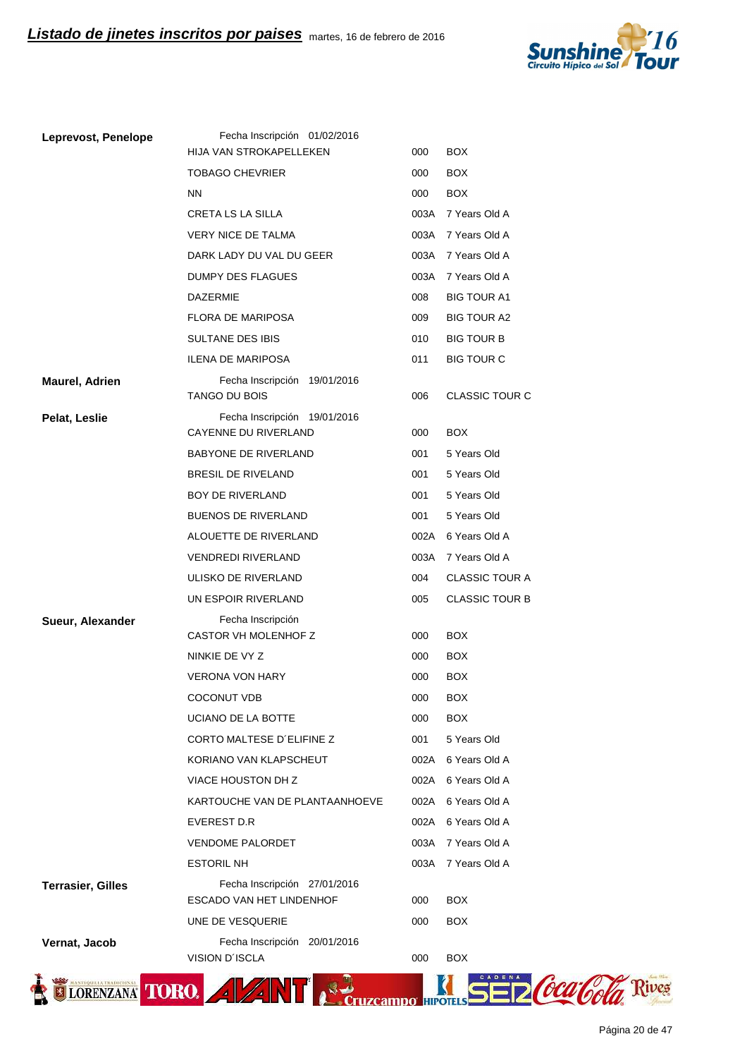

| Leprevost, Penelope      | Fecha Inscripción 01/02/2016                         |      |                       |
|--------------------------|------------------------------------------------------|------|-----------------------|
|                          | HIJA VAN STROKAPELLEKEN                              | 000  | <b>BOX</b>            |
|                          | <b>TOBAGO CHEVRIER</b>                               | 000  | <b>BOX</b>            |
|                          | <b>NN</b>                                            | 000  | <b>BOX</b>            |
|                          | <b>CRETA LS LA SILLA</b>                             |      | 003A 7 Years Old A    |
|                          | <b>VERY NICE DE TALMA</b>                            | 003A | 7 Years Old A         |
|                          | DARK LADY DU VAL DU GEER                             | 003A | 7 Years Old A         |
|                          | DUMPY DES FLAGUES                                    | 003A | 7 Years Old A         |
|                          | <b>DAZERMIE</b>                                      | 008  | <b>BIG TOUR A1</b>    |
|                          | <b>FLORA DE MARIPOSA</b>                             | 009  | <b>BIG TOUR A2</b>    |
|                          | <b>SULTANE DES IBIS</b>                              | 010  | <b>BIG TOUR B</b>     |
|                          | <b>ILENA DE MARIPOSA</b>                             | 011  | <b>BIG TOUR C</b>     |
| Maurel, Adrien           | Fecha Inscripción 19/01/2016<br><b>TANGO DU BOIS</b> | 006  | <b>CLASSIC TOUR C</b> |
| Pelat, Leslie            | Fecha Inscripción 19/01/2016                         |      |                       |
|                          | CAYENNE DU RIVERLAND                                 | 000  | <b>BOX</b>            |
|                          | BABYONE DE RIVERLAND                                 | 001  | 5 Years Old           |
|                          | <b>BRESIL DE RIVELAND</b>                            | 001  | 5 Years Old           |
|                          | BOY DE RIVERLAND                                     | 001  | 5 Years Old           |
|                          | <b>BUENOS DE RIVERLAND</b>                           | 001  | 5 Years Old           |
|                          | ALOUETTE DE RIVERLAND                                | 002A | 6 Years Old A         |
|                          | <b>VENDREDI RIVERLAND</b>                            | 003A | 7 Years Old A         |
|                          | ULISKO DE RIVERLAND                                  | 004  | <b>CLASSIC TOUR A</b> |
|                          | UN ESPOIR RIVERLAND                                  | 005  | <b>CLASSIC TOUR B</b> |
| Sueur, Alexander         | Fecha Inscripción<br>CASTOR VH MOLENHOF Z            | 000  | <b>BOX</b>            |
|                          | NINKIE DE VY Z                                       | 000  | <b>BOX</b>            |
|                          | <b>VERONA VON HARY</b>                               | 000  | <b>BOX</b>            |
|                          | <b>COCONUT VDB</b>                                   | 000  | <b>BOX</b>            |
|                          | UCIANO DE LA BOTTE                                   | 000  | <b>BOX</b>            |
|                          | CORTO MALTESE D'ELIFINE Z                            | 001  | 5 Years Old           |
|                          | KORIANO VAN KLAPSCHEUT                               | 002A | 6 Years Old A         |
|                          | VIACE HOUSTON DH Z                                   | 002A | 6 Years Old A         |
|                          | KARTOUCHE VAN DE PLANTAANHOEVE                       | 002A | 6 Years Old A         |
|                          | EVEREST D.R                                          | 002A | 6 Years Old A         |
|                          | <b>VENDOME PALORDET</b>                              | 003A | 7 Years Old A         |
|                          | <b>ESTORIL NH</b>                                    | 003A | 7 Years Old A         |
| <b>Terrasier, Gilles</b> | Fecha Inscripción 27/01/2016                         |      |                       |
|                          | <b>ESCADO VAN HET LINDENHOF</b>                      | 000  | <b>BOX</b>            |
|                          | UNE DE VESQUERIE                                     | 000  | <b>BOX</b>            |
| Vernat, Jacob            | Fecha Inscripción 20/01/2016<br>VISION D'ISCLA       | 000  | <b>BOX</b>            |
|                          |                                                      |      |                       |
| <b>CORENZANA</b>         | <b>TORO.</b><br>$\frac{1}{2}$                        |      |                       |
|                          |                                                      |      |                       |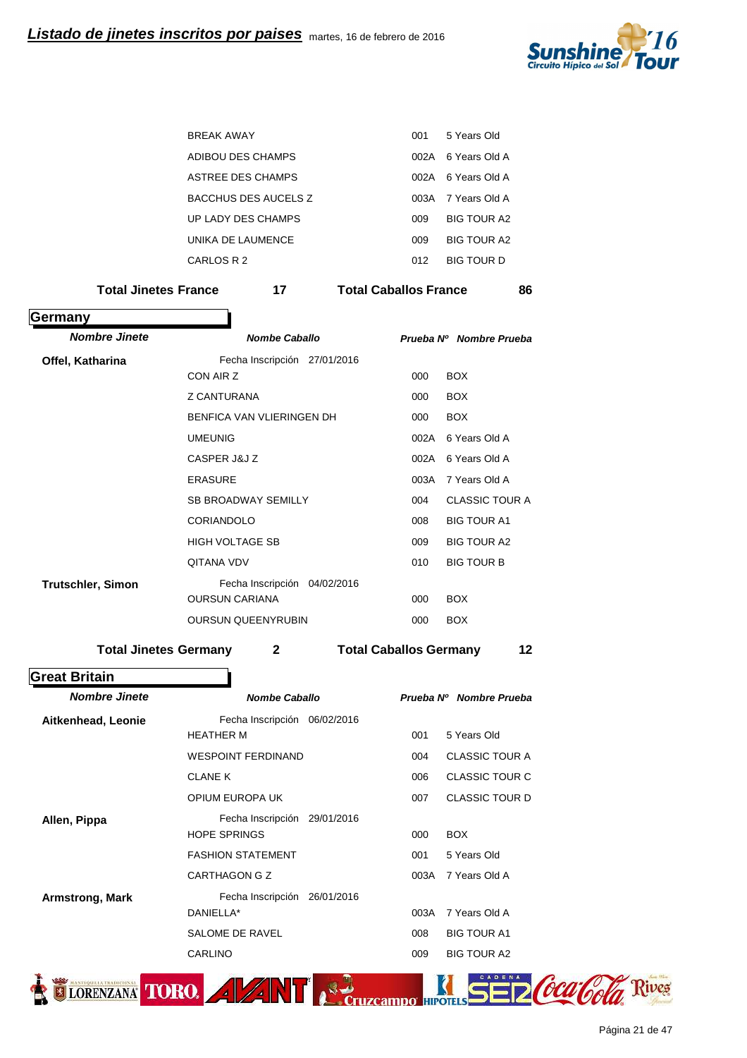

| <b>BRFAK AWAY</b>    | 001  | 5 Years Old        |
|----------------------|------|--------------------|
| ADIBOU DES CHAMPS    | 002A | - 6 Years Old A    |
| ASTREE DES CHAMPS    |      | 002A 6 Years Old A |
| BACCHUS DES AUCELS Z |      | 003A 7 Years Old A |
| UP LADY DES CHAMPS   | 009  | <b>BIG TOUR A2</b> |
| UNIKA DE LAUMENCE    | 009  | BIG TOUR A?        |
| CARLOS R 2           | 012  | BIG TOUR D         |
|                      |      |                    |

Total Jinetes France **17 Total Caballos France** 86

| Germany                  |                                              |                               |                         |
|--------------------------|----------------------------------------------|-------------------------------|-------------------------|
| <b>Nombre Jinete</b>     | <b>Nombe Caballo</b>                         |                               | Prueba Nº Nombre Prueba |
| Offel, Katharina         | Fecha Inscripción 27/01/2016                 |                               |                         |
|                          | CON AIR Z                                    | 000                           | <b>BOX</b>              |
|                          | <b>Z CANTURANA</b>                           | 000                           | <b>BOX</b>              |
|                          | BENFICA VAN VLIERINGEN DH                    | 000                           | <b>BOX</b>              |
|                          | <b>UMEUNIG</b>                               | 002A                          | 6 Years Old A           |
|                          | CASPER J&J Z                                 | 002A                          | 6 Years Old A           |
|                          | <b>ERASURE</b>                               | 003A                          | 7 Years Old A           |
|                          | <b>SB BROADWAY SEMILLY</b>                   | 004                           | <b>CLASSIC TOUR A</b>   |
|                          | <b>CORIANDOLO</b>                            | 008                           | <b>BIG TOUR A1</b>      |
|                          | <b>HIGH VOLTAGE SB</b>                       | 009                           | <b>BIG TOUR A2</b>      |
|                          | <b>QITANA VDV</b>                            | 010                           | <b>BIG TOUR B</b>       |
| <b>Trutschler, Simon</b> | Fecha Inscripción 04/02/2016                 |                               |                         |
|                          | <b>OURSUN CARIANA</b>                        | 000                           | <b>BOX</b>              |
|                          | <b>OURSUN QUEENYRUBIN</b>                    | 000                           | <b>BOX</b>              |
|                          | <b>Total Jinetes Germany</b><br>$\mathbf{2}$ | <b>Total Caballos Germany</b> | 12                      |
| <b>Great Britain</b>     |                                              |                               |                         |

| <b>Nombe Caballo</b>            |                  | Prueba Nº Nombre Prueba |
|---------------------------------|------------------|-------------------------|
| Fecha Inscripción<br>06/02/2016 |                  |                         |
|                                 |                  | 5 Years Old             |
| <b>WESPOINT FERDINAND</b>       | 004              | <b>CLASSIC TOUR A</b>   |
| <b>CLANE K</b>                  | 006              | <b>CLASSIC TOUR C</b>   |
| OPIUM EUROPA UK                 | 007              | <b>CLASSIC TOUR D</b>   |
| Fecha Inscripción 29/01/2016    |                  |                         |
| <b>HOPE SPRINGS</b>             | 000              | <b>BOX</b>              |
| <b>FASHION STATEMENT</b>        | 001              | 5 Years Old             |
| CARTHAGON G Z                   | 003A             | 7 Years Old A           |
| Fecha Inscripción 26/01/2016    |                  |                         |
| DANIELLA*                       | 003A             | 7 Years Old A           |
| SALOME DE RAVEL                 | 008              | <b>BIG TOUR A1</b>      |
| <b>CARLINO</b>                  | 009              | <b>BIG TOUR A2</b>      |
|                                 | <b>HEATHER M</b> | 001                     |

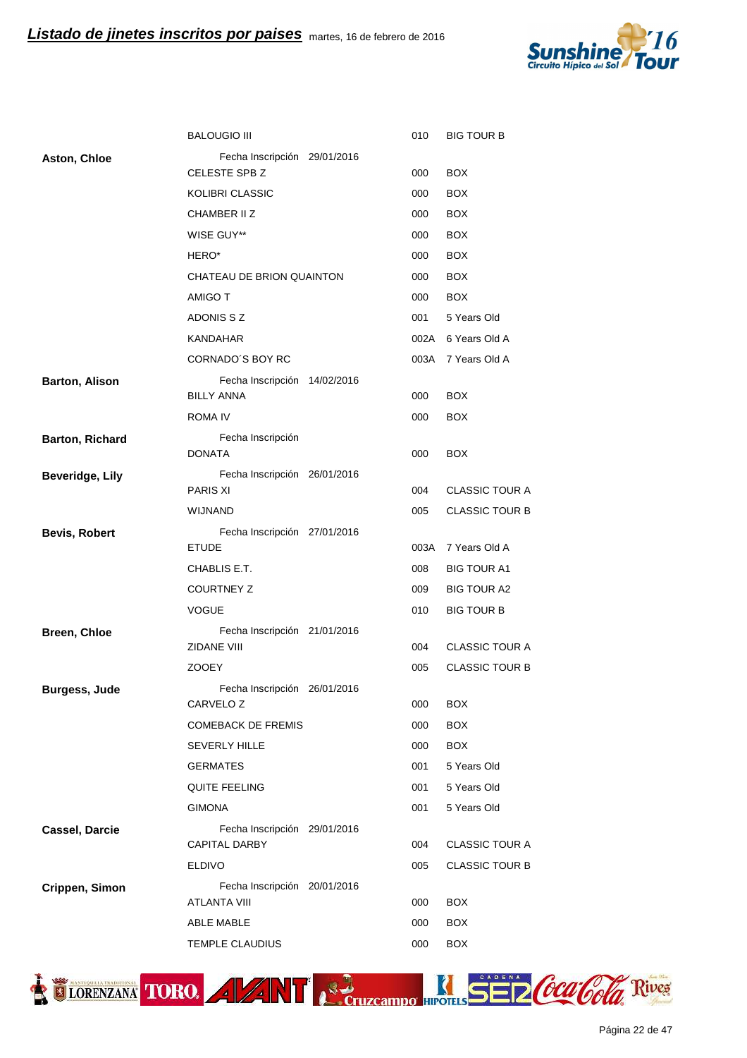

|                        | <b>BALOUGIO III</b>                                | 010  | <b>BIG TOUR B</b>     |
|------------------------|----------------------------------------------------|------|-----------------------|
| <b>Aston, Chloe</b>    | Fecha Inscripción 29/01/2016                       |      |                       |
|                        | CELESTE SPB Z                                      | 000  | <b>BOX</b>            |
|                        | KOLIBRI CLASSIC                                    | 000  | <b>BOX</b>            |
|                        | CHAMBER II Z                                       | 000  | <b>BOX</b>            |
|                        | WISE GUY**                                         | 000  | <b>BOX</b>            |
|                        | HERO*                                              | 000  | <b>BOX</b>            |
|                        | CHATEAU DE BRION QUAINTON                          | 000  | <b>BOX</b>            |
|                        | AMIGO T                                            | 000  | <b>BOX</b>            |
|                        | ADONIS S Z                                         | 001  | 5 Years Old           |
|                        | KANDAHAR                                           | 002A | 6 Years Old A         |
|                        | CORNADO'S BOY RC                                   | 003A | 7 Years Old A         |
| <b>Barton, Alison</b>  | Fecha Inscripción 14/02/2016<br><b>BILLY ANNA</b>  | 000  | <b>BOX</b>            |
|                        | ROMA IV                                            | 000  | <b>BOX</b>            |
| <b>Barton, Richard</b> | Fecha Inscripción<br><b>DONATA</b>                 | 000  | <b>BOX</b>            |
| <b>Beveridge, Lily</b> | Fecha Inscripción 26/01/2016                       |      |                       |
|                        | <b>PARIS XI</b>                                    | 004  | <b>CLASSIC TOUR A</b> |
|                        | <b>WIJNAND</b>                                     | 005  | <b>CLASSIC TOUR B</b> |
| <b>Bevis, Robert</b>   | Fecha Inscripción 27/01/2016                       |      |                       |
|                        | <b>ETUDE</b>                                       | 003A | 7 Years Old A         |
|                        | CHABLIS E.T.                                       | 008  | <b>BIG TOUR A1</b>    |
|                        | <b>COURTNEY Z</b>                                  | 009  | <b>BIG TOUR A2</b>    |
|                        | <b>VOGUE</b>                                       | 010  | <b>BIG TOUR B</b>     |
| Breen, Chloe           | Fecha Inscripción 21/01/2016<br><b>ZIDANE VIII</b> | 004  | <b>CLASSIC TOUR A</b> |
|                        | <b>ZOOEY</b>                                       | 005  | <b>CLASSIC TOUR B</b> |
|                        | Fecha Inscripción 26/01/2016                       |      |                       |
| <b>Burgess, Jude</b>   | CARVELO <sub>Z</sub>                               | 000  | <b>BOX</b>            |
|                        | <b>COMEBACK DE FREMIS</b>                          | 000  | <b>BOX</b>            |
|                        | <b>SEVERLY HILLE</b>                               | 000  | <b>BOX</b>            |
|                        | <b>GERMATES</b>                                    | 001  | 5 Years Old           |
|                        | <b>QUITE FEELING</b>                               | 001  | 5 Years Old           |
|                        | <b>GIMONA</b>                                      | 001  | 5 Years Old           |
| <b>Cassel, Darcie</b>  | Fecha Inscripción 29/01/2016                       |      |                       |
|                        | <b>CAPITAL DARBY</b>                               | 004  | <b>CLASSIC TOUR A</b> |
|                        | <b>ELDIVO</b>                                      | 005  | <b>CLASSIC TOUR B</b> |
| Crippen, Simon         | Fecha Inscripción 20/01/2016                       |      |                       |
|                        | <b>ATLANTA VIII</b>                                | 000  | <b>BOX</b>            |
|                        | ABLE MABLE                                         | 000  | <b>BOX</b>            |
|                        | TEMPLE CLAUDIUS                                    | 000  | <b>BOX</b>            |



Página 22 de 47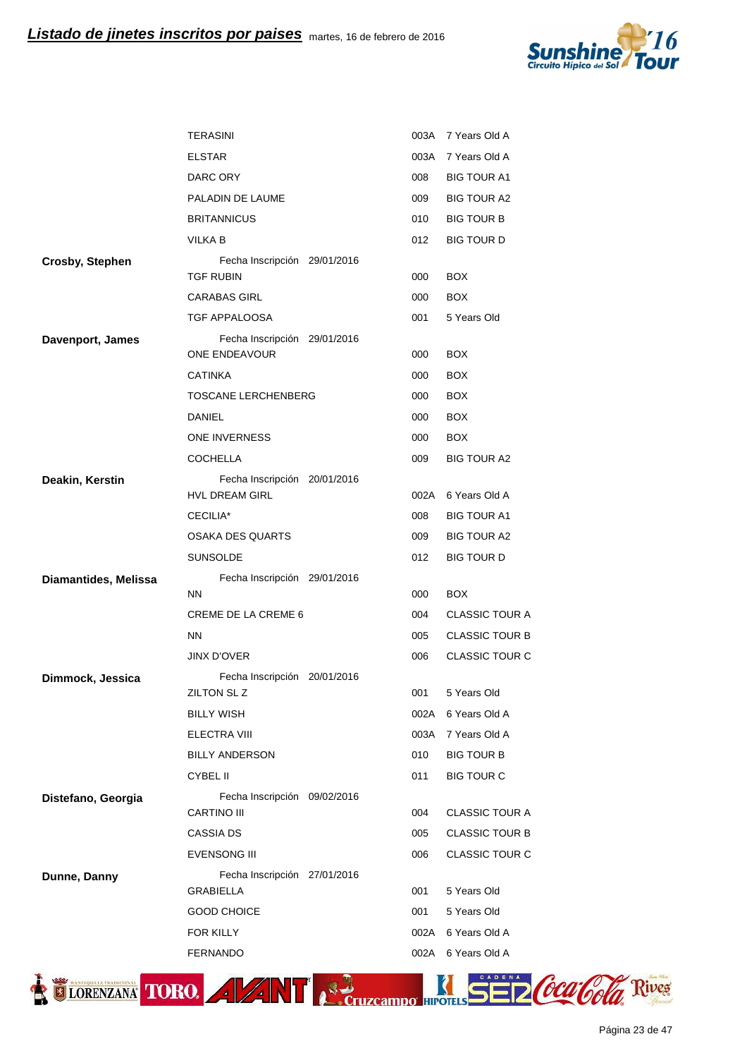

|                        | <b>TERASINI</b>                                  | 003A | 7 Years Old A         |
|------------------------|--------------------------------------------------|------|-----------------------|
|                        | <b>ELSTAR</b>                                    | 003A | 7 Years Old A         |
|                        | DARC ORY                                         | 008  | <b>BIG TOUR A1</b>    |
|                        | PALADIN DE LAUME                                 | 009  | <b>BIG TOUR A2</b>    |
|                        | <b>BRITANNICUS</b>                               | 010  | <b>BIG TOUR B</b>     |
|                        | VILKA B                                          | 012  | <b>BIG TOUR D</b>     |
| <b>Crosby, Stephen</b> | Fecha Inscripción 29/01/2016                     |      |                       |
|                        | <b>TGF RUBIN</b>                                 | 000  | <b>BOX</b>            |
|                        | <b>CARABAS GIRL</b>                              | 000  | <b>BOX</b>            |
|                        | TGF APPALOOSA                                    | 001  | 5 Years Old           |
| Davenport, James       | Fecha Inscripción 29/01/2016<br>ONE ENDEAVOUR    | 000  | <b>BOX</b>            |
|                        | <b>CATINKA</b>                                   | 000  | <b>BOX</b>            |
|                        | TOSCANE LERCHENBERG                              | 000  | <b>BOX</b>            |
|                        | DANIEL                                           | 000  | <b>BOX</b>            |
|                        | <b>ONE INVERNESS</b>                             | 000  | <b>BOX</b>            |
|                        | <b>COCHELLA</b>                                  | 009  | <b>BIG TOUR A2</b>    |
| Deakin, Kerstin        | Fecha Inscripción 20/01/2016                     |      |                       |
|                        | <b>HVL DREAM GIRL</b>                            | 002A | 6 Years Old A         |
|                        | CECILIA*                                         | 008  | <b>BIG TOUR A1</b>    |
|                        | <b>OSAKA DES QUARTS</b>                          | 009  | <b>BIG TOUR A2</b>    |
|                        | <b>SUNSOLDE</b>                                  | 012  | <b>BIG TOUR D</b>     |
| Diamantides, Melissa   | Fecha Inscripción 29/01/2016<br><b>NN</b>        | 000  | <b>BOX</b>            |
|                        | <b>CREME DE LA CREME 6</b>                       | 004  | <b>CLASSIC TOUR A</b> |
|                        | <b>NN</b>                                        | 005  | <b>CLASSIC TOUR B</b> |
|                        | <b>JINX D'OVER</b>                               | 006  | <b>CLASSIC TOUR C</b> |
| Dimmock, Jessica       | Fecha Inscripción 20/01/2016                     |      |                       |
|                        | ZILTON SL Z                                      | 001  | 5 Years Old           |
|                        | <b>BILLY WISH</b>                                |      | 002A 6 Years Old A    |
|                        | ELECTRA VIII                                     | 003A | 7 Years Old A         |
|                        | <b>BILLY ANDERSON</b>                            | 010  | <b>BIG TOUR B</b>     |
|                        | <b>CYBEL II</b>                                  | 011  | <b>BIG TOUR C</b>     |
| Distefano, Georgia     | Fecha Inscripción 09/02/2016                     |      |                       |
|                        | <b>CARTINO III</b>                               | 004  | <b>CLASSIC TOUR A</b> |
|                        | <b>CASSIA DS</b>                                 | 005  | <b>CLASSIC TOUR B</b> |
|                        | <b>EVENSONG III</b>                              | 006  | <b>CLASSIC TOUR C</b> |
| Dunne, Danny           | Fecha Inscripción 27/01/2016<br><b>GRABIELLA</b> | 001  | 5 Years Old           |
|                        |                                                  | 001  | 5 Years Old           |
|                        | <b>GOOD CHOICE</b>                               |      |                       |
|                        | FOR KILLY                                        |      | 002A 6 Years Old A    |
|                        | <b>FERNANDO</b>                                  |      | 002A 6 Years Old A    |

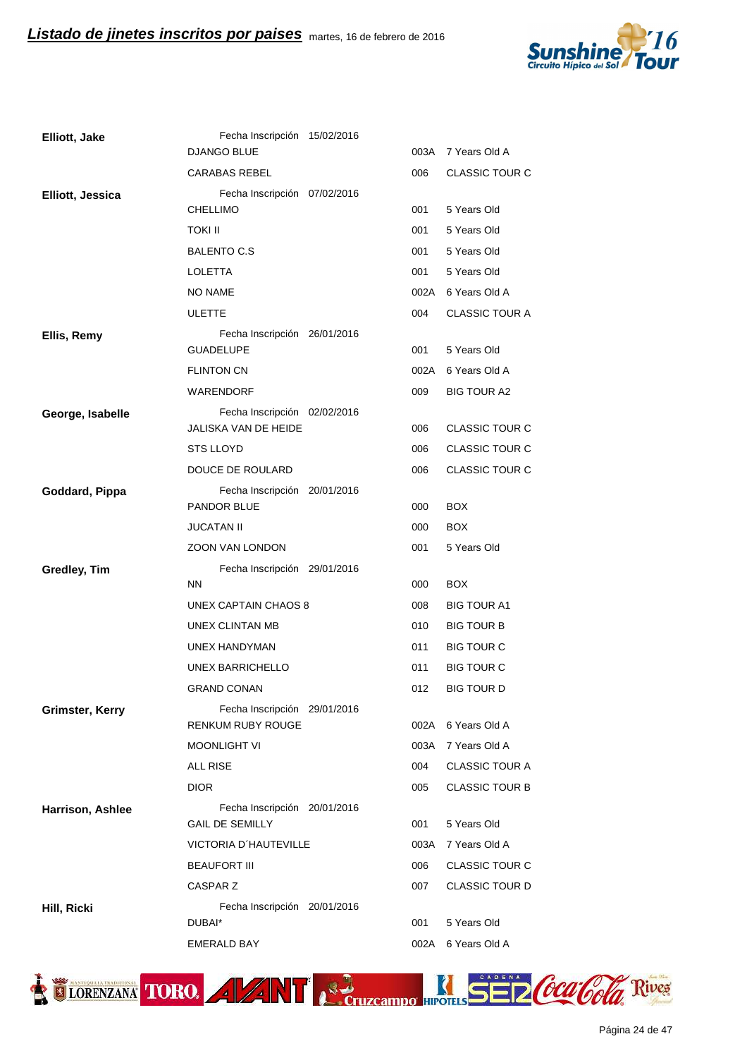

| Elliott, Jake    | Fecha Inscripción 15/02/2016                             |             |                              |
|------------------|----------------------------------------------------------|-------------|------------------------------|
|                  | DJANGO BLUE                                              | 003A        | 7 Years Old A                |
|                  | <b>CARABAS REBEL</b>                                     | 006         | <b>CLASSIC TOUR C</b>        |
| Elliott, Jessica | Fecha Inscripción 07/02/2016                             |             |                              |
|                  | <b>CHELLIMO</b>                                          | 001         | 5 Years Old                  |
|                  | TOKI II                                                  | 001         | 5 Years Old                  |
|                  | <b>BALENTO C.S</b>                                       | 001         | 5 Years Old                  |
|                  | <b>LOLETTA</b>                                           | 001         | 5 Years Old                  |
|                  | NO NAME                                                  |             | 002A 6 Years Old A           |
|                  | <b>ULETTE</b>                                            | 004         | <b>CLASSIC TOUR A</b>        |
| Ellis, Remy      | Fecha Inscripción 26/01/2016<br><b>GUADELUPE</b>         | 001         | 5 Years Old                  |
|                  | <b>FLINTON CN</b>                                        | 002A        | 6 Years Old A                |
|                  | <b>WARENDORF</b>                                         | 009         | <b>BIG TOUR A2</b>           |
| George, Isabelle | Fecha Inscripción 02/02/2016<br>JALISKA VAN DE HEIDE     | 006         | <b>CLASSIC TOUR C</b>        |
|                  | STS LLOYD                                                | 006         | <b>CLASSIC TOUR C</b>        |
|                  | DOUCE DE ROULARD                                         | 006         | <b>CLASSIC TOUR C</b>        |
| Goddard, Pippa   | Fecha Inscripción 20/01/2016                             |             |                              |
|                  | PANDOR BLUE                                              | 000         | <b>BOX</b>                   |
|                  | <b>JUCATAN II</b>                                        | 000         | <b>BOX</b>                   |
|                  | ZOON VAN LONDON                                          | 001         | 5 Years Old                  |
| Gredley, Tim     | Fecha Inscripción 29/01/2016                             |             |                              |
|                  | <b>NN</b>                                                | 000         | <b>BOX</b>                   |
|                  | UNEX CAPTAIN CHAOS 8                                     | 008         | <b>BIG TOUR A1</b>           |
|                  | UNEX CLINTAN MB                                          | 010         | <b>BIG TOUR B</b>            |
|                  | UNEX HANDYMAN                                            | 011         | <b>BIG TOUR C</b>            |
|                  | UNEX BARRICHELLO                                         | 011         | <b>BIG TOUR C</b>            |
|                  | <b>GRAND CONAN</b>                                       | 012         | <b>BIG TOUR D</b>            |
| Grimster, Kerry  | Fecha Inscripción 29/01/2016<br><b>RENKUM RUBY ROUGE</b> |             | 002A 6 Years Old A           |
|                  | <b>MOONLIGHT VI</b>                                      | 003A        | 7 Years Old A                |
|                  |                                                          |             |                              |
|                  | ALL RISE                                                 | 004         | <b>CLASSIC TOUR A</b>        |
|                  | <b>DIOR</b>                                              | 005         | <b>CLASSIC TOUR B</b>        |
| Harrison, Ashlee | Fecha Inscripción 20/01/2016                             |             |                              |
|                  | <b>GAIL DE SEMILLY</b>                                   | 001         | 5 Years Old                  |
|                  | VICTORIA D'HAUTEVILLE                                    | 003A        | 7 Years Old A                |
|                  | <b>BEAUFORT III</b>                                      | 006         | <b>CLASSIC TOUR C</b>        |
|                  | CASPAR Z                                                 | 007         | <b>CLASSIC TOUR D</b>        |
| Hill, Ricki      | Fecha Inscripción 20/01/2016                             |             |                              |
|                  | DUBAI*<br>EMERALD BAY                                    | 001<br>002A | 5 Years Old<br>6 Years Old A |

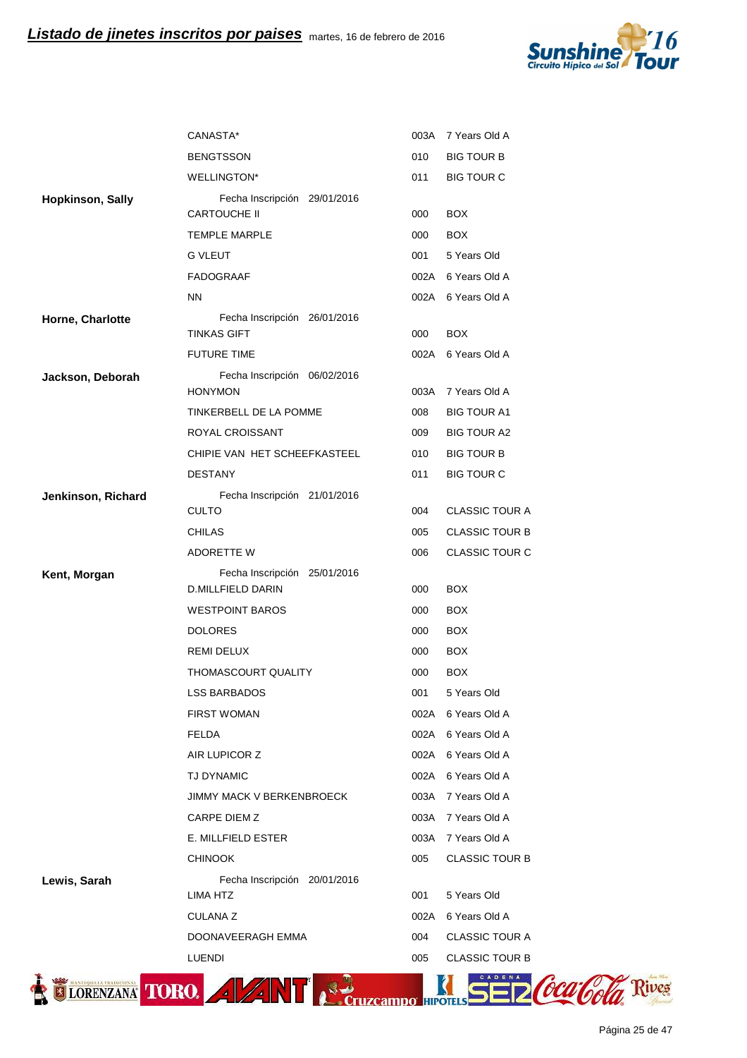

| <b>BENGTSSON</b><br>WELLINGTON*<br>Fecha Inscripción 29/01/2016<br><b>CARTOUCHE II</b><br><b>TEMPLE MARPLE</b><br><b>G VLEUT</b><br>FADOGRAAF<br><b>NN</b><br>Fecha Inscripción 26/01/2016<br><b>TINKAS GIFT</b><br><b>FUTURE TIME</b> | 010<br>011<br>000<br>000<br>001<br>000                                                                                                                                                                                 | <b>BIG TOUR B</b><br><b>BIG TOUR C</b><br><b>BOX</b><br><b>BOX</b><br>5 Years Old<br>002A 6 Years Old A<br>002A 6 Years Old A                                                                                                |
|----------------------------------------------------------------------------------------------------------------------------------------------------------------------------------------------------------------------------------------|------------------------------------------------------------------------------------------------------------------------------------------------------------------------------------------------------------------------|------------------------------------------------------------------------------------------------------------------------------------------------------------------------------------------------------------------------------|
|                                                                                                                                                                                                                                        |                                                                                                                                                                                                                        |                                                                                                                                                                                                                              |
|                                                                                                                                                                                                                                        |                                                                                                                                                                                                                        |                                                                                                                                                                                                                              |
|                                                                                                                                                                                                                                        |                                                                                                                                                                                                                        |                                                                                                                                                                                                                              |
|                                                                                                                                                                                                                                        |                                                                                                                                                                                                                        |                                                                                                                                                                                                                              |
|                                                                                                                                                                                                                                        |                                                                                                                                                                                                                        |                                                                                                                                                                                                                              |
|                                                                                                                                                                                                                                        |                                                                                                                                                                                                                        |                                                                                                                                                                                                                              |
|                                                                                                                                                                                                                                        |                                                                                                                                                                                                                        |                                                                                                                                                                                                                              |
|                                                                                                                                                                                                                                        |                                                                                                                                                                                                                        |                                                                                                                                                                                                                              |
|                                                                                                                                                                                                                                        |                                                                                                                                                                                                                        | <b>BOX</b>                                                                                                                                                                                                                   |
|                                                                                                                                                                                                                                        | 002A                                                                                                                                                                                                                   | 6 Years Old A                                                                                                                                                                                                                |
| Fecha Inscripción 06/02/2016                                                                                                                                                                                                           |                                                                                                                                                                                                                        |                                                                                                                                                                                                                              |
| <b>HONYMON</b>                                                                                                                                                                                                                         | 003A                                                                                                                                                                                                                   | 7 Years Old A                                                                                                                                                                                                                |
| TINKERBELL DE LA POMME                                                                                                                                                                                                                 | 008                                                                                                                                                                                                                    | <b>BIG TOUR A1</b>                                                                                                                                                                                                           |
| ROYAL CROISSANT                                                                                                                                                                                                                        | 009                                                                                                                                                                                                                    | <b>BIG TOUR A2</b>                                                                                                                                                                                                           |
|                                                                                                                                                                                                                                        | 010                                                                                                                                                                                                                    | <b>BIG TOUR B</b>                                                                                                                                                                                                            |
| <b>DESTANY</b>                                                                                                                                                                                                                         | 011                                                                                                                                                                                                                    | <b>BIG TOUR C</b>                                                                                                                                                                                                            |
|                                                                                                                                                                                                                                        |                                                                                                                                                                                                                        |                                                                                                                                                                                                                              |
|                                                                                                                                                                                                                                        | 004                                                                                                                                                                                                                    | <b>CLASSIC TOUR A</b>                                                                                                                                                                                                        |
| <b>CHILAS</b>                                                                                                                                                                                                                          | 005                                                                                                                                                                                                                    | <b>CLASSIC TOUR B</b>                                                                                                                                                                                                        |
| ADORETTE W                                                                                                                                                                                                                             | 006                                                                                                                                                                                                                    | CLASSIC TOUR C                                                                                                                                                                                                               |
|                                                                                                                                                                                                                                        |                                                                                                                                                                                                                        | <b>BOX</b>                                                                                                                                                                                                                   |
|                                                                                                                                                                                                                                        | 000                                                                                                                                                                                                                    | <b>BOX</b>                                                                                                                                                                                                                   |
| <b>DOLORES</b>                                                                                                                                                                                                                         | 000                                                                                                                                                                                                                    | <b>BOX</b>                                                                                                                                                                                                                   |
|                                                                                                                                                                                                                                        | 000                                                                                                                                                                                                                    | <b>BOX</b>                                                                                                                                                                                                                   |
| <b>THOMASCOURT QUALITY</b>                                                                                                                                                                                                             |                                                                                                                                                                                                                        | <b>BOX</b>                                                                                                                                                                                                                   |
|                                                                                                                                                                                                                                        |                                                                                                                                                                                                                        | 5 Years Old                                                                                                                                                                                                                  |
|                                                                                                                                                                                                                                        |                                                                                                                                                                                                                        | 002A 6 Years Old A                                                                                                                                                                                                           |
|                                                                                                                                                                                                                                        |                                                                                                                                                                                                                        | 002A 6 Years Old A                                                                                                                                                                                                           |
|                                                                                                                                                                                                                                        |                                                                                                                                                                                                                        | 002A 6 Years Old A                                                                                                                                                                                                           |
| <b>TJ DYNAMIC</b>                                                                                                                                                                                                                      |                                                                                                                                                                                                                        | 6 Years Old A                                                                                                                                                                                                                |
|                                                                                                                                                                                                                                        |                                                                                                                                                                                                                        | 7 Years Old A                                                                                                                                                                                                                |
|                                                                                                                                                                                                                                        |                                                                                                                                                                                                                        | 7 Years Old A                                                                                                                                                                                                                |
|                                                                                                                                                                                                                                        |                                                                                                                                                                                                                        | 7 Years Old A                                                                                                                                                                                                                |
|                                                                                                                                                                                                                                        |                                                                                                                                                                                                                        | <b>CLASSIC TOUR B</b>                                                                                                                                                                                                        |
|                                                                                                                                                                                                                                        |                                                                                                                                                                                                                        |                                                                                                                                                                                                                              |
| LIMA HTZ                                                                                                                                                                                                                               | 001                                                                                                                                                                                                                    | 5 Years Old                                                                                                                                                                                                                  |
| <b>CULANA Z</b>                                                                                                                                                                                                                        | 002A                                                                                                                                                                                                                   | 6 Years Old A                                                                                                                                                                                                                |
| DOONAVEERAGH EMMA                                                                                                                                                                                                                      | 004                                                                                                                                                                                                                    | <b>CLASSIC TOUR A</b>                                                                                                                                                                                                        |
| LUENDI                                                                                                                                                                                                                                 | 005                                                                                                                                                                                                                    | <b>CLASSIC TOUR B</b>                                                                                                                                                                                                        |
| LORENZANA TORO.                                                                                                                                                                                                                        |                                                                                                                                                                                                                        |                                                                                                                                                                                                                              |
|                                                                                                                                                                                                                                        | <b>CULTO</b><br><b>D.MILLFIELD DARIN</b><br><b>WESTPOINT BAROS</b><br><b>REMI DELUX</b><br>LSS BARBADOS<br><b>FIRST WOMAN</b><br><b>FELDA</b><br>AIR LUPICOR Z<br>CARPE DIEM Z<br>E. MILLFIELD ESTER<br><b>CHINOOK</b> | CHIPIE VAN HET SCHEEFKASTEEL<br>Fecha Inscripción 21/01/2016<br>Fecha Inscripción 25/01/2016<br>000<br>000<br>001<br>002A<br><b>JIMMY MACK V BERKENBROECK</b><br>003A<br>003A<br>003A<br>005<br>Fecha Inscripción 20/01/2016 |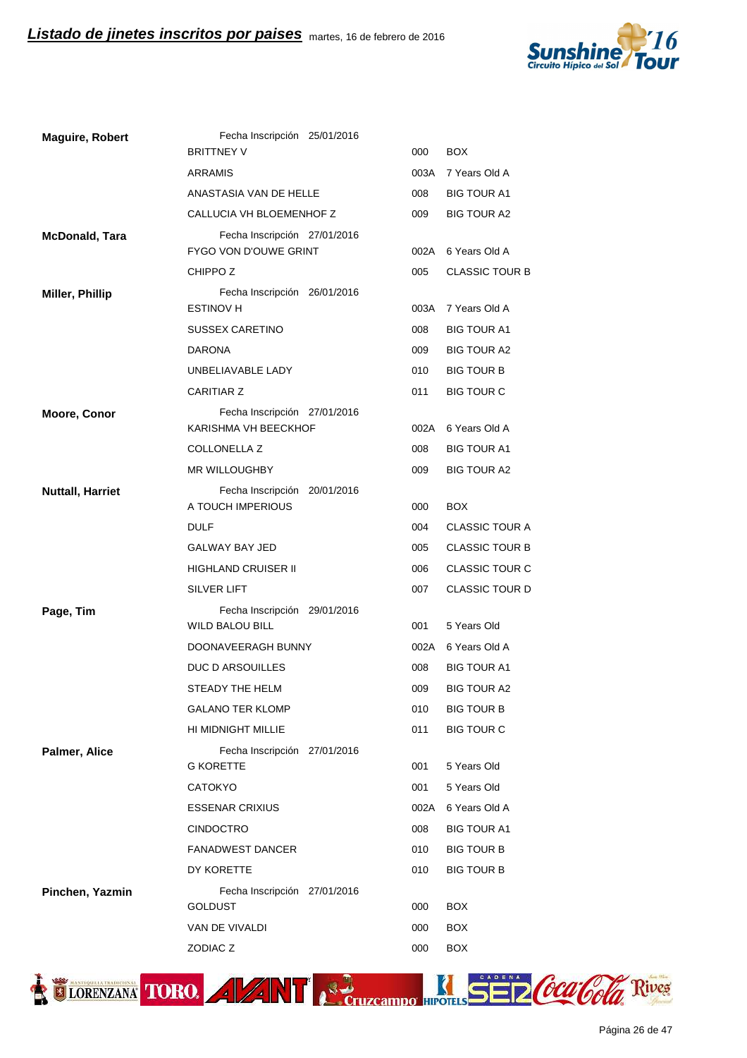

| <b>Maguire, Robert</b>  | Fecha Inscripción 25/01/2016                                 |      |                       |
|-------------------------|--------------------------------------------------------------|------|-----------------------|
|                         | <b>BRITTNEY V</b>                                            | 000  | BOX.                  |
|                         | ARRAMIS                                                      | 003A | 7 Years Old A         |
|                         | ANASTASIA VAN DE HELLE                                       | 008  | <b>BIG TOUR A1</b>    |
|                         | CALLUCIA VH BLOEMENHOF Z                                     | 009  | <b>BIG TOUR A2</b>    |
| <b>McDonald, Tara</b>   | Fecha Inscripción 27/01/2016<br><b>FYGO VON D'OUWE GRINT</b> | 002A | 6 Years Old A         |
|                         | CHIPPO <sub>Z</sub>                                          | 005  | <b>CLASSIC TOUR B</b> |
| Miller, Phillip         | Fecha Inscripción 26/01/2016                                 |      |                       |
|                         | <b>ESTINOV H</b>                                             | 003A | 7 Years Old A         |
|                         | <b>SUSSEX CARETINO</b>                                       | 008  | <b>BIG TOUR A1</b>    |
|                         | <b>DARONA</b>                                                | 009  | <b>BIG TOUR A2</b>    |
|                         | UNBELIAVABLE LADY                                            | 010  | <b>BIG TOUR B</b>     |
|                         | <b>CARITIAR Z</b>                                            | 011  | <b>BIG TOUR C</b>     |
| <b>Moore, Conor</b>     | Fecha Inscripción 27/01/2016                                 |      |                       |
|                         | KARISHMA VH BEECKHOF                                         | 002A | 6 Years Old A         |
|                         | <b>COLLONELLA Z</b>                                          | 008  | <b>BIG TOUR A1</b>    |
|                         | <b>MR WILLOUGHBY</b>                                         | 009  | <b>BIG TOUR A2</b>    |
| <b>Nuttall, Harriet</b> | Fecha Inscripción 20/01/2016                                 |      |                       |
|                         | A TOUCH IMPERIOUS                                            | 000  | <b>BOX</b>            |
|                         | <b>DULF</b>                                                  | 004  | <b>CLASSIC TOUR A</b> |
|                         | GALWAY BAY JED                                               | 005  | <b>CLASSIC TOUR B</b> |
|                         | HIGHLAND CRUISER II                                          | 006  | <b>CLASSIC TOUR C</b> |
|                         | SILVER LIFT                                                  | 007  | <b>CLASSIC TOUR D</b> |
| Page, Tim               | Fecha Inscripción 29/01/2016<br><b>WILD BALOU BILL</b>       | 001  | 5 Years Old           |
|                         | DOONAVEERAGH BUNNY                                           | 002A | 6 Years Old A         |
|                         | DUC D ARSOUILLES                                             | 008  | <b>BIG TOUR A1</b>    |
|                         | <b>STEADY THE HELM</b>                                       | 009  | <b>BIG TOUR A2</b>    |
|                         | <b>GALANO TER KLOMP</b>                                      | 010  | <b>BIG TOUR B</b>     |
|                         | HI MIDNIGHT MILLIE                                           | 011  | <b>BIG TOUR C</b>     |
| Palmer, Alice           | Fecha Inscripción 27/01/2016                                 |      |                       |
|                         | <b>G KORETTE</b>                                             | 001  | 5 Years Old           |
|                         | <b>CATOKYO</b>                                               | 001  | 5 Years Old           |
|                         | <b>ESSENAR CRIXIUS</b>                                       | 002A | 6 Years Old A         |
|                         | CINDOCTRO                                                    | 008  | <b>BIG TOUR A1</b>    |
|                         | <b>FANADWEST DANCER</b>                                      | 010  | <b>BIG TOUR B</b>     |
|                         | DY KORETTE                                                   | 010  | <b>BIG TOUR B</b>     |
| Pinchen, Yazmin         | Fecha Inscripción 27/01/2016                                 |      |                       |
|                         | <b>GOLDUST</b>                                               | 000  | <b>BOX</b>            |
|                         | VAN DE VIVALDI                                               | 000  | <b>BOX</b>            |
|                         | ZODIAC Z                                                     | 000  | <b>BOX</b>            |

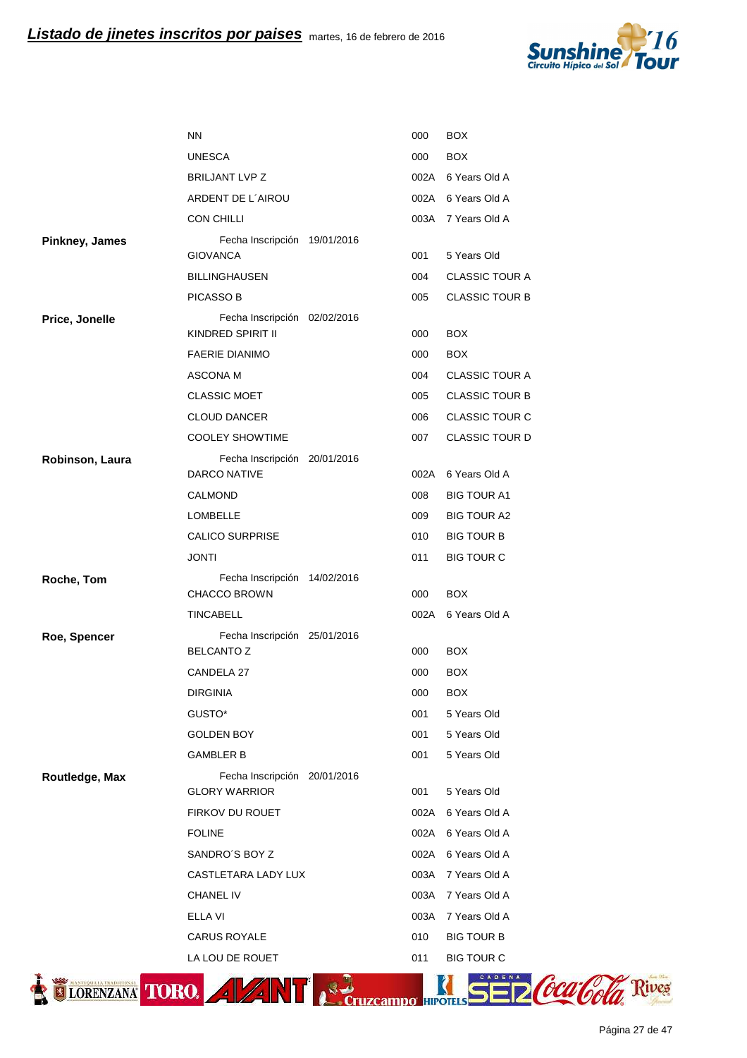

|                 | <b>NN</b>                                            | 000  | <b>BOX</b>            |
|-----------------|------------------------------------------------------|------|-----------------------|
|                 | <b>UNESCA</b>                                        | 000  | <b>BOX</b>            |
|                 | <b>BRILJANT LVP Z</b>                                | 002A | 6 Years Old A         |
|                 | ARDENT DE L'AIROU                                    |      | 002A 6 Years Old A    |
|                 | <b>CON CHILLI</b>                                    |      | 003A 7 Years Old A    |
| Pinkney, James  | Fecha Inscripción 19/01/2016<br><b>GIOVANCA</b>      | 001  | 5 Years Old           |
|                 | <b>BILLINGHAUSEN</b>                                 | 004  | <b>CLASSIC TOUR A</b> |
|                 | <b>PICASSO B</b>                                     | 005  | <b>CLASSIC TOUR B</b> |
| Price, Jonelle  | Fecha Inscripción 02/02/2016<br>KINDRED SPIRIT II    | 000  | <b>BOX</b>            |
|                 | <b>FAERIE DIANIMO</b>                                | 000  | <b>BOX</b>            |
|                 | ASCONA M                                             | 004  | <b>CLASSIC TOUR A</b> |
|                 | <b>CLASSIC MOET</b>                                  | 005  | <b>CLASSIC TOUR B</b> |
|                 | <b>CLOUD DANCER</b>                                  | 006  | <b>CLASSIC TOUR C</b> |
|                 | <b>COOLEY SHOWTIME</b>                               | 007  | <b>CLASSIC TOUR D</b> |
| Robinson, Laura | Fecha Inscripción 20/01/2016<br><b>DARCO NATIVE</b>  |      | 002A 6 Years Old A    |
|                 | CALMOND                                              | 008  | <b>BIG TOUR A1</b>    |
|                 | <b>LOMBELLE</b>                                      | 009  | <b>BIG TOUR A2</b>    |
|                 | <b>CALICO SURPRISE</b>                               | 010  | <b>BIG TOUR B</b>     |
|                 |                                                      |      |                       |
|                 | <b>JONTI</b>                                         | 011  | <b>BIG TOUR C</b>     |
| Roche, Tom      | Fecha Inscripción 14/02/2016<br><b>CHACCO BROWN</b>  | 000  | <b>BOX</b>            |
|                 | <b>TINCABELL</b>                                     | 002A | 6 Years Old A         |
| Roe, Spencer    | Fecha Inscripción 25/01/2016<br><b>BELCANTO Z</b>    | 000  | <b>BOX</b>            |
|                 | CANDELA 27                                           | 000  | <b>BOX</b>            |
|                 | <b>DIRGINIA</b>                                      | 000  | <b>BOX</b>            |
|                 | GUSTO*                                               | 001  | 5 Years Old           |
|                 | <b>GOLDEN BOY</b>                                    | 001  | 5 Years Old           |
|                 | <b>GAMBLER B</b>                                     | 001  | 5 Years Old           |
| Routledge, Max  | Fecha Inscripción 20/01/2016<br><b>GLORY WARRIOR</b> | 001  | 5 Years Old           |
|                 | FIRKOV DU ROUET                                      | 002A | 6 Years Old A         |
|                 | <b>FOLINE</b>                                        | 002A | 6 Years Old A         |
|                 | SANDRO'S BOY Z                                       | 002A | 6 Years Old A         |
|                 | CASTLETARA LADY LUX                                  | 003A | 7 Years Old A         |
|                 | CHANEL IV                                            | 003A | 7 Years Old A         |
|                 | <b>ELLA VI</b>                                       | 003A | 7 Years Old A         |
|                 | CARUS ROYALE                                         | 010  | <b>BIG TOUR B</b>     |

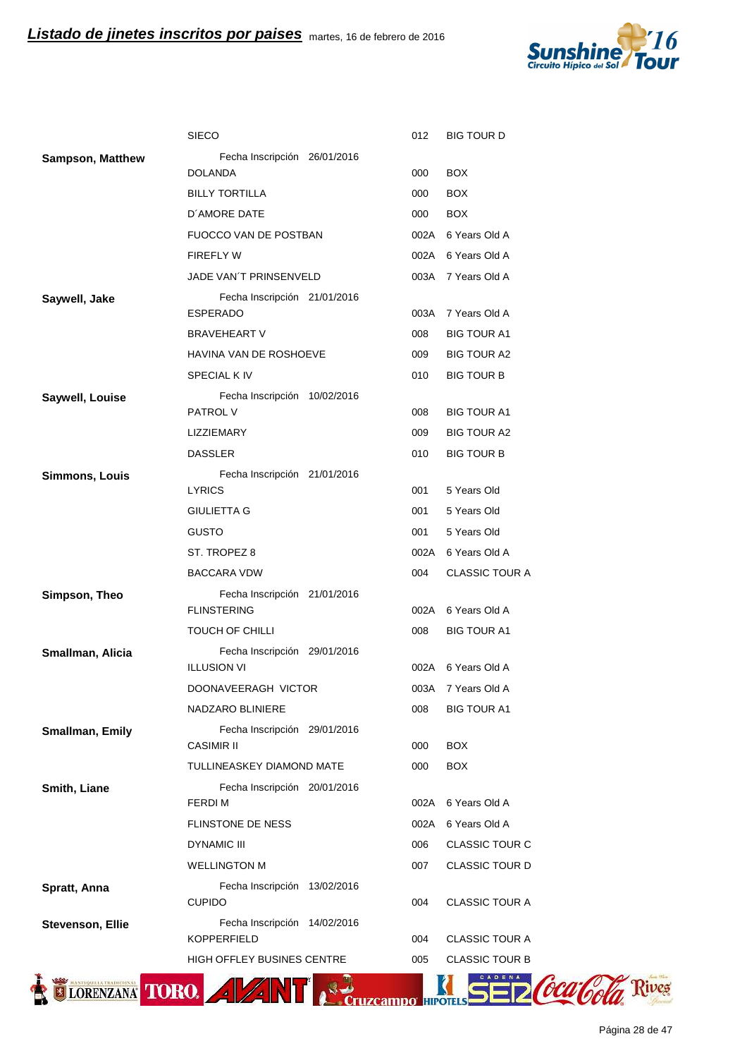

|                         | <b>SIECO</b>                                       | 012  | <b>BIG TOUR D</b>     |
|-------------------------|----------------------------------------------------|------|-----------------------|
| <b>Sampson, Matthew</b> | Fecha Inscripción 26/01/2016                       |      |                       |
|                         | <b>DOLANDA</b>                                     | 000  | <b>BOX</b>            |
|                         | <b>BILLY TORTILLA</b>                              | 000  | <b>BOX</b>            |
|                         | D'AMORE DATE                                       | 000  | <b>BOX</b>            |
|                         | FUOCCO VAN DE POSTBAN                              |      | 002A 6 Years Old A    |
|                         | <b>FIREFLY W</b>                                   | 002A | 6 Years Old A         |
|                         | JADE VAN'T PRINSENVELD                             |      | 003A 7 Years Old A    |
| Saywell, Jake           | Fecha Inscripción 21/01/2016                       |      |                       |
|                         | <b>ESPERADO</b>                                    | 003A | 7 Years Old A         |
|                         | <b>BRAVEHEART V</b>                                | 008  | <b>BIG TOUR A1</b>    |
|                         | HAVINA VAN DE ROSHOEVE                             | 009  | BIG TOUR A2           |
|                         | <b>SPECIAL K IV</b>                                | 010  | <b>BIG TOUR B</b>     |
| Saywell, Louise         | Fecha Inscripción 10/02/2016<br><b>PATROL V</b>    | 008  | <b>BIG TOUR A1</b>    |
|                         | <b>LIZZIEMARY</b>                                  | 009  | <b>BIG TOUR A2</b>    |
|                         | <b>DASSLER</b>                                     | 010  | <b>BIG TOUR B</b>     |
| Simmons, Louis          | Fecha Inscripción 21/01/2016                       |      |                       |
|                         | <b>LYRICS</b>                                      | 001  | 5 Years Old           |
|                         | <b>GIULIETTA G</b>                                 | 001  | 5 Years Old           |
|                         | <b>GUSTO</b>                                       | 001  | 5 Years Old           |
|                         | ST. TROPEZ 8                                       | 002A | 6 Years Old A         |
|                         | <b>BACCARA VDW</b>                                 | 004  | <b>CLASSIC TOUR A</b> |
| Simpson, Theo           | Fecha Inscripción 21/01/2016<br><b>FLINSTERING</b> | 002A | 6 Years Old A         |
|                         | <b>TOUCH OF CHILLI</b>                             | 008  | <b>BIG TOUR A1</b>    |
| Smallman, Alicia        | Fecha Inscripción 29/01/2016                       |      |                       |
|                         | <b>ILLUSION VI</b>                                 | 002A | 6 Years Old A         |
|                         | DOONAVEERAGH VICTOR                                | 003A | 7 Years Old A         |
|                         | NADZARO BLINIERE                                   | 008  | BIG TOUR A1           |
| Smallman, Emily         | Fecha Inscripción 29/01/2016                       |      |                       |
|                         | <b>CASIMIR II</b>                                  | 000  | <b>BOX</b>            |
|                         | TULLINEASKEY DIAMOND MATE                          | 000  | <b>BOX</b>            |
| Smith, Liane            | Fecha Inscripción 20/01/2016<br><b>FERDIM</b>      | 002A | 6 Years Old A         |
|                         | FLINSTONE DE NESS                                  | 002A | 6 Years Old A         |
|                         | <b>DYNAMIC III</b>                                 | 006  | <b>CLASSIC TOUR C</b> |
|                         | <b>WELLINGTON M</b>                                | 007  | <b>CLASSIC TOUR D</b> |
| Spratt, Anna            | Fecha Inscripción 13/02/2016                       |      |                       |
|                         | <b>CUPIDO</b>                                      | 004  | <b>CLASSIC TOUR A</b> |
| <b>Stevenson, Ellie</b> | Fecha Inscripción 14/02/2016<br><b>KOPPERFIELD</b> | 004  | <b>CLASSIC TOUR A</b> |
|                         | <b>HIGH OFFLEY BUSINES CENTRE</b>                  | 005  | <b>CLASSIC TOUR B</b> |
|                         |                                                    |      |                       |

TIORENZANA TORO. AVANT RECTIZERING HIPOTES SED COCA COLA Rives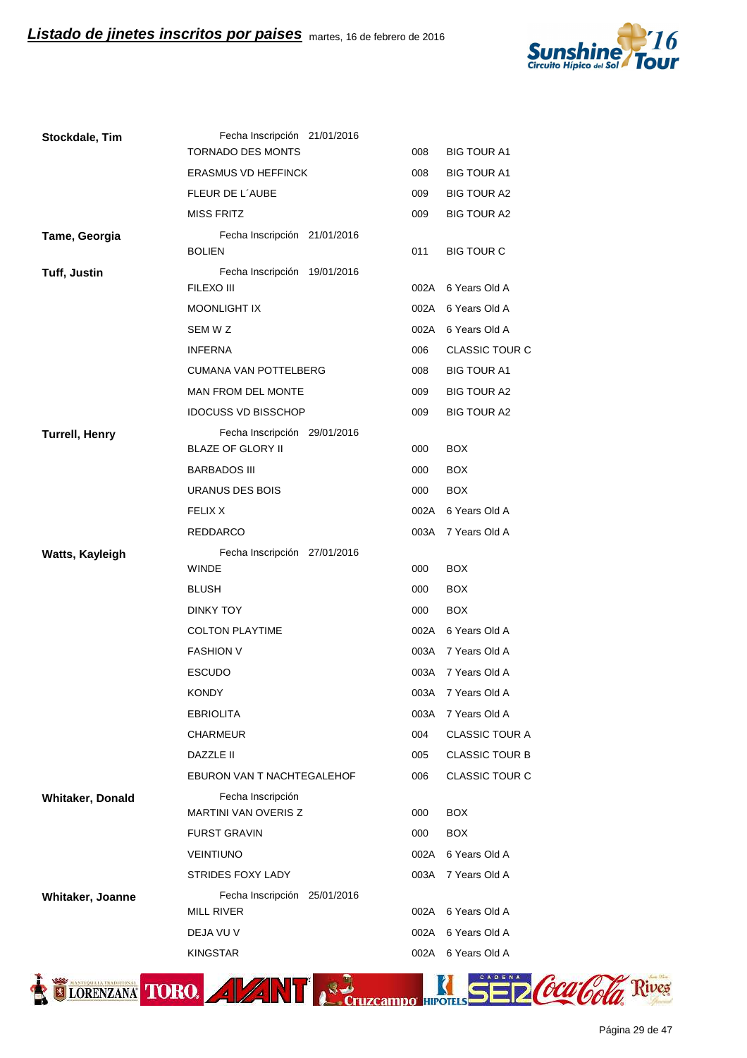

| Stockdale, Tim          | Fecha Inscripción 21/01/2016               |              |                                |
|-------------------------|--------------------------------------------|--------------|--------------------------------|
|                         | <b>TORNADO DES MONTS</b>                   | 008          | <b>BIG TOUR A1</b>             |
|                         | <b>ERASMUS VD HEFFINCK</b>                 | 008          | <b>BIG TOUR A1</b>             |
|                         | FLEUR DE L'AUBE                            | 009          | <b>BIG TOUR A2</b>             |
|                         | <b>MISS FRITZ</b>                          | 009          | <b>BIG TOUR A2</b>             |
| Tame, Georgia           | Fecha Inscripción 21/01/2016               |              |                                |
|                         | <b>BOLIEN</b>                              | 011          | <b>BIG TOUR C</b>              |
| <b>Tuff, Justin</b>     | Fecha Inscripción 19/01/2016<br>FILEXO III |              | 002A 6 Years Old A             |
|                         | <b>MOONLIGHT IX</b>                        |              | 002A 6 Years Old A             |
|                         | SEM W Z                                    |              | 002A 6 Years Old A             |
|                         | <b>INFERNA</b>                             | 006          | <b>CLASSIC TOUR C</b>          |
|                         | <b>CUMANA VAN POTTELBERG</b>               | 008          | <b>BIG TOUR A1</b>             |
|                         | MAN FROM DEL MONTE                         | 009          | <b>BIG TOUR A2</b>             |
|                         | <b>IDOCUSS VD BISSCHOP</b>                 | 009          | <b>BIG TOUR A2</b>             |
| <b>Turrell, Henry</b>   | Fecha Inscripción 29/01/2016               |              |                                |
|                         | <b>BLAZE OF GLORY II</b>                   | 000          | <b>BOX</b>                     |
|                         | <b>BARBADOS III</b>                        | 000          | <b>BOX</b>                     |
|                         | <b>URANUS DES BOIS</b>                     | 000          | <b>BOX</b>                     |
|                         | <b>FELIX X</b>                             |              | 002A 6 Years Old A             |
|                         | <b>REDDARCO</b>                            | 003A         | 7 Years Old A                  |
| Watts, Kayleigh         | Fecha Inscripción 27/01/2016               |              |                                |
|                         |                                            |              |                                |
|                         | <b>WINDE</b>                               | 000          | <b>BOX</b>                     |
|                         | <b>BLUSH</b>                               | 000          | <b>BOX</b>                     |
|                         | DINKY TOY                                  | 000          | <b>BOX</b>                     |
|                         | <b>COLTON PLAYTIME</b>                     |              | 002A 6 Years Old A             |
|                         | <b>FASHION V</b>                           |              | 003A 7 Years Old A             |
|                         | <b>ESCUDO</b>                              |              | 003A 7 Years Old A             |
|                         | KONDY                                      |              | 003A 7 Years Old A             |
|                         | <b>EBRIOLITA</b>                           | 003A         | 7 Years Old A                  |
|                         | CHARMEUR                                   | 004          | <b>CLASSIC TOUR A</b>          |
|                         | <b>DAZZLE II</b>                           | 005          | <b>CLASSIC TOUR B</b>          |
|                         | EBURON VAN T NACHTEGALEHOF                 | 006          | CLASSIC TOUR C                 |
| <b>Whitaker, Donald</b> | Fecha Inscripción                          |              |                                |
|                         | <b>MARTINI VAN OVERIS Z</b>                | 000          | <b>BOX</b>                     |
|                         | <b>FURST GRAVIN</b>                        | 000          | <b>BOX</b>                     |
|                         | <b>VEINTIUNO</b>                           | 002A         | 6 Years Old A                  |
|                         | <b>STRIDES FOXY LADY</b>                   | 003A         | 7 Years Old A                  |
| Whitaker, Joanne        | Fecha Inscripción 25/01/2016               |              |                                |
|                         | <b>MILL RIVER</b>                          | 002A         | 6 Years Old A                  |
|                         | DEJA VU V<br><b>KINGSTAR</b>               | 002A<br>002A | 6 Years Old A<br>6 Years Old A |

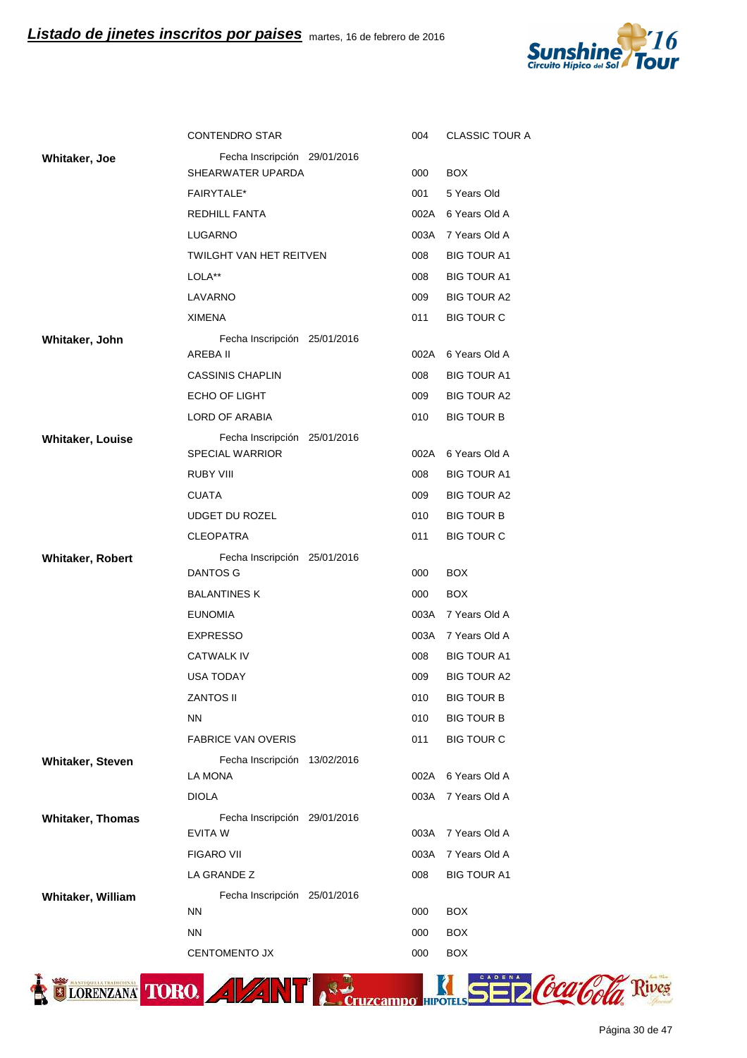

|                         | <b>CONTENDRO STAR</b>                                  | 004         | <b>CLASSIC TOUR A</b>                  |
|-------------------------|--------------------------------------------------------|-------------|----------------------------------------|
| Whitaker, Joe           | Fecha Inscripción 29/01/2016                           |             |                                        |
|                         | SHEARWATER UPARDA                                      | 000         | <b>BOX</b>                             |
|                         | <b>FAIRYTALE*</b>                                      | 001         | 5 Years Old                            |
|                         | <b>REDHILL FANTA</b>                                   | 002A        | 6 Years Old A                          |
|                         | LUGARNO                                                | 003A        | 7 Years Old A                          |
|                         | <b>TWILGHT VAN HET REITVEN</b>                         | 008         | <b>BIG TOUR A1</b>                     |
|                         | LOLA**                                                 | 008         | <b>BIG TOUR A1</b>                     |
|                         | LAVARNO                                                | 009         | <b>BIG TOUR A2</b>                     |
|                         | <b>XIMENA</b>                                          | 011         | <b>BIG TOUR C</b>                      |
| Whitaker, John          | Fecha Inscripción 25/01/2016                           |             |                                        |
|                         | AREBA II                                               | 002A        | 6 Years Old A                          |
|                         | <b>CASSINIS CHAPLIN</b>                                | 008         | <b>BIG TOUR A1</b>                     |
|                         | ECHO OF LIGHT                                          | 009         | <b>BIG TOUR A2</b>                     |
|                         | LORD OF ARABIA                                         | 010         | <b>BIG TOUR B</b>                      |
| <b>Whitaker, Louise</b> | Fecha Inscripción 25/01/2016<br><b>SPECIAL WARRIOR</b> | 002A        | 6 Years Old A                          |
|                         |                                                        |             |                                        |
|                         | RUBY VIII                                              | 008         | <b>BIG TOUR A1</b>                     |
|                         | <b>CUATA</b>                                           | 009         | <b>BIG TOUR A2</b>                     |
|                         | UDGET DU ROZEL                                         | 010         | <b>BIG TOUR B</b>                      |
|                         | <b>CLEOPATRA</b>                                       | 011         | <b>BIG TOUR C</b>                      |
|                         |                                                        |             |                                        |
| <b>Whitaker, Robert</b> | Fecha Inscripción 25/01/2016                           |             |                                        |
|                         | <b>DANTOS G</b>                                        | 000         | <b>BOX</b>                             |
|                         | <b>BALANTINES K</b><br><b>EUNOMIA</b>                  | 000<br>003A | <b>BOX</b><br>7 Years Old A            |
|                         |                                                        | 003A        | 7 Years Old A                          |
|                         | <b>EXPRESSO</b><br>CATWALK IV                          | 008         | <b>BIG TOUR A1</b>                     |
|                         | <b>USA TODAY</b>                                       | 009         | <b>BIG TOUR A2</b>                     |
|                         | ZANTOS II                                              |             |                                        |
|                         | <b>NN</b>                                              | 010<br>010  | <b>BIG TOUR B</b><br><b>BIG TOUR B</b> |
|                         | <b>FABRICE VAN OVERIS</b>                              | 011         | <b>BIG TOUR C</b>                      |
|                         |                                                        |             |                                        |
| Whitaker, Steven        | Fecha Inscripción 13/02/2016<br>LA MONA                | 002A        | 6 Years Old A                          |
|                         | <b>DIOLA</b>                                           | 003A        | 7 Years Old A                          |
| <b>Whitaker, Thomas</b> | Fecha Inscripción 29/01/2016                           |             |                                        |
|                         | EVITA W                                                | 003A        | 7 Years Old A                          |
|                         | <b>FIGARO VII</b>                                      | 003A        | 7 Years Old A                          |
|                         | LA GRANDE Z                                            | 008         | <b>BIG TOUR A1</b>                     |
| Whitaker, William       | Fecha Inscripción 25/01/2016                           |             |                                        |
|                         | <b>NN</b>                                              | 000         | <b>BOX</b>                             |
|                         | <b>NN</b><br><b>CENTOMENTO JX</b>                      | 000<br>000  | <b>BOX</b><br><b>BOX</b>               |

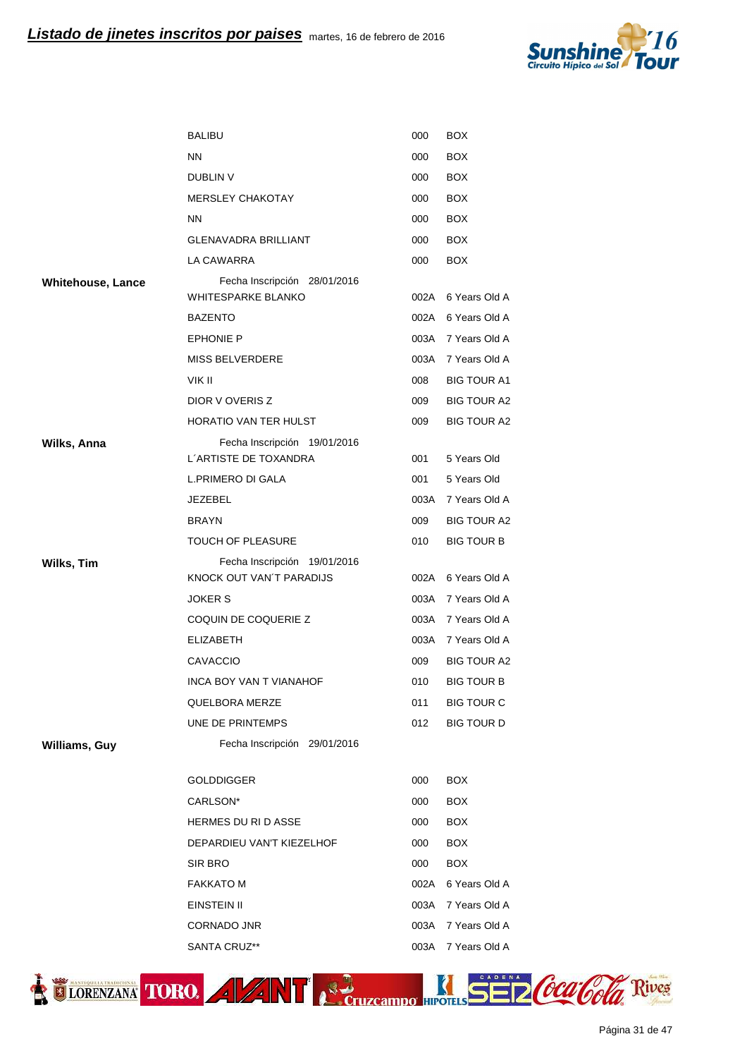

|                          | <b>BALIBU</b>                                             | 000  | <b>BOX</b>         |
|--------------------------|-----------------------------------------------------------|------|--------------------|
|                          | <b>NN</b>                                                 | 000  | <b>BOX</b>         |
|                          | DUBLIN V                                                  | 000  | <b>BOX</b>         |
|                          | <b>MERSLEY CHAKOTAY</b>                                   | 000  | <b>BOX</b>         |
|                          | <b>NN</b>                                                 | 000  | <b>BOX</b>         |
|                          | <b>GLENAVADRA BRILLIANT</b>                               | 000  | <b>BOX</b>         |
|                          | LA CAWARRA                                                | 000  | <b>BOX</b>         |
| <b>Whitehouse, Lance</b> | Fecha Inscripción 28/01/2016<br><b>WHITESPARKE BLANKO</b> |      | 002A 6 Years Old A |
|                          | <b>BAZENTO</b>                                            |      | 002A 6 Years Old A |
|                          | <b>EPHONIE P</b>                                          |      | 003A 7 Years Old A |
|                          | <b>MISS BELVERDERE</b>                                    |      | 003A 7 Years Old A |
|                          | VIK II                                                    | 008  | <b>BIG TOUR A1</b> |
|                          | DIOR V OVERIS Z                                           | 009  | <b>BIG TOUR A2</b> |
|                          | HORATIO VAN TER HULST                                     | 009  | <b>BIG TOUR A2</b> |
| Wilks, Anna              | Fecha Inscripción 19/01/2016                              |      |                    |
|                          | L'ARTISTE DE TOXANDRA                                     | 001  | 5 Years Old        |
|                          | L.PRIMERO DI GALA                                         | 001  | 5 Years Old        |
|                          | JEZEBEL                                                   |      | 003A 7 Years Old A |
|                          | <b>BRAYN</b>                                              | 009  | <b>BIG TOUR A2</b> |
|                          | <b>TOUCH OF PLEASURE</b>                                  | 010  | <b>BIG TOUR B</b>  |
| Wilks, Tim               | Fecha Inscripción 19/01/2016<br>KNOCK OUT VAN'T PARADIJS  |      | 002A 6 Years Old A |
|                          | <b>JOKER S</b>                                            |      | 003A 7 Years Old A |
|                          | COQUIN DE COQUERIE Z                                      |      | 003A 7 Years Old A |
|                          | <b>ELIZABETH</b>                                          | 003A | 7 Years Old A      |
|                          | CAVACCIO                                                  | 009  | BIG TOUR A2        |
|                          | <b>INCA BOY VAN T VIANAHOF</b>                            | 010  | <b>BIG TOUR B</b>  |
|                          | QUELBORA MERZE                                            | 011  | <b>BIG TOUR C</b>  |
|                          | UNE DE PRINTEMPS                                          | 012  | <b>BIG TOUR D</b>  |
| Williams, Guy            | Fecha Inscripción 29/01/2016                              |      |                    |
|                          | <b>GOLDDIGGER</b>                                         | 000  | <b>BOX</b>         |
|                          | CARLSON*                                                  | 000  | <b>BOX</b>         |
|                          | <b>HERMES DU RI D ASSE</b>                                | 000  | <b>BOX</b>         |
|                          | DEPARDIEU VAN'T KIEZELHOF                                 | 000  | <b>BOX</b>         |
|                          | SIR BRO                                                   | 000  | <b>BOX</b>         |
|                          | <b>FAKKATO M</b>                                          | 002A | 6 Years Old A      |
|                          | EINSTEIN II                                               | 003A | 7 Years Old A      |
|                          | CORNADO JNR                                               |      | 003A 7 Years Old A |
|                          | SANTA CRUZ**                                              | 003A | 7 Years Old A      |

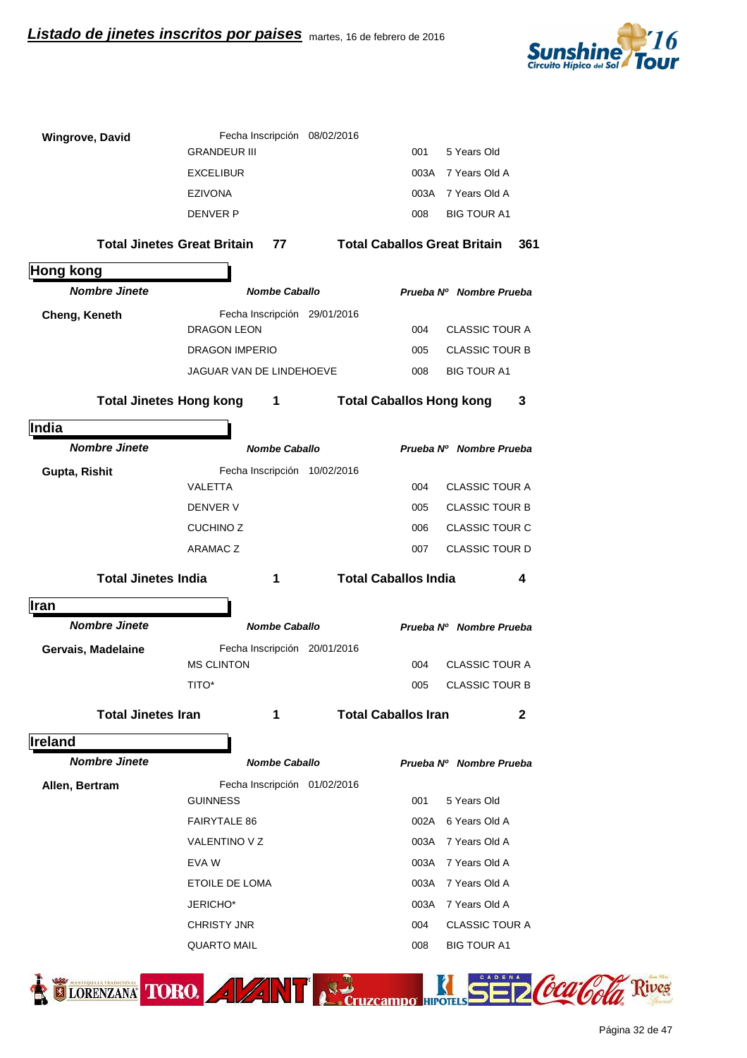

| <b>Wingrove, David</b>     | Fecha Inscripción 08/02/2016             |                                     |                         |                |
|----------------------------|------------------------------------------|-------------------------------------|-------------------------|----------------|
|                            | <b>GRANDEUR III</b>                      | 001                                 | 5 Years Old             |                |
|                            | <b>EXCELIBUR</b>                         |                                     | 003A 7 Years Old A      |                |
|                            | <b>EZIVONA</b>                           |                                     | 003A 7 Years Old A      |                |
|                            | <b>DENVER P</b>                          | 008                                 | <b>BIG TOUR A1</b>      |                |
|                            | <b>Total Jinetes Great Britain</b><br>77 | <b>Total Caballos Great Britain</b> | 361                     |                |
| <b>Hong kong</b>           |                                          |                                     |                         |                |
| <b>Nombre Jinete</b>       | <b>Nombe Caballo</b>                     |                                     | Prueba Nº Nombre Prueba |                |
| Cheng, Keneth              | Fecha Inscripción 29/01/2016             |                                     |                         |                |
|                            | DRAGON LEON                              | 004                                 | <b>CLASSIC TOUR A</b>   |                |
|                            | <b>DRAGON IMPERIO</b>                    | 005                                 | <b>CLASSIC TOUR B</b>   |                |
|                            | JAGUAR VAN DE LINDEHOEVE                 | 008                                 | <b>BIG TOUR A1</b>      |                |
|                            | Total Jinetes Hong kong 1                | <b>Total Caballos Hong kong</b>     | 3                       |                |
| India                      |                                          |                                     |                         |                |
| <b>Nombre Jinete</b>       | <b>Nombe Caballo</b>                     |                                     | Prueba Nº Nombre Prueba |                |
| Gupta, Rishit              | Fecha Inscripción 10/02/2016             |                                     |                         |                |
|                            | VALETTA                                  | 004                                 | <b>CLASSIC TOUR A</b>   |                |
|                            | DENVER V                                 | 005                                 | <b>CLASSIC TOUR B</b>   |                |
|                            | <b>CUCHINO Z</b>                         | 006                                 | <b>CLASSIC TOUR C</b>   |                |
|                            | <b>ARAMACZ</b>                           | 007                                 | CLASSIC TOUR D          |                |
| <b>Total Jinetes India</b> | 1                                        | <b>Total Caballos India</b>         | 4                       |                |
| <b>Iran</b>                |                                          |                                     |                         |                |
| <b>Nombre Jinete</b>       | <b>Nombe Caballo</b>                     |                                     | Prueba Nº Nombre Prueba |                |
| Gervais, Madelaine         | Fecha Inscripción 20/01/2016             |                                     |                         |                |
|                            | <b>MS CLINTON</b>                        | 004                                 | <b>CLASSIC TOUR A</b>   |                |
|                            | TITO*                                    | 005                                 | <b>CLASSIC TOUR B</b>   |                |
| <b>Total Jinetes Iran</b>  | 1                                        | <b>Total Caballos Iran</b>          | $\mathbf{2}$            |                |
| Ireland                    |                                          |                                     |                         |                |
| <b>Nombre Jinete</b>       | <b>Nombe Caballo</b>                     |                                     | Prueba Nº Nombre Prueba |                |
| Allen, Bertram             | Fecha Inscripción 01/02/2016             |                                     |                         |                |
|                            | <b>GUINNESS</b>                          | 001                                 | 5 Years Old             |                |
|                            | <b>FAIRYTALE 86</b>                      | 002A                                | 6 Years Old A           |                |
|                            | VALENTINO V Z                            | 003A                                | 7 Years Old A           |                |
|                            | EVA W                                    | 003A                                | 7 Years Old A           |                |
|                            | ETOILE DE LOMA                           | 003A                                | 7 Years Old A           |                |
|                            | JERICHO*                                 | 003A                                | 7 Years Old A           |                |
|                            | <b>CHRISTY JNR</b>                       | 004                                 | <b>CLASSIC TOUR A</b>   |                |
|                            | <b>QUARTO MAIL</b>                       | 008                                 | <b>BIG TOUR A1</b>      |                |
| ORENZANA TORO.             |                                          |                                     |                         | ocaloola Rives |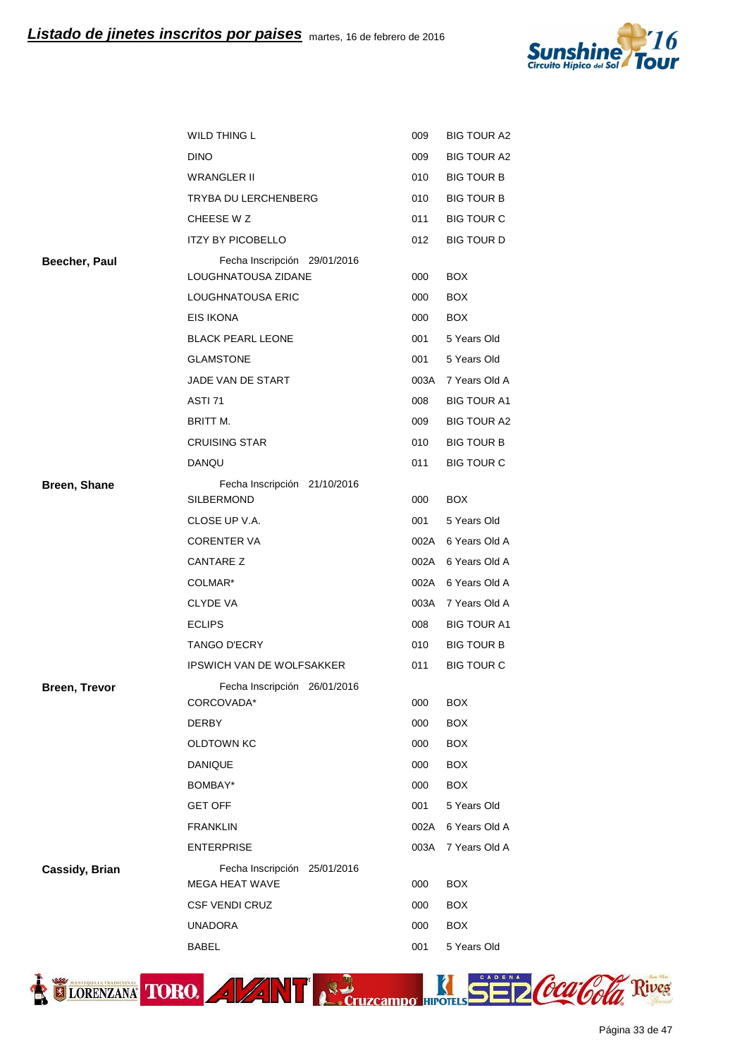

| WILD THING L                                   | 009                                          | <b>BIG TOUR A2</b> |
|------------------------------------------------|----------------------------------------------|--------------------|
| <b>DINO</b>                                    | 009                                          | <b>BIG TOUR A2</b> |
| <b>WRANGLER II</b>                             | 010                                          | <b>BIG TOUR B</b>  |
| TRYBA DU LERCHENBERG                           | 010                                          | <b>BIG TOUR B</b>  |
| CHEESE W Z                                     | 011                                          | <b>BIG TOUR C</b>  |
| <b>ITZY BY PICOBELLO</b>                       | 012                                          | <b>BIG TOUR D</b>  |
| Fecha Inscripción 29/01/2016                   |                                              |                    |
| LOUGHNATOUSA ZIDANE                            | 000                                          | <b>BOX</b>         |
| LOUGHNATOUSA ERIC                              | 000                                          | <b>BOX</b>         |
| EIS IKONA                                      | 000                                          | <b>BOX</b>         |
| <b>BLACK PEARL LEONE</b>                       | 001                                          | 5 Years Old        |
| <b>GLAMSTONE</b>                               | 001                                          | 5 Years Old        |
| JADE VAN DE START                              | 003A                                         | 7 Years Old A      |
| ASTI <sub>71</sub>                             | 008                                          | <b>BIG TOUR A1</b> |
| BRITT M.                                       | 009                                          | <b>BIG TOUR A2</b> |
| <b>CRUISING STAR</b>                           | 010                                          | <b>BIG TOUR B</b>  |
| DANQU                                          | 011                                          | <b>BIG TOUR C</b>  |
| Fecha Inscripción 21/10/2016                   |                                              |                    |
| <b>SILBERMOND</b>                              | 000                                          | <b>BOX</b>         |
| CLOSE UP V.A.                                  | 001                                          | 5 Years Old        |
| <b>CORENTER VA</b>                             | 002A                                         | 6 Years Old A      |
| CANTARE Z                                      |                                              | 6 Years Old A      |
| COLMAR*                                        | 002A                                         | 6 Years Old A      |
| <b>CLYDE VA</b>                                | 003A                                         | 7 Years Old A      |
| <b>ECLIPS</b>                                  | 008                                          | <b>BIG TOUR A1</b> |
| <b>TANGO D'ECRY</b>                            | 010                                          | <b>BIG TOUR B</b>  |
| <b>IPSWICH VAN DE WOLFSAKKER</b>               | 011                                          | <b>BIG TOUR C</b>  |
| Fecha Inscripción 26/01/2016                   |                                              |                    |
|                                                |                                              | BOX                |
|                                                |                                              | <b>BOX</b>         |
| <b>OLDTOWN KC</b>                              | 000                                          | <b>BOX</b>         |
|                                                | 000                                          | <b>BOX</b>         |
| BOMBAY*                                        | 000                                          | <b>BOX</b>         |
| <b>GET OFF</b>                                 | 001                                          | 5 Years Old        |
| <b>FRANKLIN</b>                                | 002A                                         | 6 Years Old A      |
| <b>ENTERPRISE</b>                              | 003A                                         | 7 Years Old A      |
| Fecha Inscripción 25/01/2016<br>MEGA HEAT WAVE | 000                                          | <b>BOX</b>         |
| <b>CSF VENDI CRUZ</b>                          | 000                                          | <b>BOX</b>         |
| <b>UNADORA</b>                                 | 000                                          | <b>BOX</b>         |
|                                                |                                              |                    |
|                                                | CORCOVADA*<br><b>DERBY</b><br><b>DANIQUE</b> | 002A<br>000<br>000 |



Página 33 de 47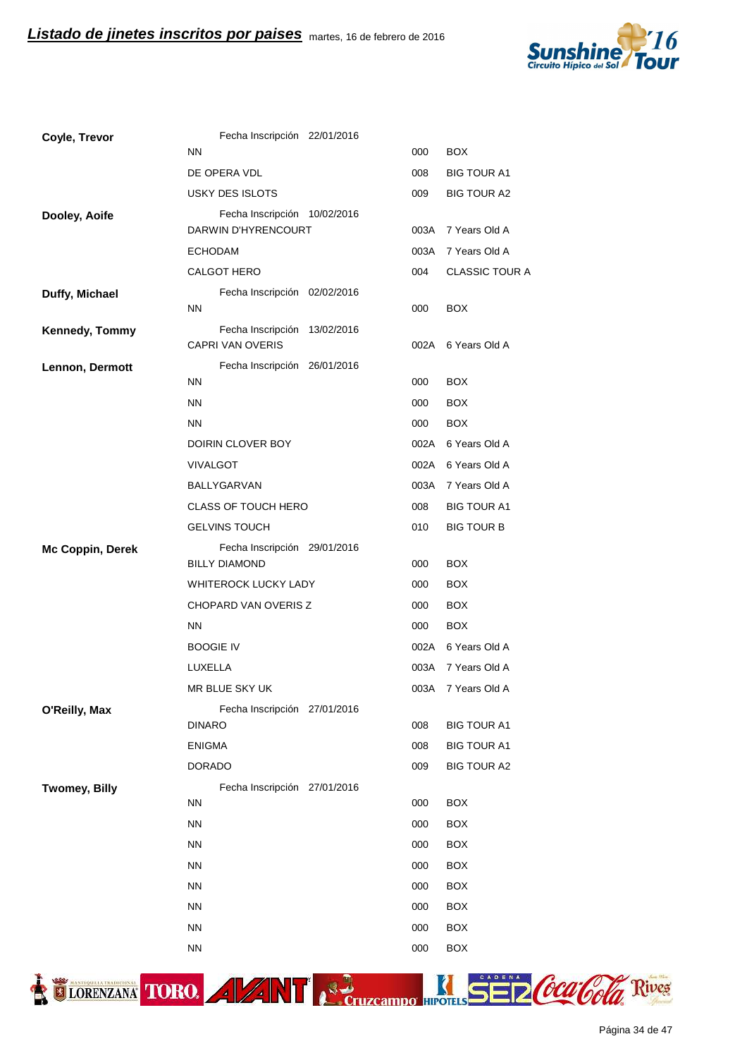

| Coyle, Trevor          | Fecha Inscripción 22/01/2016                            |      |                       |
|------------------------|---------------------------------------------------------|------|-----------------------|
|                        | <b>NN</b>                                               | 000  | <b>BOX</b>            |
|                        | DE OPERA VDL                                            | 008  | <b>BIG TOUR A1</b>    |
|                        | USKY DES ISLOTS                                         | 009  | <b>BIG TOUR A2</b>    |
| Dooley, Aoife          | Fecha Inscripción 10/02/2016<br>DARWIN D'HYRENCOURT     | 003A | 7 Years Old A         |
|                        | <b>ECHODAM</b>                                          | 003A | 7 Years Old A         |
|                        | CALGOT HERO                                             | 004  | <b>CLASSIC TOUR A</b> |
| Duffy, Michael         | Fecha Inscripción 02/02/2016                            |      |                       |
|                        | <b>NN</b>                                               | 000  | <b>BOX</b>            |
| Kennedy, Tommy         | Fecha Inscripción 13/02/2016<br><b>CAPRI VAN OVERIS</b> | 002A | 6 Years Old A         |
| <b>Lennon, Dermott</b> | Fecha Inscripción 26/01/2016                            |      |                       |
|                        | <b>NN</b>                                               | 000  | <b>BOX</b>            |
|                        | <b>NN</b>                                               | 000  | <b>BOX</b>            |
|                        | ΝN                                                      | 000  | <b>BOX</b>            |
|                        | DOIRIN CLOVER BOY                                       | 002A | 6 Years Old A         |
|                        | <b>VIVALGOT</b>                                         | 002A | 6 Years Old A         |
|                        | BALLYGARVAN                                             | 003A | 7 Years Old A         |
|                        | <b>CLASS OF TOUCH HERO</b>                              | 008  | <b>BIG TOUR A1</b>    |
|                        | <b>GELVINS TOUCH</b>                                    | 010  | <b>BIG TOUR B</b>     |
| Mc Coppin, Derek       | Fecha Inscripción 29/01/2016<br><b>BILLY DIAMOND</b>    | 000  | <b>BOX</b>            |
|                        | <b>WHITEROCK LUCKY LADY</b>                             | 000  | <b>BOX</b>            |
|                        | <b>CHOPARD VAN OVERIS Z</b>                             | 000  | <b>BOX</b>            |
|                        | ΝN                                                      | 000  | <b>BOX</b>            |
|                        | <b>BOOGIE IV</b>                                        | 002A | 6 Years Old A         |
|                        | LUXELLA                                                 | 003A | 7 Years Old A         |
|                        | MR BLUE SKY UK                                          | 003A | 7 Years Old A         |
| O'Reilly, Max          | Fecha Inscripción 27/01/2016                            |      |                       |
|                        | <b>DINARO</b>                                           | 008  | <b>BIG TOUR A1</b>    |
|                        | <b>ENIGMA</b>                                           | 008  | <b>BIG TOUR A1</b>    |
|                        | <b>DORADO</b>                                           | 009  | <b>BIG TOUR A2</b>    |
| <b>Twomey, Billy</b>   | Fecha Inscripción 27/01/2016                            |      |                       |
|                        | ΝN                                                      | 000  | <b>BOX</b>            |
|                        | ΝN                                                      | 000  | <b>BOX</b>            |
|                        | ΝN                                                      | 000  | <b>BOX</b>            |
|                        | ΝN                                                      | 000  | <b>BOX</b>            |
|                        | ΝN                                                      | 000  | <b>BOX</b>            |
|                        | <b>NN</b>                                               | 000  | <b>BOX</b>            |
|                        | ΝN                                                      | 000  | <b>BOX</b>            |
|                        | <b>NN</b>                                               | 000  | <b>BOX</b>            |



ELORENZANA TORO. A VANT A Cruzcampo HIPOTILS SE DCCCCOCO Rives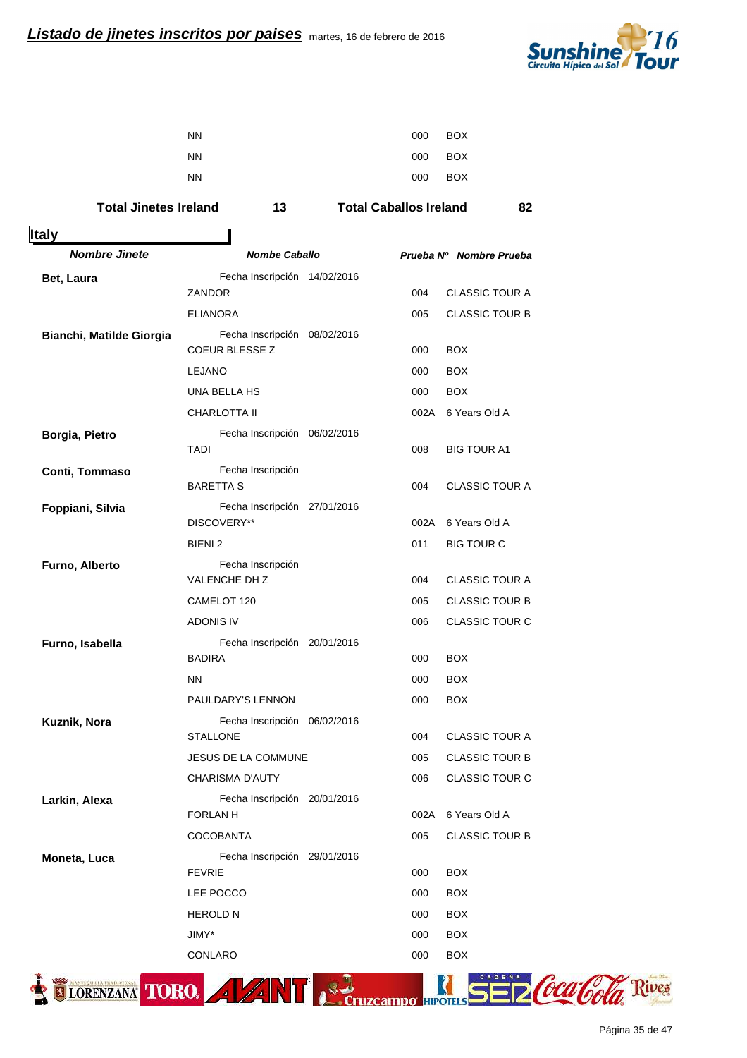

| <b>NN</b> | 000 | BOX     |
|-----------|-----|---------|
| <b>NN</b> |     | 000 BOX |
| <b>NN</b> | 000 | BOX     |

## Total Jinetes Ireland 13 Total Caballos Ireland 82

| <b>Italy</b>             |                                                       |                              |
|--------------------------|-------------------------------------------------------|------------------------------|
| <b>Nombre Jinete</b>     | <b>Nombe Caballo</b>                                  | Prueba Nº Nombre Prueba      |
| <b>Bet, Laura</b>        | Fecha Inscripción 14/02/2016                          |                              |
|                          | ZANDOR                                                | <b>CLASSIC TOUR A</b><br>004 |
|                          | <b>ELIANORA</b>                                       | 005<br><b>CLASSIC TOUR B</b> |
| Bianchi, Matilde Giorgia | Fecha Inscripción 08/02/2016<br><b>COEUR BLESSE Z</b> | 000<br><b>BOX</b>            |
|                          | <b>LEJANO</b>                                         | <b>BOX</b><br>000            |
|                          | UNA BELLA HS                                          | 000<br><b>BOX</b>            |
|                          | CHARLOTTA II                                          | 002A 6 Years Old A           |
| Borgia, Pietro           | Fecha Inscripción 06/02/2016                          |                              |
|                          | <b>TADI</b>                                           | 008<br><b>BIG TOUR A1</b>    |
| Conti, Tommaso           | Fecha Inscripción                                     |                              |
|                          | <b>BARETTA S</b>                                      | 004<br><b>CLASSIC TOUR A</b> |
| Foppiani, Silvia         | Fecha Inscripción 27/01/2016                          |                              |
|                          | DISCOVERY**                                           | 6 Years Old A<br>002A        |
|                          | BIENI <sub>2</sub>                                    | 011<br><b>BIG TOUR C</b>     |
| Furno, Alberto           | Fecha Inscripción<br><b>VALENCHE DH Z</b>             | <b>CLASSIC TOUR A</b><br>004 |
|                          | CAMELOT 120                                           | 005<br><b>CLASSIC TOUR B</b> |
|                          | <b>ADONIS IV</b>                                      | 006<br><b>CLASSIC TOUR C</b> |
| Furno, Isabella          | Fecha Inscripción 20/01/2016                          |                              |
|                          | <b>BADIRA</b>                                         | <b>BOX</b><br>000            |
|                          | <b>NN</b>                                             | <b>BOX</b><br>000            |
|                          | PAULDARY'S LENNON                                     | <b>BOX</b><br>000            |
| Kuznik, Nora             | Fecha Inscripción 06/02/2016                          |                              |
|                          | <b>STALLONE</b>                                       | <b>CLASSIC TOUR A</b><br>004 |
|                          | JESUS DE LA COMMUNE                                   | 005<br><b>CLASSIC TOUR B</b> |
|                          | <b>CHARISMA D'AUTY</b>                                | 006<br><b>CLASSIC TOUR C</b> |
| Larkin, Alexa            | Fecha Inscripción 20/01/2016                          |                              |
|                          | <b>FORLAN H</b>                                       | 6 Years Old A<br>002A        |
|                          | <b>COCOBANTA</b>                                      | <b>CLASSIC TOUR B</b><br>005 |
| Moneta, Luca             | Fecha Inscripción 29/01/2016<br><b>FEVRIE</b>         | <b>BOX</b><br>000            |
|                          | LEE POCCO                                             | 000<br><b>BOX</b>            |
|                          | <b>HEROLD N</b>                                       | 000<br><b>BOX</b>            |
|                          | JIMY*                                                 | <b>BOX</b><br>000            |
|                          | CONLARO                                               | <b>BOX</b><br>000            |



ives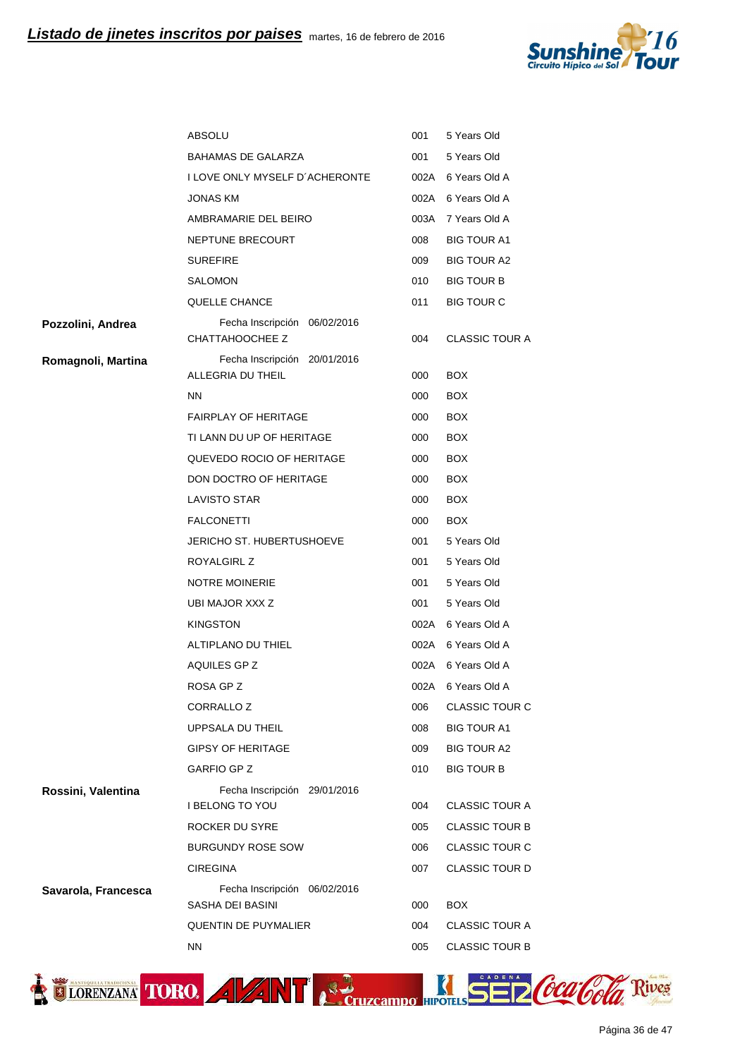

|                     | <b>ABSOLU</b>                                          | 001  | 5 Years Old           |
|---------------------|--------------------------------------------------------|------|-----------------------|
|                     | <b>BAHAMAS DE GALARZA</b>                              | 001  | 5 Years Old           |
|                     | I LOVE ONLY MYSELF D'ACHERONTE                         | 002A | 6 Years Old A         |
|                     | <b>JONAS KM</b>                                        |      | 002A 6 Years Old A    |
|                     | AMBRAMARIE DEL BEIRO                                   |      | 003A 7 Years Old A    |
|                     | NEPTUNE BRECOURT                                       | 008  | <b>BIG TOUR A1</b>    |
|                     | <b>SUREFIRE</b>                                        | 009  | BIG TOUR A2           |
|                     | SALOMON                                                | 010  | <b>BIG TOUR B</b>     |
|                     | QUELLE CHANCE                                          | 011  | <b>BIG TOUR C</b>     |
| Pozzolini, Andrea   | Fecha Inscripción 06/02/2016<br>CHATTAHOOCHEE Z        | 004  | <b>CLASSIC TOUR A</b> |
| Romagnoli, Martina  | Fecha Inscripción 20/01/2016                           |      |                       |
|                     | ALLEGRIA DU THEIL                                      | 000  | <b>BOX</b>            |
|                     | <b>NN</b>                                              | 000  | BOX.                  |
|                     | <b>FAIRPLAY OF HERITAGE</b>                            | 000  | <b>BOX</b>            |
|                     | TI LANN DU UP OF HERITAGE                              | 000  | <b>BOX</b>            |
|                     | QUEVEDO ROCIO OF HERITAGE                              | 000  | <b>BOX</b>            |
|                     | DON DOCTRO OF HERITAGE                                 | 000  | <b>BOX</b>            |
|                     | <b>LAVISTO STAR</b>                                    | 000  | <b>BOX</b>            |
|                     | <b>FALCONETTI</b>                                      | 000  | <b>BOX</b>            |
|                     | JERICHO ST. HUBERTUSHOEVE                              | 001  | 5 Years Old           |
|                     | ROYALGIRL Z                                            | 001  | 5 Years Old           |
|                     | <b>NOTRE MOINERIE</b>                                  | 001  | 5 Years Old           |
|                     | UBI MAJOR XXX Z                                        | 001  | 5 Years Old           |
|                     | <b>KINGSTON</b>                                        |      | 002A 6 Years Old A    |
|                     | ALTIPLANO DU THIEL                                     |      | 002A 6 Years Old A    |
|                     | AQUILES GP Z                                           |      | 002A 6 Years Old A    |
|                     | ROSA GP Z                                              | 002A | 6 Years Old A         |
|                     | <b>CORRALLO Z</b>                                      | 006  | CLASSIC TOUR C        |
|                     | UPPSALA DU THEIL                                       | 008  | <b>BIG TOUR A1</b>    |
|                     | <b>GIPSY OF HERITAGE</b>                               | 009  | <b>BIG TOUR A2</b>    |
|                     | GARFIO GP Z                                            | 010  | <b>BIG TOUR B</b>     |
| Rossini, Valentina  | Fecha Inscripción 29/01/2016<br><b>I BELONG TO YOU</b> | 004  | <b>CLASSIC TOUR A</b> |
|                     | ROCKER DU SYRE                                         | 005  | <b>CLASSIC TOUR B</b> |
|                     | <b>BURGUNDY ROSE SOW</b>                               | 006  | <b>CLASSIC TOUR C</b> |
|                     | <b>CIREGINA</b>                                        | 007  | <b>CLASSIC TOUR D</b> |
| Savarola, Francesca | Fecha Inscripción 06/02/2016<br>SASHA DEI BASINI       | 000  | <b>BOX</b>            |
|                     | <b>QUENTIN DE PUYMALIER</b>                            | 004  | <b>CLASSIC TOUR A</b> |
|                     | NN.                                                    | 005  | <b>CLASSIC TOUR B</b> |
|                     |                                                        |      |                       |

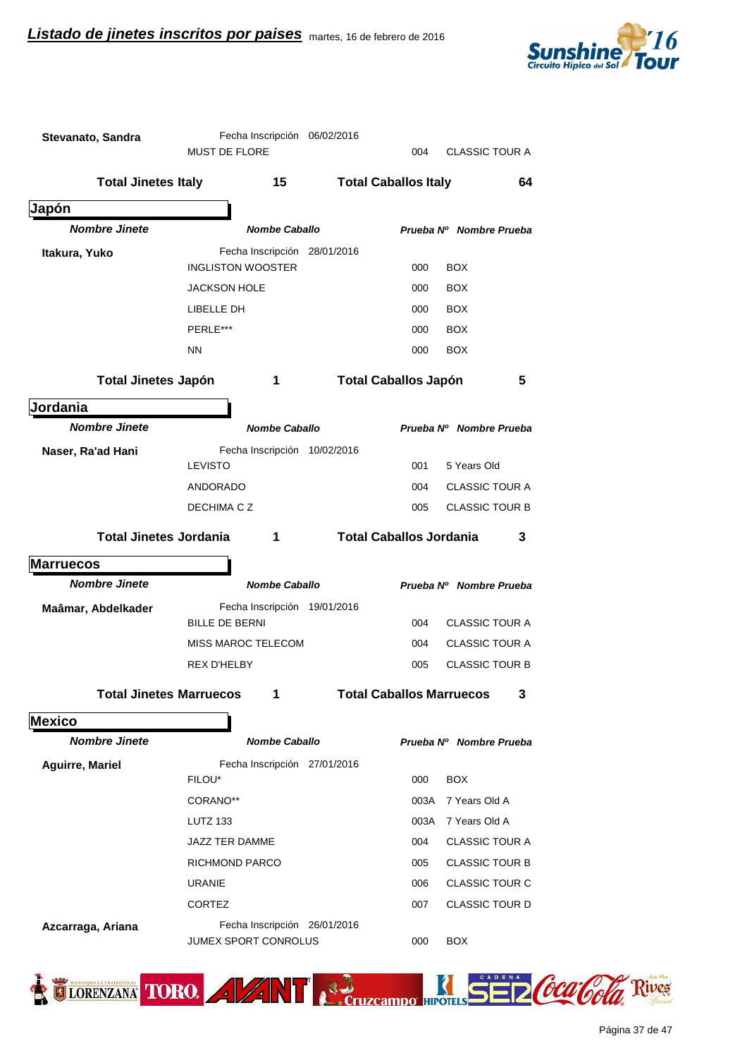

| Stevanato, Sandra              | Fecha Inscripción 06/02/2016<br><b>MUST DE FLORE</b>        | <b>CLASSIC TOUR A</b><br>004         |
|--------------------------------|-------------------------------------------------------------|--------------------------------------|
| <b>Total Jinetes Italy</b>     | 15                                                          | <b>Total Caballos Italy</b><br>64    |
| Japón                          |                                                             |                                      |
| <b>Nombre Jinete</b>           | <b>Nombe Caballo</b>                                        | Prueba Nº Nombre Prueba              |
| Itakura, Yuko                  | Fecha Inscripción 28/01/2016                                |                                      |
|                                | <b>INGLISTON WOOSTER</b>                                    | <b>BOX</b><br>000                    |
|                                | <b>JACKSON HOLE</b>                                         | <b>BOX</b><br>000                    |
|                                | LIBELLE DH                                                  | <b>BOX</b><br>000                    |
|                                | PERLE***                                                    | <b>BOX</b><br>000                    |
|                                | <b>NN</b>                                                   | 000<br><b>BOX</b>                    |
| <b>Total Jinetes Japón</b>     | 1                                                           | <b>Total Caballos Japón</b><br>5     |
| Jordania                       |                                                             |                                      |
| <b>Nombre Jinete</b>           | <b>Nombe Caballo</b>                                        | Prueba Nº Nombre Prueba              |
| Naser, Ra'ad Hani              | Fecha Inscripción 10/02/2016                                |                                      |
|                                | <b>LEVISTO</b>                                              | 5 Years Old<br>001                   |
|                                | <b>ANDORADO</b>                                             | <b>CLASSIC TOUR A</b><br>004         |
|                                | DECHIMA C Z                                                 | 005<br><b>CLASSIC TOUR B</b>         |
| <b>Total Jinetes Jordania</b>  | 1                                                           | <b>Total Caballos Jordania</b><br>3  |
| <b>Marruecos</b>               |                                                             |                                      |
| <b>Nombre Jinete</b>           | <b>Nombe Caballo</b>                                        | Prueba Nº Nombre Prueba              |
| Maâmar, Abdelkader             | Fecha Inscripción 19/01/2016                                |                                      |
|                                | <b>BILLE DE BERNI</b>                                       | <b>CLASSIC TOUR A</b><br>004         |
|                                | <b>MISS MAROC TELECOM</b>                                   | <b>CLASSIC TOUR A</b><br>004         |
|                                | <b>REX D'HELBY</b>                                          | <b>CLASSIC TOUR B</b><br>005         |
| <b>Total Jinetes Marruecos</b> | 1                                                           | <b>Total Caballos Marruecos</b><br>3 |
| <b>Mexico</b>                  |                                                             |                                      |
| <b>Nombre Jinete</b>           | <b>Nombe Caballo</b>                                        | Prueba Nº Nombre Prueba              |
| <b>Aguirre, Mariel</b>         | Fecha Inscripción 27/01/2016                                |                                      |
|                                | FILOU*                                                      | <b>BOX</b><br>000                    |
|                                | CORANO**                                                    | 7 Years Old A<br>003A                |
|                                | <b>LUTZ 133</b>                                             | 7 Years Old A<br>003A                |
|                                | JAZZ TER DAMME                                              | <b>CLASSIC TOUR A</b><br>004         |
|                                | RICHMOND PARCO                                              | 005<br><b>CLASSIC TOUR B</b>         |
|                                | <b>URANIE</b>                                               | <b>CLASSIC TOUR C</b><br>006         |
|                                | <b>CORTEZ</b>                                               | 007<br><b>CLASSIC TOUR D</b>         |
| Azcarraga, Ariana              | Fecha Inscripción 26/01/2016<br><b>JUMEX SPORT CONROLUS</b> | <b>BOX</b><br>000                    |

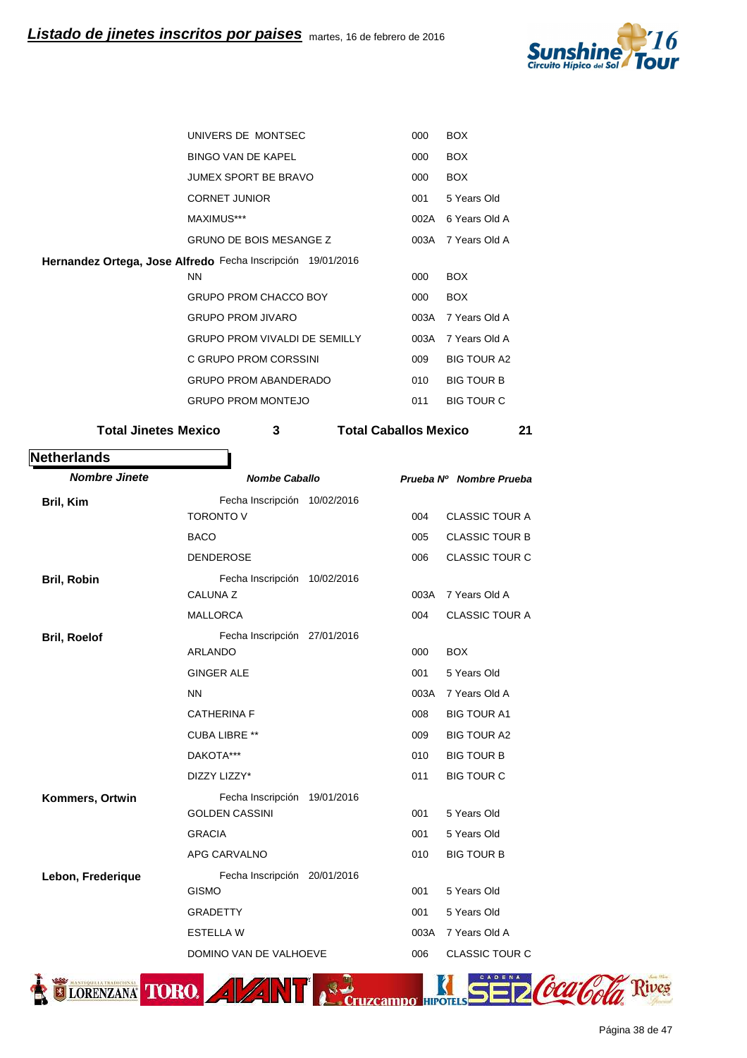

| UNIVERS DE MONTSEC                                          | 000  | <b>BOX</b>         |  |
|-------------------------------------------------------------|------|--------------------|--|
| <b>BINGO VAN DE KAPEL</b>                                   | 000  | <b>BOX</b>         |  |
| JUMEX SPORT BE BRAVO                                        | 000  | <b>BOX</b>         |  |
| <b>CORNET JUNIOR</b>                                        | 001  | 5 Years Old        |  |
| MAXIMUS***                                                  | 002A | 6 Years Old A      |  |
| <b>GRUNO DE BOIS MESANGE Z</b>                              | 003A | 7 Years Old A      |  |
| Hernandez Ortega, Jose Alfredo Fecha Inscripción 19/01/2016 |      |                    |  |
| <b>NN</b>                                                   |      |                    |  |
| <b>GRUPO PROM CHACCO BOY</b>                                | 000  | <b>BOX</b>         |  |
| <b>GRUPO PROM JIVARO</b>                                    | 003A | 7 Years Old A      |  |
| <b>GRUPO PROM VIVALDI DE SEMILLY</b>                        | 003A | 7 Years Old A      |  |
| C GRUPO PROM CORSSINI                                       | 009  | <b>BIG TOUR A2</b> |  |
|                                                             |      |                    |  |
| <b>GRUPO PROM ABANDERADO</b>                                | 010  | <b>BIG TOUR B</b>  |  |

Total Jinetes Mexico **3** Total Caballos Mexico 21

| <b>Nombre Jinete</b> | <b>Nombe Caballo</b>         |      | Prueba Nº Nombre Prueba |
|----------------------|------------------------------|------|-------------------------|
| Bril, Kim            | Fecha Inscripción 10/02/2016 |      |                         |
|                      | <b>TORONTO V</b>             | 004  | <b>CLASSIC TOUR A</b>   |
|                      | <b>BACO</b>                  | 005  | <b>CLASSIC TOUR B</b>   |
|                      | <b>DENDEROSE</b>             | 006  | <b>CLASSIC TOUR C</b>   |
| Bril, Robin          | Fecha Inscripción 10/02/2016 |      |                         |
|                      | <b>CALUNA Z</b>              | 003A | 7 Years Old A           |
|                      | <b>MALLORCA</b>              | 004  | <b>CLASSIC TOUR A</b>   |
| <b>Bril, Roelof</b>  | Fecha Inscripción 27/01/2016 |      |                         |
|                      | <b>ARLANDO</b>               | 000  | <b>BOX</b>              |
|                      | <b>GINGER ALE</b>            | 001  | 5 Years Old             |
|                      | <b>NN</b>                    | 003A | 7 Years Old A           |
|                      | <b>CATHERINA F</b>           | 008  | <b>BIG TOUR A1</b>      |
|                      | <b>CUBA LIBRE **</b>         | 009  | <b>BIG TOUR A2</b>      |
|                      | DAKOTA***                    | 010  | <b>BIG TOUR B</b>       |
|                      | DIZZY LIZZY*                 | 011  | <b>BIG TOUR C</b>       |
| Kommers, Ortwin      | Fecha Inscripción 19/01/2016 |      |                         |
|                      | <b>GOLDEN CASSINI</b>        | 001  | 5 Years Old             |
|                      | <b>GRACIA</b>                | 001  | 5 Years Old             |
|                      | APG CARVALNO                 | 010  | <b>BIG TOUR B</b>       |
| Lebon, Frederique    | Fecha Inscripción 20/01/2016 |      |                         |
|                      | <b>GISMO</b>                 | 001  | 5 Years Old             |
|                      | <b>GRADETTY</b>              | 001  | 5 Years Old             |
|                      | <b>ESTELLA W</b>             | 003A | 7 Years Old A           |
|                      | DOMINO VAN DE VALHOEVE       | 006  | <b>CLASSIC TOUR C</b>   |

Página 38 de 47

ives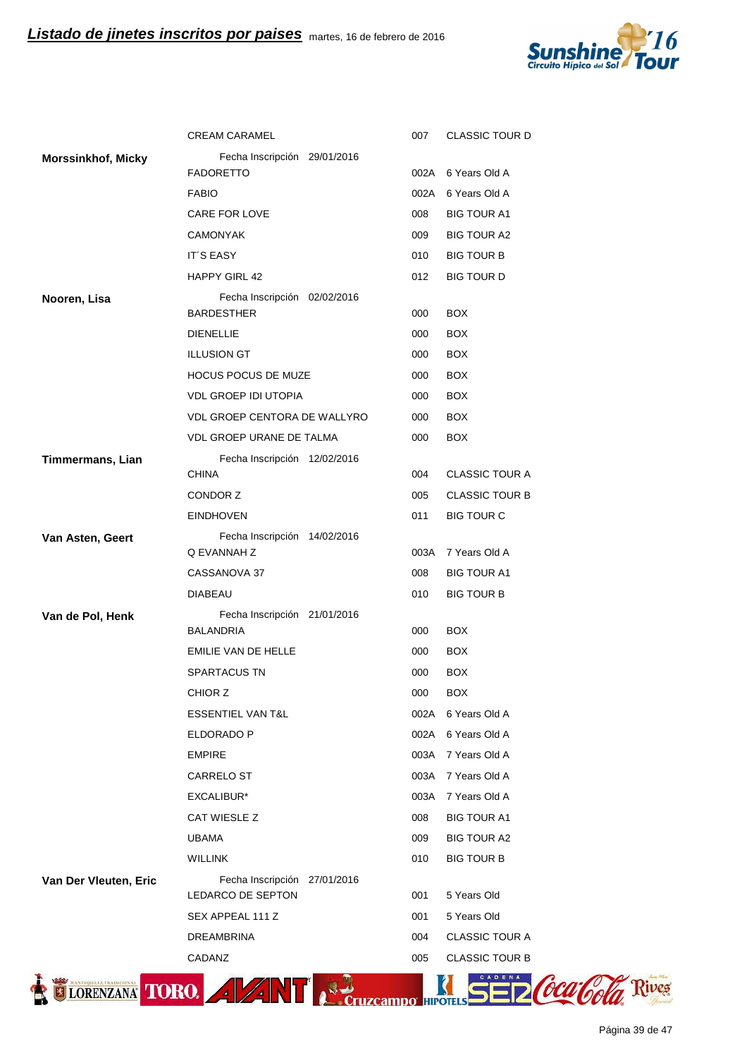

|                           | <b>CREAM CARAMEL</b>                              | 007  | <b>CLASSIC TOUR D</b> |
|---------------------------|---------------------------------------------------|------|-----------------------|
| <b>Morssinkhof, Micky</b> | Fecha Inscripción 29/01/2016                      |      |                       |
|                           | <b>FADORETTO</b>                                  |      | 002A 6 Years Old A    |
|                           | <b>FABIO</b>                                      |      | 002A 6 Years Old A    |
|                           | CARE FOR LOVE                                     | 008  | <b>BIG TOUR A1</b>    |
|                           | <b>CAMONYAK</b>                                   | 009  | <b>BIG TOUR A2</b>    |
|                           | IT'S EASY                                         | 010  | <b>BIG TOUR B</b>     |
|                           | <b>HAPPY GIRL 42</b>                              | 012  | <b>BIG TOUR D</b>     |
| Nooren, Lisa              | Fecha Inscripción 02/02/2016<br><b>BARDESTHER</b> | 000  | <b>BOX</b>            |
|                           | <b>DIENELLIE</b>                                  | 000  | <b>BOX</b>            |
|                           | <b>ILLUSION GT</b>                                | 000  | <b>BOX</b>            |
|                           | HOCUS POCUS DE MUZE                               | 000  | <b>BOX</b>            |
|                           | <b>VDL GROEP IDI UTOPIA</b>                       | 000  | <b>BOX</b>            |
|                           | VDL GROEP CENTORA DE WALLYRO                      | 000  | <b>BOX</b>            |
|                           | <b>VDL GROEP URANE DE TALMA</b>                   | 000  | <b>BOX</b>            |
| Timmermans, Lian          | Fecha Inscripción 12/02/2016                      |      |                       |
|                           | <b>CHINA</b>                                      | 004  | <b>CLASSIC TOUR A</b> |
|                           | CONDOR Z                                          | 005  | <b>CLASSIC TOUR B</b> |
|                           | <b>EINDHOVEN</b>                                  | 011  | <b>BIG TOUR C</b>     |
| Van Asten, Geert          | Fecha Inscripción 14/02/2016                      |      |                       |
|                           | Q EVANNAH Z                                       |      | 003A 7 Years Old A    |
|                           | CASSANOVA 37                                      | 008  | <b>BIG TOUR A1</b>    |
|                           | <b>DIABEAU</b>                                    | 010  | <b>BIG TOUR B</b>     |
| Van de Pol, Henk          | Fecha Inscripción 21/01/2016<br><b>BALANDRIA</b>  | 000  | <b>BOX</b>            |
|                           | EMILIE VAN DE HELLE                               | 000  | <b>BOX</b>            |
|                           | SPARTACUS TN                                      | 000  | <b>BOX</b>            |
|                           | CHIOR Z                                           | 000  | <b>BOX</b>            |
|                           | <b>ESSENTIEL VAN T&amp;L</b>                      |      | 002A 6 Years Old A    |
|                           | ELDORADO P                                        |      | 002A 6 Years Old A    |
|                           | <b>EMPIRE</b>                                     | 003A | 7 Years Old A         |
|                           | CARRELO ST                                        | 003A | 7 Years Old A         |
|                           | EXCALIBUR*                                        | 003A | 7 Years Old A         |
|                           | CAT WIESLE Z                                      | 008  | <b>BIG TOUR A1</b>    |
|                           | <b>UBAMA</b>                                      | 009  | <b>BIG TOUR A2</b>    |
|                           | <b>WILLINK</b>                                    | 010  | <b>BIG TOUR B</b>     |
| Van Der Vleuten, Eric     | Fecha Inscripción 27/01/2016<br>LEDARCO DE SEPTON | 001  | 5 Years Old           |
|                           | SEX APPEAL 111 Z                                  | 001  | 5 Years Old           |
|                           | <b>DREAMBRINA</b>                                 | 004  | <b>CLASSIC TOUR A</b> |
|                           | CADANZ                                            | 005  | <b>CLASSIC TOUR B</b> |
|                           |                                                   |      |                       |
| ORENZANA TORO             |                                                   |      |                       |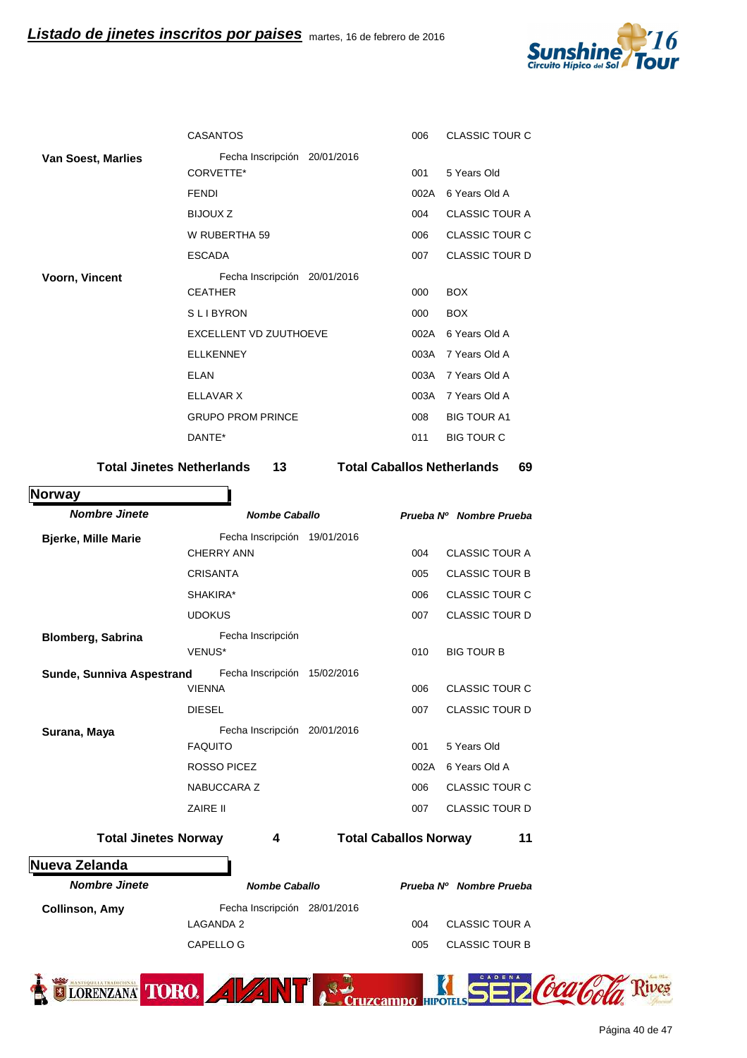

|                           | <b>CASANTOS</b>                           | 006  | <b>CLASSIC TOUR C</b> |
|---------------------------|-------------------------------------------|------|-----------------------|
| <b>Van Soest, Marlies</b> | Fecha Inscripción 20/01/2016<br>CORVETTE* | 001  | 5 Years Old           |
|                           | <b>FENDI</b>                              | 002A | 6 Years Old A         |
|                           | <b>BIJOUX Z</b>                           | 004  | <b>CLASSIC TOUR A</b> |
|                           | W RUBERTHA 59                             | 006  | <b>CLASSIC TOUR C</b> |
|                           | <b>ESCADA</b>                             | 007  | <b>CLASSIC TOUR D</b> |
| Voorn, Vincent            | Fecha Inscripción 20/01/2016              |      |                       |
|                           | <b>CEATHER</b>                            | 000  | <b>BOX</b>            |
|                           | <b>SLIBYRON</b>                           | 000  | <b>BOX</b>            |
|                           | EXCELLENT VD ZUUTHOEVE                    | 002A | 6 Years Old A         |
|                           | <b>ELLKENNEY</b>                          | 003A | 7 Years Old A         |
|                           | <b>ELAN</b>                               | 003A | 7 Years Old A         |
|                           | ELLAVAR X                                 | 003A | 7 Years Old A         |
|                           | <b>GRUPO PROM PRINCE</b>                  | 008  | <b>BIG TOUR A1</b>    |
|                           | DANTE*                                    | 011  | <b>BIG TOUR C</b>     |
|                           |                                           |      |                       |

Total Jinetes Netherlands 13 Total Caballos Netherlands 69

**Norway**

| <b>Nombre Jinete</b>        |                    | <b>Nombe Caballo</b>         |            |                              | Prueba Nº Nombre Prueba |
|-----------------------------|--------------------|------------------------------|------------|------------------------------|-------------------------|
| <b>Bjerke, Mille Marie</b>  |                    | Fecha Inscripción 19/01/2016 |            |                              |                         |
|                             | <b>CHERRY ANN</b>  |                              |            | 004                          | <b>CLASSIC TOUR A</b>   |
|                             | <b>CRISANTA</b>    |                              |            | 005                          | <b>CLASSIC TOUR B</b>   |
|                             | SHAKIRA*           |                              |            | 006                          | <b>CLASSIC TOUR C</b>   |
|                             | <b>UDOKUS</b>      |                              |            | 007                          | <b>CLASSIC TOUR D</b>   |
| <b>Blomberg, Sabrina</b>    |                    | Fecha Inscripción            |            |                              |                         |
|                             | VENUS*             |                              |            | 010                          | <b>BIG TOUR B</b>       |
| Sunde, Sunniva Aspestrand   |                    | Fecha Inscripción            | 15/02/2016 |                              |                         |
|                             | <b>VIENNA</b>      |                              |            | 006                          | <b>CLASSIC TOUR C</b>   |
|                             | <b>DIESEL</b>      |                              |            | 007                          | <b>CLASSIC TOUR D</b>   |
| Surana, Maya                |                    | Fecha Inscripción 20/01/2016 |            |                              |                         |
|                             | <b>FAQUITO</b>     |                              |            | 001                          | 5 Years Old             |
|                             | <b>ROSSO PICEZ</b> |                              |            | 002A                         | 6 Years Old A           |
|                             | NABUCCARA Z        |                              |            | 006                          | <b>CLASSIC TOUR C</b>   |
|                             | ZAIRE II           |                              |            | 007                          | <b>CLASSIC TOUR D</b>   |
| <b>Total Jinetes Norway</b> |                    | 4                            |            | <b>Total Caballos Norway</b> | 11                      |
| Nueva Zelanda               |                    |                              |            |                              |                         |
| <b>Nombre Jinete</b>        |                    | <b>Nombe Caballo</b>         |            |                              | Prueba Nº Nombre Prueba |
| <b>Collinson, Amy</b>       |                    | Fecha Inscripción 28/01/2016 |            |                              |                         |
|                             | <b>LAGANDA 2</b>   |                              |            | 004                          | <b>CLASSIC TOUR A</b>   |
|                             | <b>CAPELLO G</b>   |                              |            | 005                          | <b>CLASSIC TOUR B</b>   |
|                             |                    |                              |            |                              |                         |

TIORENZANA TORO. A VANT A Cruzcampo HPOTES SER CCCCCCC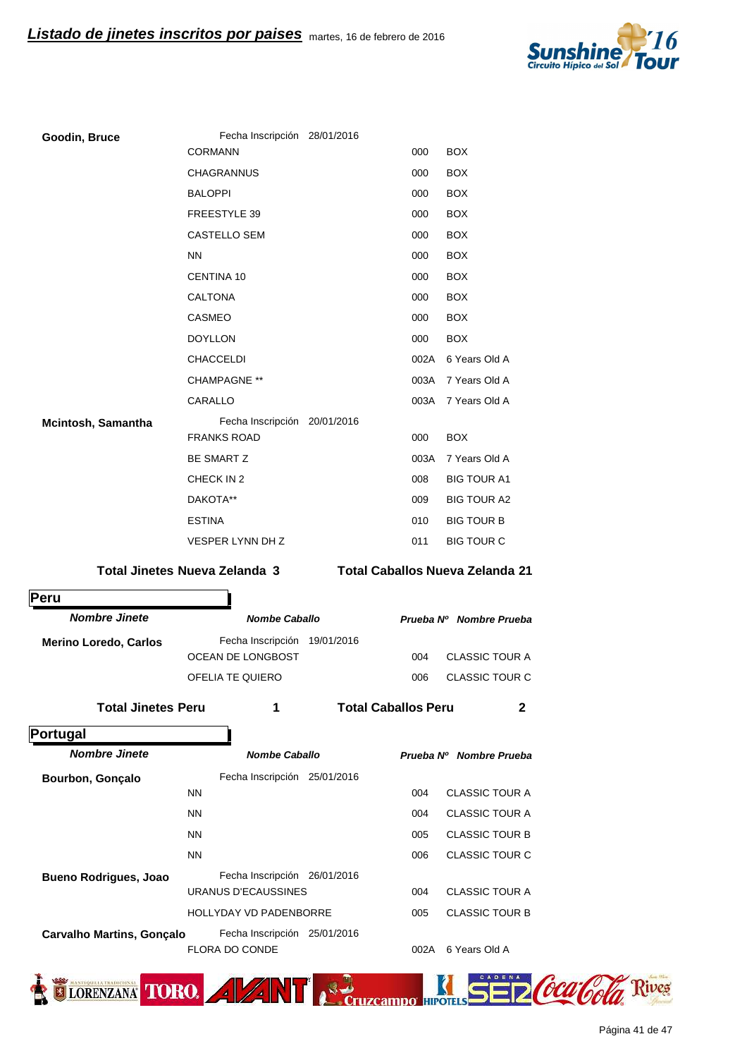

| Goodin, Bruce                | Fecha Inscripción 28/01/2016                       |                            |      |                                        |
|------------------------------|----------------------------------------------------|----------------------------|------|----------------------------------------|
|                              | <b>CORMANN</b>                                     |                            | 000  | <b>BOX</b>                             |
|                              | <b>CHAGRANNUS</b>                                  |                            | 000  | <b>BOX</b>                             |
|                              | <b>BALOPPI</b>                                     |                            | 000  | <b>BOX</b>                             |
|                              | FREESTYLE 39                                       |                            | 000  | <b>BOX</b>                             |
|                              | CASTELLO SEM                                       |                            | 000  | <b>BOX</b>                             |
|                              | <b>NN</b>                                          |                            | 000  | <b>BOX</b>                             |
|                              | <b>CENTINA 10</b>                                  |                            | 000  | <b>BOX</b>                             |
|                              | <b>CALTONA</b>                                     |                            | 000  | <b>BOX</b>                             |
|                              | <b>CASMEO</b>                                      |                            | 000  | <b>BOX</b>                             |
|                              | <b>DOYLLON</b>                                     |                            | 000  | <b>BOX</b>                             |
|                              | CHACCELDI                                          |                            |      | 002A 6 Years Old A                     |
|                              | <b>CHAMPAGNE **</b>                                |                            | 003A | 7 Years Old A                          |
|                              | CARALLO                                            |                            | 003A | 7 Years Old A                          |
| Mcintosh, Samantha           | Fecha Inscripción 20/01/2016<br><b>FRANKS ROAD</b> |                            | 000  | <b>BOX</b>                             |
|                              | <b>BE SMART Z</b>                                  |                            | 003A | 7 Years Old A                          |
|                              | CHECK IN 2                                         |                            | 008  | <b>BIG TOUR A1</b>                     |
|                              | DAKOTA**                                           |                            | 009  | <b>BIG TOUR A2</b>                     |
|                              | <b>ESTINA</b>                                      |                            | 010  | <b>BIG TOUR B</b>                      |
|                              | VESPER LYNN DH Z                                   |                            | 011  | <b>BIG TOUR C</b>                      |
|                              | <b>Total Jinetes Nueva Zelanda 3</b>               |                            |      | <b>Total Caballos Nueva Zelanda 21</b> |
| Peru                         |                                                    |                            |      |                                        |
| <b>Nombre Jinete</b>         | <b>Nombe Caballo</b>                               |                            |      | Prueba Nº Nombre Prueba                |
| <b>Merino Loredo, Carlos</b> | Fecha Inscripción 19/01/2016<br>OCEAN DE LONGBOST  |                            | 004  | <b>CLASSIC TOUR A</b>                  |
|                              | OFELIA TE QUIERO                                   |                            | 006  | <b>CLASSIC TOUR C</b>                  |
|                              |                                                    |                            |      |                                        |
| <b>Total Jinetes Peru</b>    | 1                                                  | <b>Total Caballos Peru</b> |      | 2                                      |

**Portugal**

| <b>Nombe Caballo</b>            |                                  | Prueba Nº Nombre Prueba |
|---------------------------------|----------------------------------|-------------------------|
| Fecha Inscripción<br>25/01/2016 |                                  |                         |
| <b>NN</b>                       | 004                              | CLASSIC TOUR A          |
| <b>NN</b>                       | 004                              | CLASSIC TOUR A          |
| <b>NN</b>                       | 005                              | <b>CLASSIC TOUR B</b>   |
| <b>NN</b>                       | 006                              | CLASSIC TOUR C          |
| Fecha Inscripción<br>26/01/2016 |                                  |                         |
| URANUS D'ECAUSSINES             | 004                              | <b>CLASSIC TOUR A</b>   |
| <b>HOLLYDAY VD PADENBORRE</b>   | 005                              | <b>CLASSIC TOUR B</b>   |
| Fecha Inscripción<br>25/01/2016 |                                  |                         |
| <b>FLORA DO CONDE</b>           | 002A                             | 6 Years Old A           |
|                                 | <b>Carvalho Martins, Gonçalo</b> |                         |

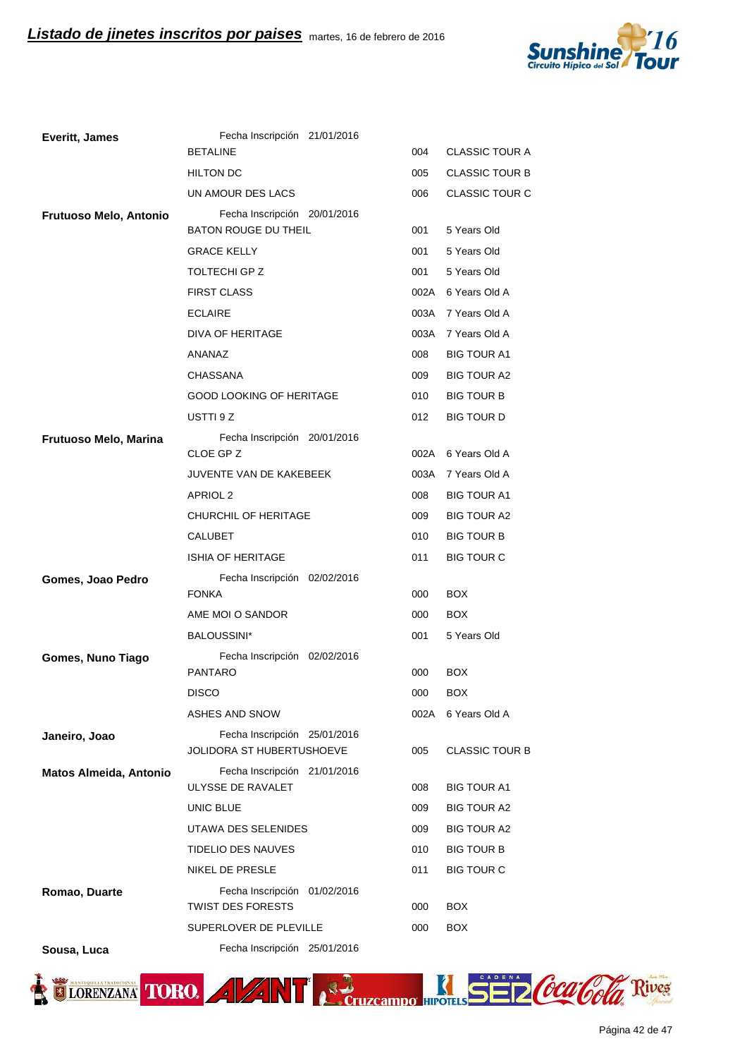

| <b>Everitt, James</b>  | Fecha Inscripción 21/01/2016                                |      |                       |
|------------------------|-------------------------------------------------------------|------|-----------------------|
|                        | <b>BETALINE</b>                                             | 004  | <b>CLASSIC TOUR A</b> |
|                        | <b>HILTON DC</b>                                            | 005  | <b>CLASSIC TOUR B</b> |
|                        | UN AMOUR DES LACS                                           | 006  | CLASSIC TOUR C        |
| Frutuoso Melo, Antonio | Fecha Inscripción 20/01/2016<br><b>BATON ROUGE DU THEIL</b> | 001  | 5 Years Old           |
|                        | <b>GRACE KELLY</b>                                          | 001  | 5 Years Old           |
|                        | <b>TOLTECHI GP Z</b>                                        | 001  | 5 Years Old           |
|                        | <b>FIRST CLASS</b>                                          |      | 002A 6 Years Old A    |
|                        | <b>ECLAIRE</b>                                              |      | 003A 7 Years Old A    |
|                        | DIVA OF HERITAGE                                            |      | 003A 7 Years Old A    |
|                        | ANANAZ                                                      | 008  | <b>BIG TOUR A1</b>    |
|                        | <b>CHASSANA</b>                                             | 009  | <b>BIG TOUR A2</b>    |
|                        | <b>GOOD LOOKING OF HERITAGE</b>                             | 010  | <b>BIG TOUR B</b>     |
|                        | USTTI 9 Z                                                   | 012  | <b>BIG TOUR D</b>     |
| Frutuoso Melo, Marina  | Fecha Inscripción 20/01/2016                                |      |                       |
|                        | CLOE GP Z                                                   |      | 002A 6 Years Old A    |
|                        | JUVENTE VAN DE KAKEBEEK                                     |      | 003A 7 Years Old A    |
|                        | APRIOL 2                                                    |      | <b>BIG TOUR A1</b>    |
|                        | CHURCHIL OF HERITAGE                                        |      | <b>BIG TOUR A2</b>    |
|                        | <b>CALUBET</b>                                              |      | <b>BIG TOUR B</b>     |
|                        | <b>ISHIA OF HERITAGE</b>                                    | 011  | <b>BIG TOUR C</b>     |
| Gomes, Joao Pedro      | Fecha Inscripción 02/02/2016                                |      |                       |
|                        | <b>FONKA</b>                                                | 000  | <b>BOX</b>            |
|                        | AME MOI O SANDOR                                            | 000  | <b>BOX</b>            |
|                        | BALOUSSINI*                                                 | 001  | 5 Years Old           |
| Gomes, Nuno Tiago      | Fecha Inscripción 02/02/2016<br><b>PANTARO</b>              | 000  | BOX                   |
|                        | <b>DISCO</b>                                                | 000  | <b>BOX</b>            |
|                        | <b>ASHES AND SNOW</b>                                       | 002A | 6 Years Old A         |
| Janeiro, Joao          | Fecha Inscripción 25/01/2016<br>JOLIDORA ST HUBERTUSHOEVE   | 005  | <b>CLASSIC TOUR B</b> |
| Matos Almeida, Antonio | Fecha Inscripción 21/01/2016                                |      |                       |
|                        | ULYSSE DE RAVALET                                           | 008  | <b>BIG TOUR A1</b>    |
|                        | UNIC BLUE                                                   | 009  | <b>BIG TOUR A2</b>    |
|                        | UTAWA DES SELENIDES                                         | 009  | BIG TOUR A2           |
|                        | TIDELIO DES NAUVES                                          | 010  | <b>BIG TOUR B</b>     |
|                        | NIKEL DE PRESLE                                             | 011  | <b>BIG TOUR C</b>     |
| Romao, Duarte          | Fecha Inscripción 01/02/2016<br><b>TWIST DES FORESTS</b>    | 000  | <b>BOX</b>            |
|                        | SUPERLOVER DE PLEVILLE                                      | 000  | BOX.                  |
|                        |                                                             |      |                       |

**Sousa, Luca** Fecha Inscripción 25/01/2016

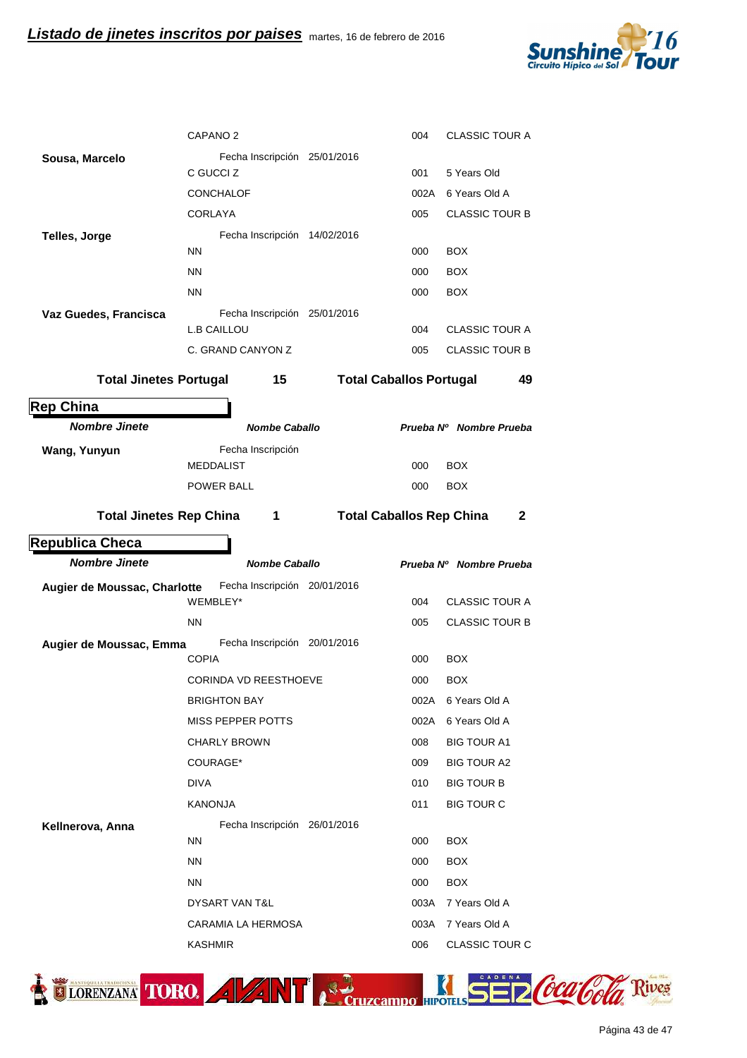

|                                | CAPANO <sub>2</sub>                                |                                 | 004         | <b>CLASSIC TOUR A</b>                    |
|--------------------------------|----------------------------------------------------|---------------------------------|-------------|------------------------------------------|
| Sousa, Marcelo                 | Fecha Inscripción 25/01/2016                       |                                 |             |                                          |
|                                | C GUCCI Z                                          |                                 | 001         | 5 Years Old                              |
|                                | <b>CONCHALOF</b>                                   |                                 | 002A        | 6 Years Old A                            |
|                                | <b>CORLAYA</b>                                     |                                 | 005         | <b>CLASSIC TOUR B</b>                    |
| <b>Telles, Jorge</b>           | Fecha Inscripción 14/02/2016                       |                                 |             |                                          |
|                                | <b>NN</b>                                          |                                 | 000         | <b>BOX</b>                               |
|                                | <b>NN</b>                                          |                                 | 000         | <b>BOX</b>                               |
|                                | <b>NN</b>                                          |                                 | 000         | <b>BOX</b>                               |
| Vaz Guedes, Francisca          | Fecha Inscripción 25/01/2016<br><b>L.B CAILLOU</b> |                                 | 004         | <b>CLASSIC TOUR A</b>                    |
|                                | C. GRAND CANYON Z                                  |                                 | 005         | <b>CLASSIC TOUR B</b>                    |
|                                |                                                    |                                 |             |                                          |
| <b>Total Jinetes Portugal</b>  | 15                                                 | <b>Total Caballos Portugal</b>  |             | 49                                       |
| <b>Rep China</b>               |                                                    |                                 |             |                                          |
| <b>Nombre Jinete</b>           | <b>Nombe Caballo</b>                               |                                 |             | Prueba Nº Nombre Prueba                  |
| Wang, Yunyun                   | Fecha Inscripción<br><b>MEDDALIST</b>              |                                 | 000         | <b>BOX</b>                               |
|                                | POWER BALL                                         |                                 | 000         | <b>BOX</b>                               |
|                                |                                                    |                                 |             |                                          |
| <b>Total Jinetes Rep China</b> | $\mathbf 1$                                        | <b>Total Caballos Rep China</b> |             | 2                                        |
|                                |                                                    |                                 |             |                                          |
| <b>Republica Checa</b>         |                                                    |                                 |             |                                          |
| <b>Nombre Jinete</b>           | <b>Nombe Caballo</b>                               |                                 |             | Prueba Nº Nombre Prueba                  |
| Augier de Moussac, Charlotte   | Fecha Inscripción 20/01/2016                       |                                 |             |                                          |
|                                | WEMBLEY*                                           |                                 | 004         | <b>CLASSIC TOUR A</b>                    |
|                                | <b>NN</b>                                          |                                 | 005         | <b>CLASSIC TOUR B</b>                    |
| Augier de Moussac, Emma        | Fecha Inscripción 20/01/2016                       |                                 |             |                                          |
|                                | <b>COPIA</b>                                       |                                 | 000         | <b>BOX</b>                               |
|                                | <b>CORINDA VD REESTHOEVE</b>                       |                                 | 000         | <b>BOX</b>                               |
|                                | <b>BRIGHTON BAY</b>                                |                                 | 002A        | 6 Years Old A<br>6 Years Old A           |
|                                | MISS PEPPER POTTS                                  |                                 | 002A<br>008 |                                          |
|                                | <b>CHARLY BROWN</b><br>COURAGE*                    |                                 | 009         | <b>BIG TOUR A1</b><br><b>BIG TOUR A2</b> |
|                                | DIVA                                               |                                 | 010         | <b>BIG TOUR B</b>                        |
|                                | <b>KANONJA</b>                                     |                                 | 011         | <b>BIG TOUR C</b>                        |
|                                | Fecha Inscripción 26/01/2016                       |                                 |             |                                          |
| Kellnerova, Anna               | <b>NN</b>                                          |                                 | 000         | BOX                                      |
|                                | ΝN                                                 |                                 | 000         | BOX                                      |
|                                | NN.                                                |                                 | 000         | BOX.                                     |
|                                | DYSART VAN T&L                                     |                                 | 003A        | 7 Years Old A                            |
|                                | CARAMIA LA HERMOSA                                 |                                 | 003A        | 7 Years Old A                            |

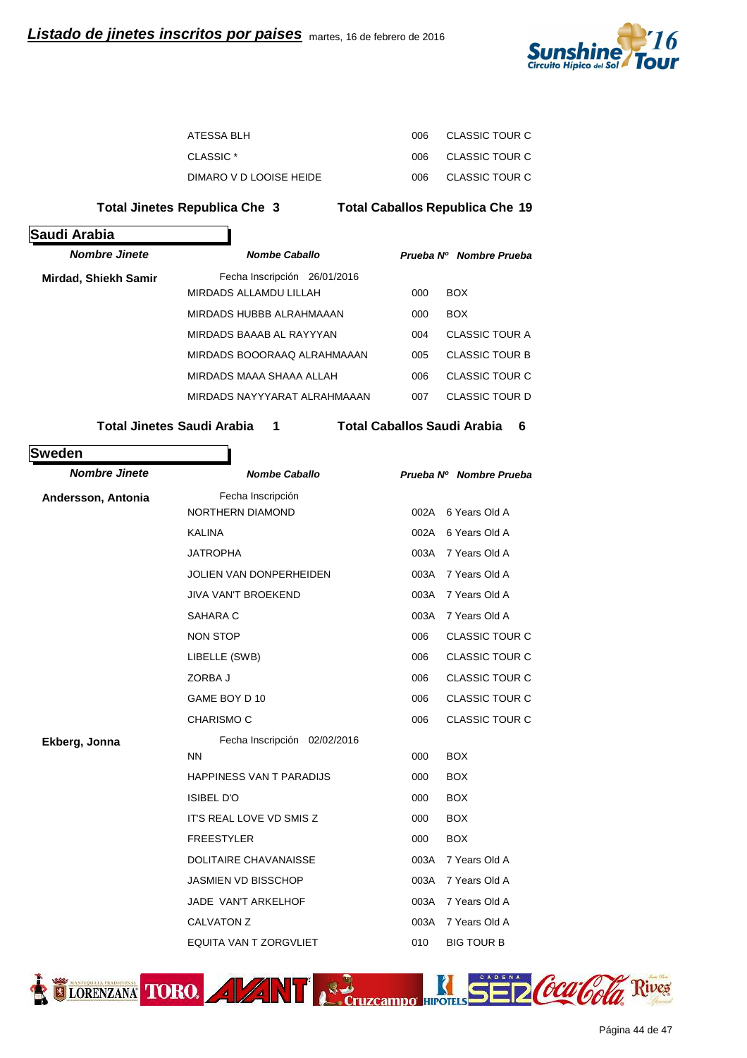

| ATESSA BLH              | ററഞ | CLASSIC TOUR C |
|-------------------------|-----|----------------|
| CLASSIC <sup>*</sup>    | ററഞ | CLASSIC TOUR C |
| DIMARO V D LOOISE HEIDE | ററഞ | CLASSIC TOUR C |

**Total Jinetes Republica Che 3 Republica Che 19 Total Caballos**

| Saudi Arabia                |                              |     |                         |
|-----------------------------|------------------------------|-----|-------------------------|
| <b>Nombre Jinete</b>        | <b>Nombe Caballo</b>         |     | Prueba Nº Nombre Prueba |
| <b>Mirdad, Shiekh Samir</b> | Fecha Inscripción 26/01/2016 |     |                         |
|                             | MIRDADS ALLAMDU LILLAH       | 000 | <b>BOX</b>              |
|                             | MIRDADS HUBBB ALRAHMAAAN     | 000 | <b>BOX</b>              |
|                             | MIRDADS BAAAB AL RAYYYAN     | 004 | CLASSIC TOUR A          |
|                             | MIRDADS BOOORAAQ ALRAHMAAAN  | 005 | <b>CLASSIC TOUR B</b>   |
|                             | MIRDADS MAAA SHAAA ALLAH     | 006 | CLASSIC TOUR C          |
|                             | MIRDADS NAYYYARAT ALRAHMAAAN | 007 | CLASSIC TOUR D          |
|                             |                              |     |                         |

**Total Jinetes Saudi Arabia 1 1 Total Caballos Saudi Arabia 6** 

## **Sweden**

| <b>Nombre Jinete</b> | <b>Nombe Caballo</b>            |      | Prueba Nº Nombre Prueba |
|----------------------|---------------------------------|------|-------------------------|
| Andersson, Antonia   | Fecha Inscripción               |      |                         |
|                      | NORTHERN DIAMOND                | 002A | 6 Years Old A           |
|                      | <b>KALINA</b>                   | 002A | 6 Years Old A           |
|                      | <b>JATROPHA</b>                 | 003A | 7 Years Old A           |
|                      | <b>JOLIEN VAN DONPERHEIDEN</b>  | 003A | 7 Years Old A           |
|                      | <b>JIVA VAN'T BROEKEND</b>      | 003A | 7 Years Old A           |
|                      | SAHARA C                        | 003A | 7 Years Old A           |
|                      | <b>NON STOP</b>                 | 006  | <b>CLASSIC TOUR C</b>   |
|                      | LIBELLE (SWB)                   | 006  | <b>CLASSIC TOUR C</b>   |
|                      | ZORBA J                         | 006  | <b>CLASSIC TOUR C</b>   |
|                      | GAME BOY D 10                   |      | <b>CLASSIC TOUR C</b>   |
| <b>CHARISMO C</b>    |                                 | 006  | <b>CLASSIC TOUR C</b>   |
| Ekberg, Jonna        | Fecha Inscripción 02/02/2016    |      |                         |
|                      | <b>NN</b>                       | 000  | <b>BOX</b>              |
|                      | <b>HAPPINESS VAN T PARADIJS</b> | 000  | <b>BOX</b>              |
|                      | <b>ISIBEL D'O</b>               | 000  | <b>BOX</b>              |
|                      | <b>IT'S REAL LOVE VD SMIS Z</b> | 000  | <b>BOX</b>              |
|                      | <b>FREESTYLER</b>               | 000  | <b>BOX</b>              |
|                      | <b>DOLITAIRE CHAVANAISSE</b>    | 003A | 7 Years Old A           |
|                      | <b>JASMIEN VD BISSCHOP</b>      | 003A | 7 Years Old A           |
|                      | JADE VAN'T ARKELHOF             | 003A | 7 Years Old A           |
|                      | <b>CALVATON Z</b>               | 003A | 7 Years Old A           |
|                      | <b>EQUITA VAN T ZORGVLIET</b>   | 010  | <b>BIG TOUR B</b>       |



lives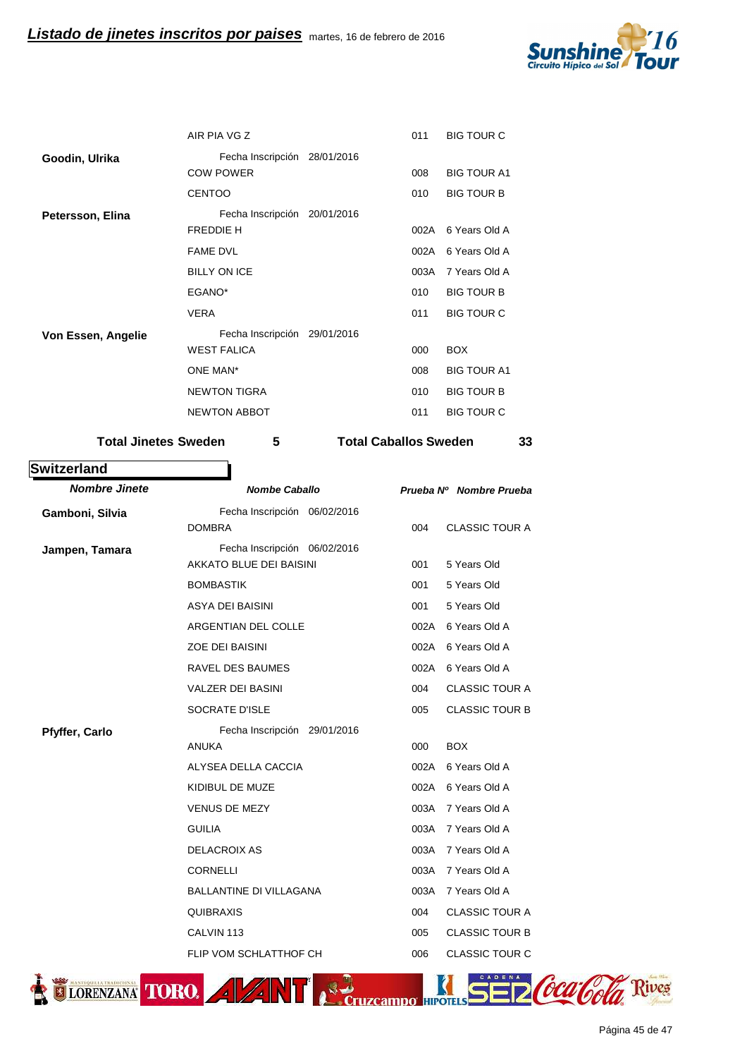

|                    | AIR PIA VG Z                 | 011  | <b>BIG TOUR C</b>  |
|--------------------|------------------------------|------|--------------------|
| Goodin, Ulrika     | Fecha Inscripción 28/01/2016 |      |                    |
|                    | <b>COW POWER</b>             | 008  | <b>BIG TOUR A1</b> |
|                    | <b>CENTOO</b>                | 010  | <b>BIG TOUR B</b>  |
| Petersson, Elina   | Fecha Inscripción 20/01/2016 |      |                    |
|                    | <b>FREDDIE H</b>             | 002A | 6 Years Old A      |
|                    | <b>FAME DVL</b>              | 002A | 6 Years Old A      |
|                    | <b>BILLY ON ICE</b>          | 003A | 7 Years Old A      |
|                    | EGANO*                       | 010  | <b>BIG TOUR B</b>  |
|                    | <b>VERA</b>                  | 011  | <b>BIG TOUR C</b>  |
| Von Essen, Angelie | Fecha Inscripción 29/01/2016 |      |                    |
|                    | <b>WEST FALICA</b>           | 000  | <b>BOX</b>         |
|                    | ONE MAN*                     | 008  | <b>BIG TOUR A1</b> |
|                    | <b>NEWTON TIGRA</b>          | 010  | <b>BIG TOUR B</b>  |
|                    | <b>NEWTON ABBOT</b>          | 011  | <b>BIG TOUR C</b>  |
|                    |                              |      |                    |

Total Jinetes Sweden 5 Total Caballos Sweden 33

| <b>Nombre Jinete</b>  | <b>Nombe Caballo</b>           | Prueba Nº Nombre Prueba |                       |  |
|-----------------------|--------------------------------|-------------------------|-----------------------|--|
| Gamboni, Silvia       | Fecha Inscripción 06/02/2016   |                         |                       |  |
|                       | <b>DOMBRA</b>                  | 004                     | <b>CLASSIC TOUR A</b> |  |
| Jampen, Tamara        | Fecha Inscripción 06/02/2016   |                         |                       |  |
|                       | AKKATO BLUE DEI BAISINI        | 001                     | 5 Years Old           |  |
|                       | <b>BOMBASTIK</b>               | 001                     | 5 Years Old           |  |
|                       | ASYA DEI BAISINI               | 001                     | 5 Years Old           |  |
|                       | ARGENTIAN DEL COLLE            | 002A                    | 6 Years Old A         |  |
|                       | <b>ZOE DEI BAISINI</b>         | 002A                    | 6 Years Old A         |  |
|                       | RAVEL DES BAUMES               | 002A                    | 6 Years Old A         |  |
|                       | <b>VALZER DEI BASINI</b>       | 004                     | <b>CLASSIC TOUR A</b> |  |
|                       | <b>SOCRATE D'ISLE</b>          | 005                     | <b>CLASSIC TOUR B</b> |  |
| <b>Pfyffer, Carlo</b> | Fecha Inscripción 29/01/2016   |                         |                       |  |
|                       | <b>ANUKA</b>                   | 000                     | <b>BOX</b>            |  |
|                       | ALYSEA DELLA CACCIA            | 002A                    | 6 Years Old A         |  |
|                       | KIDIBUL DE MUZE                | 002A                    | 6 Years Old A         |  |
|                       | <b>VENUS DE MEZY</b>           | 003A                    | 7 Years Old A         |  |
|                       | <b>GUILIA</b>                  | 003A                    | 7 Years Old A         |  |
|                       | <b>DELACROIX AS</b>            | 003A                    | 7 Years Old A         |  |
|                       | <b>CORNELLI</b>                | 003A                    | 7 Years Old A         |  |
|                       | <b>BALLANTINE DI VILLAGANA</b> | 003A                    | 7 Years Old A         |  |
|                       | <b>QUIBRAXIS</b>               | 004                     | <b>CLASSIC TOUR A</b> |  |
|                       | CALVIN <sub>113</sub>          | 005                     | <b>CLASSIC TOUR B</b> |  |
|                       | FLIP VOM SCHLATTHOF CH         | 006                     | <b>CLASSIC TOUR C</b> |  |



**Switzerland**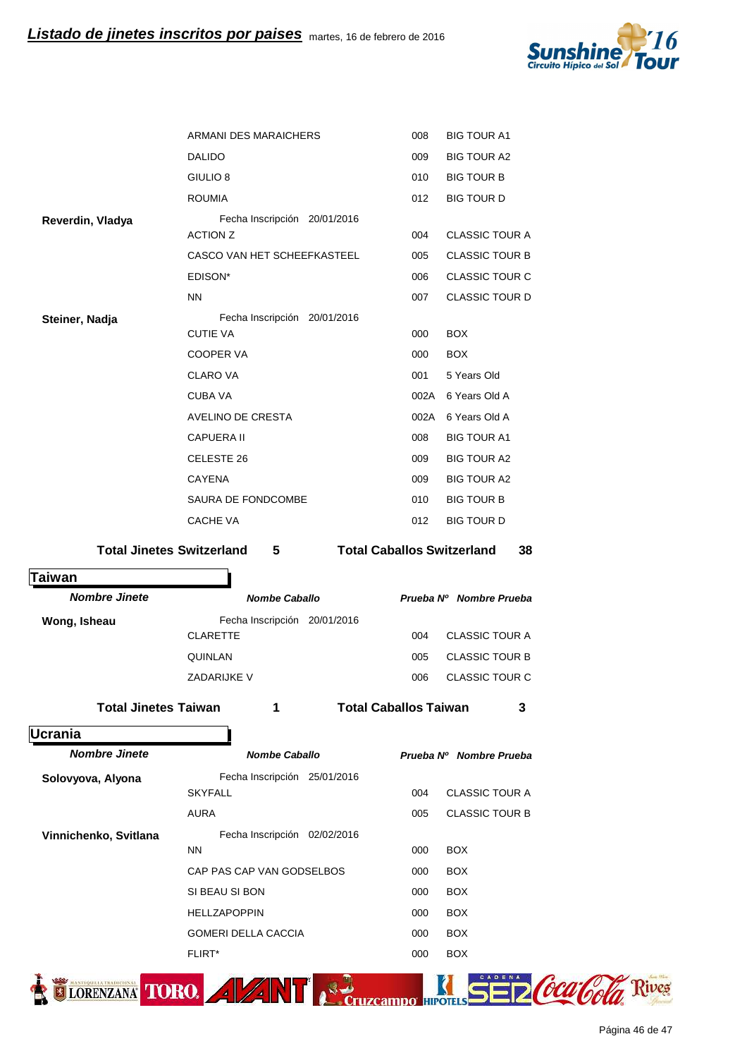

|                             | ARMANI DES MARAICHERS                     |                                   | 008 | <b>BIG TOUR A1</b>      |    |
|-----------------------------|-------------------------------------------|-----------------------------------|-----|-------------------------|----|
|                             | <b>DALIDO</b>                             |                                   | 009 | <b>BIG TOUR A2</b>      |    |
|                             | GIULIO <sub>8</sub>                       |                                   | 010 | <b>BIG TOUR B</b>       |    |
|                             | <b>ROUMIA</b>                             |                                   | 012 | <b>BIG TOUR D</b>       |    |
| Reverdin, Vladya            | Fecha Inscripción 20/01/2016              |                                   |     |                         |    |
|                             | <b>ACTION Z</b>                           |                                   | 004 | <b>CLASSIC TOUR A</b>   |    |
|                             | CASCO VAN HET SCHEEFKASTEEL               |                                   | 005 | <b>CLASSIC TOUR B</b>   |    |
|                             | EDISON*                                   |                                   | 006 | <b>CLASSIC TOUR C</b>   |    |
|                             | <b>NN</b>                                 |                                   | 007 | <b>CLASSIC TOUR D</b>   |    |
| Steiner, Nadja              | Fecha Inscripción 20/01/2016              |                                   |     |                         |    |
|                             | <b>CUTIE VA</b>                           |                                   | 000 | <b>BOX</b>              |    |
|                             | COOPER VA                                 |                                   | 000 | <b>BOX</b>              |    |
|                             | <b>CLARO VA</b>                           |                                   | 001 | 5 Years Old             |    |
|                             | <b>CUBA VA</b>                            |                                   |     | 002A 6 Years Old A      |    |
|                             | AVELINO DE CRESTA                         |                                   |     | 002A 6 Years Old A      |    |
|                             | <b>CAPUERA II</b>                         |                                   | 008 | <b>BIG TOUR A1</b>      |    |
|                             | CELESTE 26                                |                                   | 009 | <b>BIG TOUR A2</b>      |    |
|                             | CAYENA                                    |                                   | 009 | <b>BIG TOUR A2</b>      |    |
|                             | SAURA DE FONDCOMBE                        |                                   | 010 | <b>BIG TOUR B</b>       |    |
|                             | CACHE VA                                  |                                   | 012 | <b>BIG TOUR D</b>       |    |
|                             | <b>Total Jinetes Switzerland</b><br>5     | <b>Total Caballos Switzerland</b> |     |                         | 38 |
| Taiwan                      |                                           |                                   |     |                         |    |
| <b>Nombre Jinete</b>        | <b>Nombe Caballo</b>                      |                                   |     | Prueba Nº Nombre Prueba |    |
| Wong, Isheau                | Fecha Inscripción 20/01/2016              |                                   |     |                         |    |
|                             | <b>CLARETTE</b>                           |                                   | 004 | <b>CLASSIC TOUR A</b>   |    |
|                             | QUINLAN                                   |                                   | 005 | <b>CLASSIC TOUR B</b>   |    |
|                             | ZADARIJKE V                               |                                   | 006 | CLASSIC TOUR C          |    |
| <b>Total Jinetes Taiwan</b> | 1                                         | <b>Total Caballos Taiwan</b>      |     |                         | 3  |
|                             |                                           |                                   |     |                         |    |
| <b>Ucrania</b>              |                                           |                                   |     |                         |    |
| <b>Nombre Jinete</b>        | <b>Nombe Caballo</b>                      |                                   |     | Prueba Nº Nombre Prueba |    |
| Solovyova, Alyona           | Fecha Inscripción 25/01/2016              |                                   |     |                         |    |
|                             | <b>SKYFALL</b>                            |                                   | 004 | <b>CLASSIC TOUR A</b>   |    |
|                             | <b>AURA</b>                               |                                   | 005 | <b>CLASSIC TOUR B</b>   |    |
| Vinnichenko, Svitlana       | Fecha Inscripción 02/02/2016<br><b>NN</b> |                                   | 000 | <b>BOX</b>              |    |
|                             | CAP PAS CAP VAN GODSELBOS                 |                                   | 000 | <b>BOX</b>              |    |
|                             | SI BEAU SI BON                            |                                   | 000 | <b>BOX</b>              |    |
|                             | HELLZAPOPPIN                              |                                   | 000 | <b>BOX</b>              |    |
|                             | <b>GOMERI DELLA CACCIA</b>                |                                   | 000 | <b>BOX</b>              |    |
|                             | FLIRT*                                    |                                   | 000 | <b>BOX</b>              |    |
|                             |                                           |                                   |     |                         |    |
| ORENZANA TORO.              | $\mathbb{Z}$<br>$\mathbf{z}$              |                                   |     |                         |    |
|                             |                                           |                                   |     |                         |    |